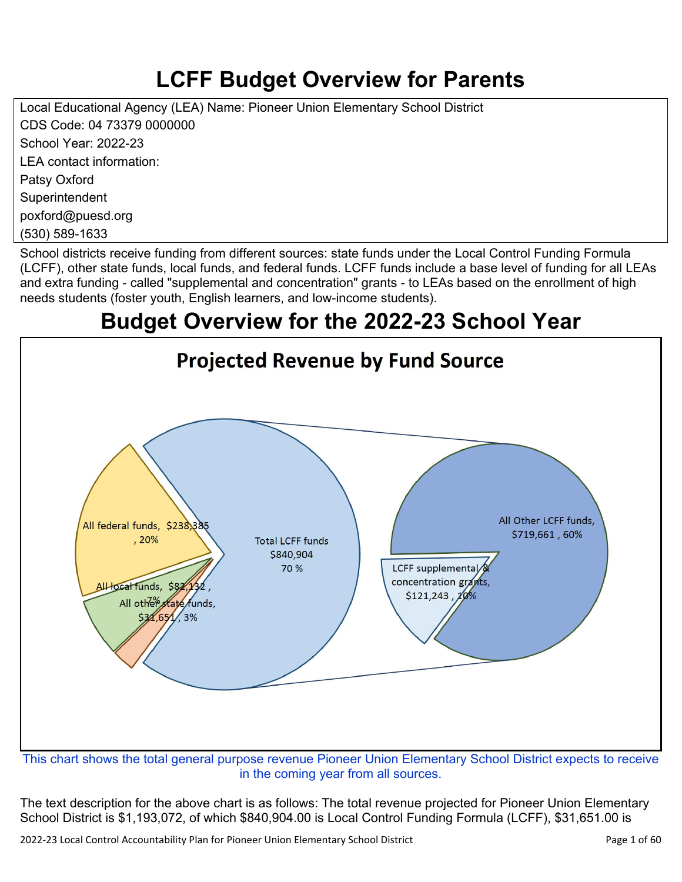# **LCFF Budget Overview for Parents**

Local Educational Agency (LEA) Name: Pioneer Union Elementary School District CDS Code: 04 73379 0000000 School Year: 2022-23 LEA contact information: Patsy Oxford **Superintendent** poxford@puesd.org

(530) 589-1633

School districts receive funding from different sources: state funds under the Local Control Funding Formula (LCFF), other state funds, local funds, and federal funds. LCFF funds include a base level of funding for all LEAs and extra funding - called "supplemental and concentration" grants - to LEAs based on the enrollment of high needs students (foster youth, English learners, and low-income students).

## **Budget Overview for the 2022-23 School Year**



in the coming year from all sources.

The text description for the above chart is as follows: The total revenue projected for Pioneer Union Elementary School District is \$1,193,072, of which \$840,904.00 is Local Control Funding Formula (LCFF), \$31,651.00 is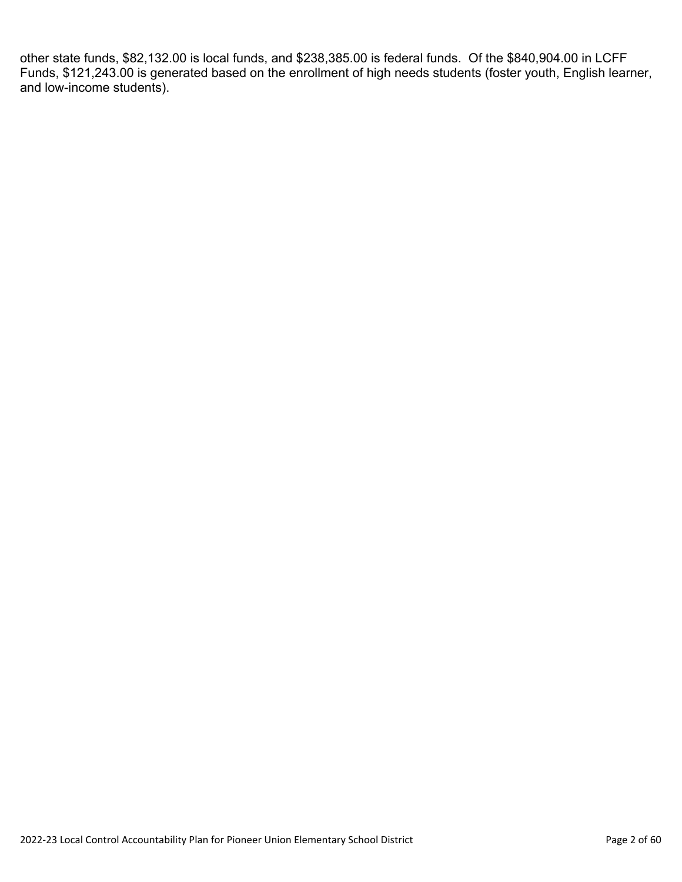other state funds, \$82,132.00 is local funds, and \$238,385.00 is federal funds. Of the \$840,904.00 in LCFF Funds, \$121,243.00 is generated based on the enrollment of high needs students (foster youth, English learner, and low-income students).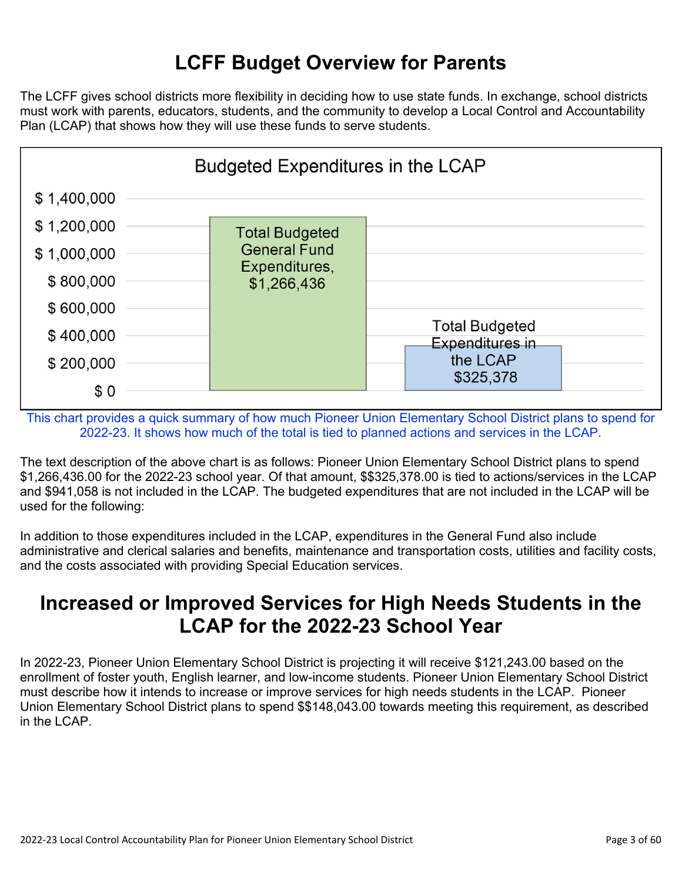## **LCFF Budget Overview for Parents**

The LCFF gives school districts more flexibility in deciding how to use state funds. In exchange, school districts must work with parents, educators, students, and the community to develop a Local Control and Accountability Plan (LCAP) that shows how they will use these funds to serve students.



This chart provides a quick summary of how much Pioneer Union Elementary School District plans to spend for 2022-23. It shows how much of the total is tied to planned actions and services in the LCAP.

The text description of the above chart is as follows: Pioneer Union Elementary School District plans to spend \$1,266,436.00 for the 2022-23 school year. Of that amount, \$\$325,378.00 is tied to actions/services in the LCAP and \$941,058 is not included in the LCAP. The budgeted expenditures that are not included in the LCAP will be used for the following:

In addition to those expenditures included in the LCAP, expenditures in the General Fund also include administrative and clerical salaries and benefits, maintenance and transportation costs, utilities and facility costs, and the costs associated with providing Special Education services.

## **Increased or Improved Services for High Needs Students in the LCAP for the 2022-23 School Year**

In 2022-23, Pioneer Union Elementary School District is projecting it will receive \$121,243.00 based on the enrollment of foster youth, English learner, and low-income students. Pioneer Union Elementary School District must describe how it intends to increase or improve services for high needs students in the LCAP. Pioneer Union Elementary School District plans to spend \$\$148,043.00 towards meeting this requirement, as described in the LCAP.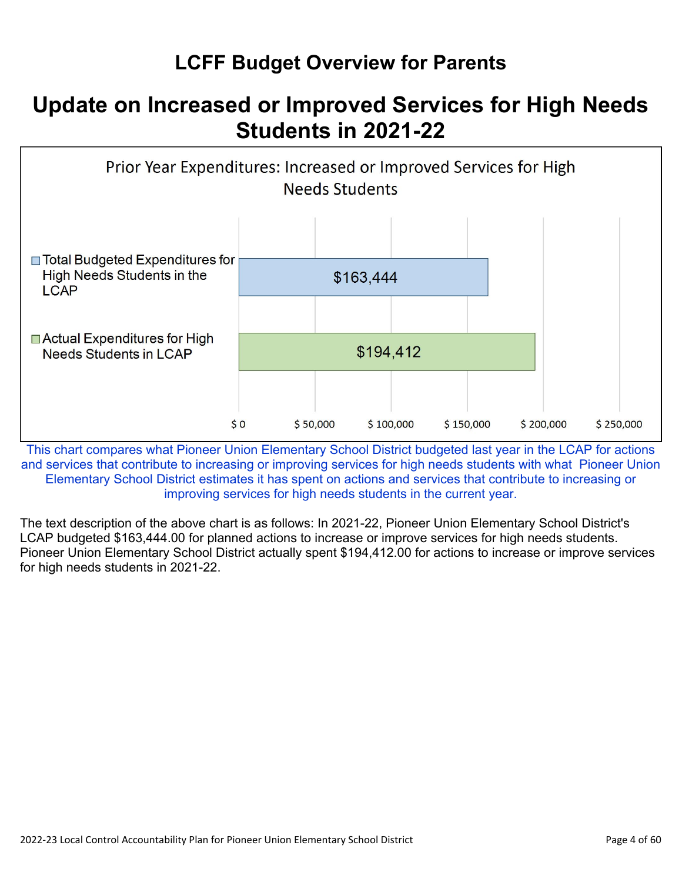## **LCFF Budget Overview for Parents**

# **Update on Increased or Improved Services for High Needs Students in 2021-22**



This chart compares what Pioneer Union Elementary School District budgeted last year in the LCAP for actions and services that contribute to increasing or improving services for high needs students with what Pioneer Union Elementary School District estimates it has spent on actions and services that contribute to increasing or improving services for high needs students in the current year.

The text description of the above chart is as follows: In 2021-22, Pioneer Union Elementary School District's LCAP budgeted \$163,444.00 for planned actions to increase or improve services for high needs students. Pioneer Union Elementary School District actually spent \$194,412.00 for actions to increase or improve services for high needs students in 2021-22.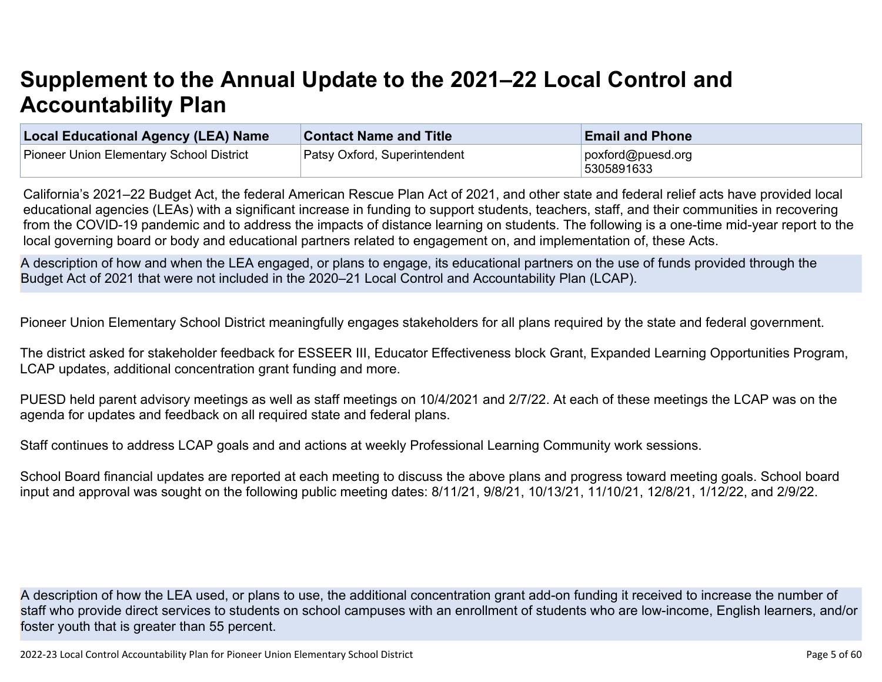# **Supplement to the Annual Update to the 2021–22 Local Control and Accountability Plan**

| Local Educational Agency (LEA) Name             | <b>Contact Name and Title</b> | <b>Email and Phone</b>           |
|-------------------------------------------------|-------------------------------|----------------------------------|
| <b>Pioneer Union Elementary School District</b> | Patsy Oxford, Superintendent  | poxford@puesd.org<br> 5305891633 |

California's 2021–22 Budget Act, the federal American Rescue Plan Act of 2021, and other state and federal relief acts have provided local educational agencies (LEAs) with a significant increase in funding to support students, teachers, staff, and their communities in recovering from the COVID-19 pandemic and to address the impacts of distance learning on students. The following is a one-time mid-year report to the local governing board or body and educational partners related to engagement on, and implementation of, these Acts.

A description of how and when the LEA engaged, or plans to engage, its educational partners on the use of funds provided through the Budget Act of 2021 that were not included in the 2020–21 Local Control and Accountability Plan (LCAP).

Pioneer Union Elementary School District meaningfully engages stakeholders for all plans required by the state and federal government.

The district asked for stakeholder feedback for ESSEER III, Educator Effectiveness block Grant, Expanded Learning Opportunities Program, LCAP updates, additional concentration grant funding and more.

PUESD held parent advisory meetings as well as staff meetings on 10/4/2021 and 2/7/22. At each of these meetings the LCAP was on the agenda for updates and feedback on all required state and federal plans.

Staff continues to address LCAP goals and and actions at weekly Professional Learning Community work sessions.

School Board financial updates are reported at each meeting to discuss the above plans and progress toward meeting goals. School board input and approval was sought on the following public meeting dates: 8/11/21, 9/8/21, 10/13/21, 11/10/21, 12/8/21, 1/12/22, and 2/9/22.

A description of how the LEA used, or plans to use, the additional concentration grant add-on funding it received to increase the number of staff who provide direct services to students on school campuses with an enrollment of students who are low-income, English learners, and/or foster youth that is greater than 55 percent.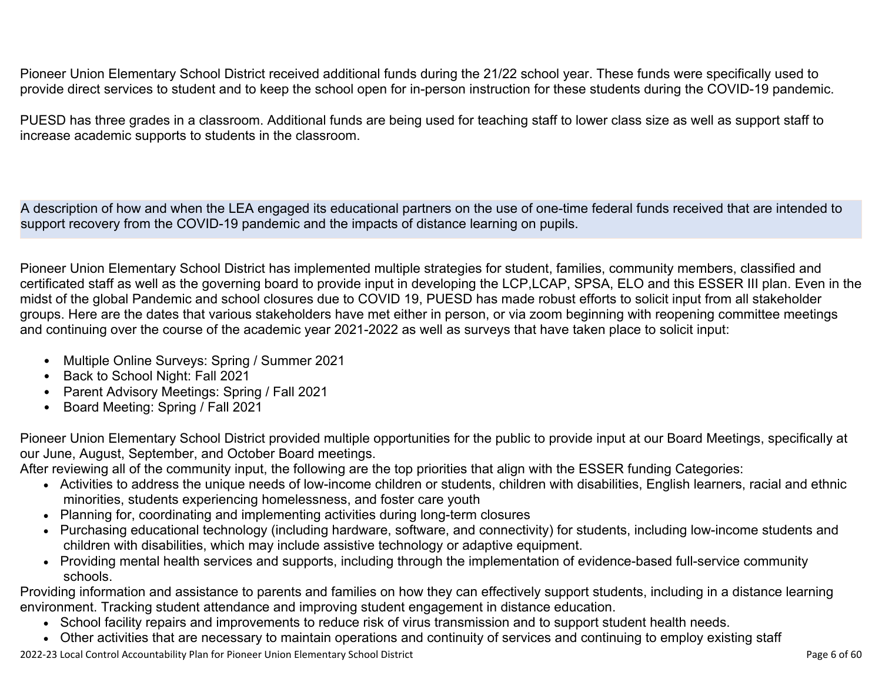Pioneer Union Elementary School District received additional funds during the 21/22 school year. These funds were specifically used to provide direct services to student and to keep the school open for in-person instruction for these students during the COVID-19 pandemic.

PUESD has three grades in a classroom. Additional funds are being used for teaching staff to lower class size as well as support staff to increase academic supports to students in the classroom.

A description of how and when the LEA engaged its educational partners on the use of one-time federal funds received that are intended to support recovery from the COVID-19 pandemic and the impacts of distance learning on pupils.

Pioneer Union Elementary School District has implemented multiple strategies for student, families, community members, classified and certificated staff as well as the governing board to provide input in developing the LCP,LCAP, SPSA, ELO and this ESSER III plan. Even in the midst of the global Pandemic and school closures due to COVID 19, PUESD has made robust efforts to solicit input from all stakeholder groups. Here are the dates that various stakeholders have met either in person, or via zoom beginning with reopening committee meetings and continuing over the course of the academic year 2021-2022 as well as surveys that have taken place to solicit input:

- Multiple Online Surveys: Spring / Summer 2021
- Back to School Night: Fall 2021
- Parent Advisory Meetings: Spring / Fall 2021
- Board Meeting: Spring / Fall 2021

Pioneer Union Elementary School District provided multiple opportunities for the public to provide input at our Board Meetings, specifically at our June, August, September, and October Board meetings.

After reviewing all of the community input, the following are the top priorities that align with the ESSER funding Categories:

- Activities to address the unique needs of low-income children or students, children with disabilities, English learners, racial and ethnic minorities, students experiencing homelessness, and foster care youth
- Planning for, coordinating and implementing activities during long-term closures
- Purchasing educational technology (including hardware, software, and connectivity) for students, including low-income students and children with disabilities, which may include assistive technology or adaptive equipment.
- Providing mental health services and supports, including through the implementation of evidence-based full-service community schools.

Providing information and assistance to parents and families on how they can effectively support students, including in a distance learning environment. Tracking student attendance and improving student engagement in distance education.

- School facility repairs and improvements to reduce risk of virus transmission and to support student health needs.
- Other activities that are necessary to maintain operations and continuity of services and continuing to employ existing staff

2022-23 Local Control Accountability Plan for Pioneer Union Elementary School District **Page 6 of 60** and the state of 60 and the state of 60 and the state of 60 and the Page 6 of 60 and the Page 6 of 60 and the Page 6 of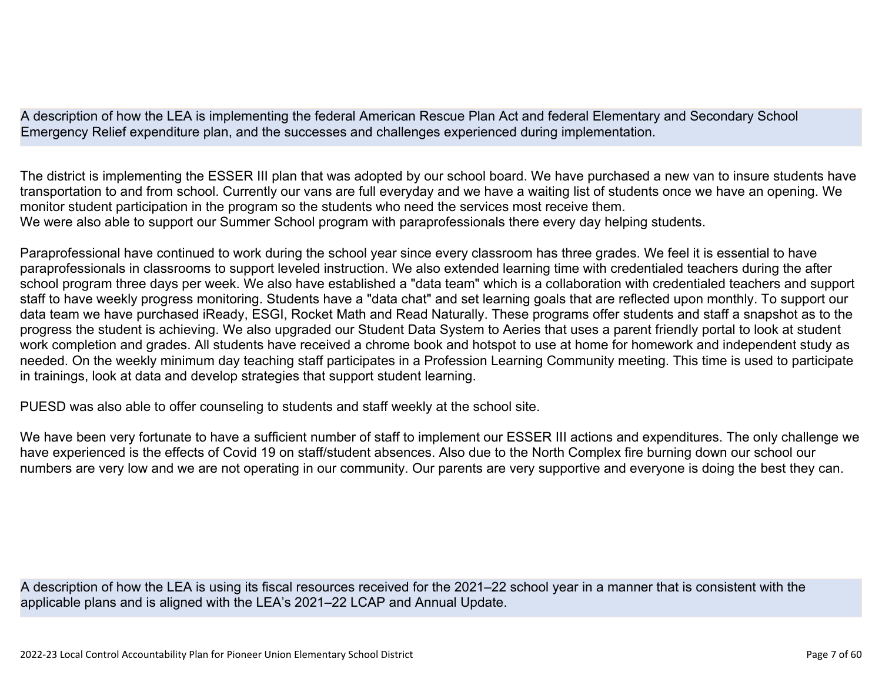A description of how the LEA is implementing the federal American Rescue Plan Act and federal Elementary and Secondary School Emergency Relief expenditure plan, and the successes and challenges experienced during implementation.

The district is implementing the ESSER III plan that was adopted by our school board. We have purchased a new van to insure students have transportation to and from school. Currently our vans are full everyday and we have a waiting list of students once we have an opening. We monitor student participation in the program so the students who need the services most receive them. We were also able to support our Summer School program with paraprofessionals there every day helping students.

Paraprofessional have continued to work during the school year since every classroom has three grades. We feel it is essential to have paraprofessionals in classrooms to support leveled instruction. We also extended learning time with credentialed teachers during the after school program three days per week. We also have established a "data team" which is a collaboration with credentialed teachers and support staff to have weekly progress monitoring. Students have a "data chat" and set learning goals that are reflected upon monthly. To support our data team we have purchased iReady, ESGI, Rocket Math and Read Naturally. These programs offer students and staff a snapshot as to the progress the student is achieving. We also upgraded our Student Data System to Aeries that uses a parent friendly portal to look at student work completion and grades. All students have received a chrome book and hotspot to use at home for homework and independent study as needed. On the weekly minimum day teaching staff participates in a Profession Learning Community meeting. This time is used to participate in trainings, look at data and develop strategies that support student learning.

PUESD was also able to offer counseling to students and staff weekly at the school site.

We have been very fortunate to have a sufficient number of staff to implement our ESSER III actions and expenditures. The only challenge we have experienced is the effects of Covid 19 on staff/student absences. Also due to the North Complex fire burning down our school our numbers are very low and we are not operating in our community. Our parents are very supportive and everyone is doing the best they can.

A description of how the LEA is using its fiscal resources received for the 2021–22 school year in a manner that is consistent with the applicable plans and is aligned with the LEA's 2021–22 LCAP and Annual Update.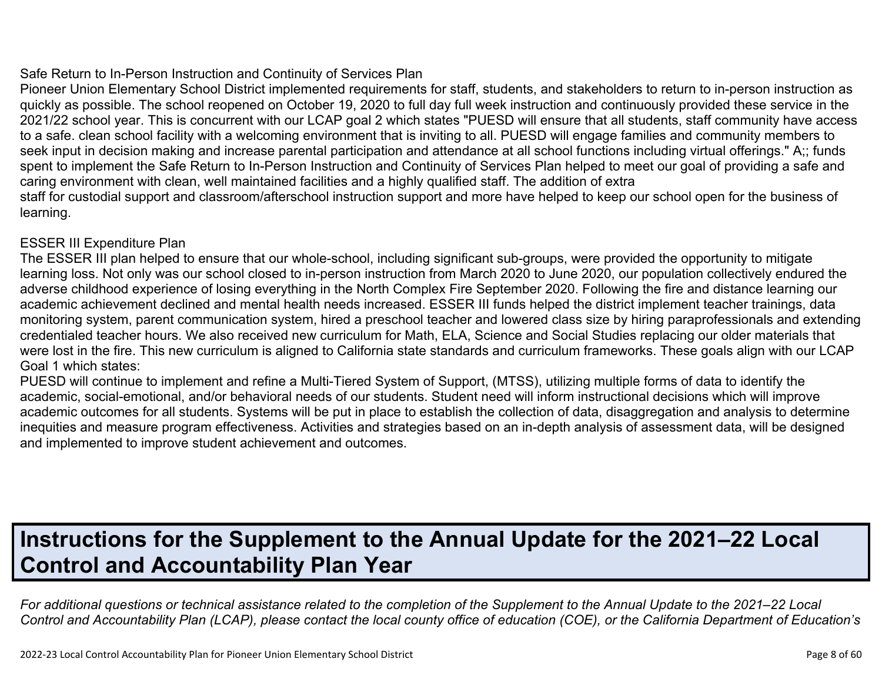#### Safe Return to In-Person Instruction and Continuity of Services Plan

Pioneer Union Elementary School District implemented requirements for staff, students, and stakeholders to return to in-person instruction as quickly as possible. The school reopened on October 19, 2020 to full day full week instruction and continuously provided these service in the 2021/22 school year. This is concurrent with our LCAP goal 2 which states "PUESD will ensure that all students, staff community have access to a safe. clean school facility with a welcoming environment that is inviting to all. PUESD will engage families and community members to seek input in decision making and increase parental participation and attendance at all school functions including virtual offerings." A:: funds spent to implement the Safe Return to In-Person Instruction and Continuity of Services Plan helped to meet our goal of providing a safe and caring environment with clean, well maintained facilities and a highly qualified staff. The addition of extra staff for custodial support and classroom/afterschool instruction support and more have helped to keep our school open for the business of learning.

### ESSER III Expenditure Plan

The ESSER III plan helped to ensure that our whole-school, including significant sub-groups, were provided the opportunity to mitigate learning loss. Not only was our school closed to in-person instruction from March 2020 to June 2020, our population collectively endured the adverse childhood experience of losing everything in the North Complex Fire September 2020. Following the fire and distance learning our academic achievement declined and mental health needs increased. ESSER III funds helped the district implement teacher trainings, data monitoring system, parent communication system, hired a preschool teacher and lowered class size by hiring paraprofessionals and extending credentialed teacher hours. We also received new curriculum for Math, ELA, Science and Social Studies replacing our older materials that were lost in the fire. This new curriculum is aligned to California state standards and curriculum frameworks. These goals align with our LCAP Goal 1 which states:

PUESD will continue to implement and refine a Multi-Tiered System of Support, (MTSS), utilizing multiple forms of data to identify the academic, social-emotional, and/or behavioral needs of our students. Student need will inform instructional decisions which will improve academic outcomes for all students. Systems will be put in place to establish the collection of data, disaggregation and analysis to determine inequities and measure program effectiveness. Activities and strategies based on an in-depth analysis of assessment data, will be designed and implemented to improve student achievement and outcomes.

# **Instructions for the Supplement to the Annual Update for the 2021–22 Local Control and Accountability Plan Year**

*For additional questions or technical assistance related to the completion of the Supplement to the Annual Update to the 2021–22 Local Control and Accountability Plan (LCAP), please contact the local county office of education (COE), or the California Department of Education's*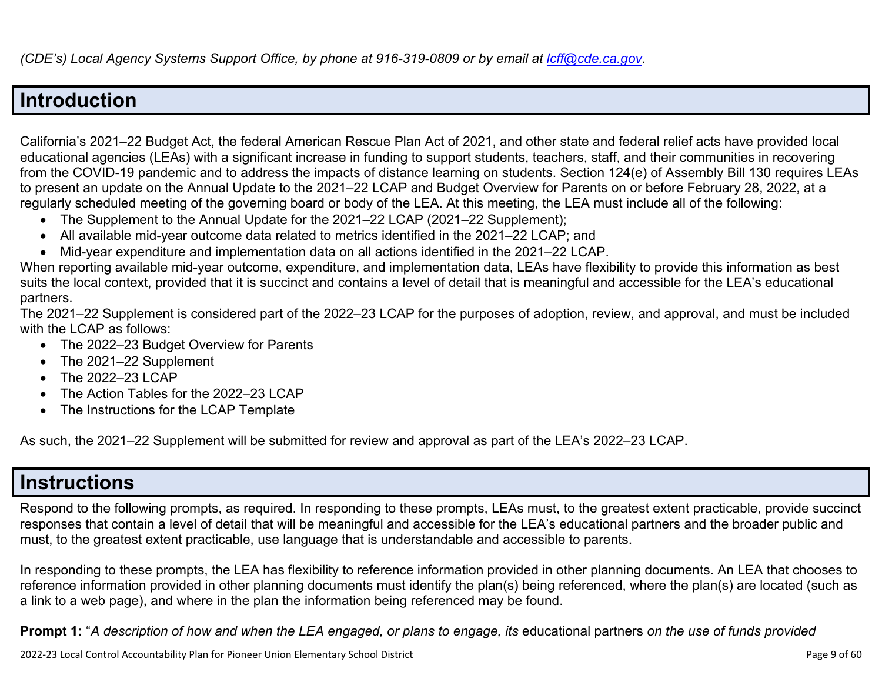## **Introduction**

California's 2021–22 Budget Act, the federal American Rescue Plan Act of 2021, and other state and federal relief acts have provided local educational agencies (LEAs) with a significant increase in funding to support students, teachers, staff, and their communities in recovering from the COVID-19 pandemic and to address the impacts of distance learning on students. Section 124(e) of Assembly Bill 130 requires LEAs to present an update on the Annual Update to the 2021–22 LCAP and Budget Overview for Parents on or before February 28, 2022, at a regularly scheduled meeting of the governing board or body of the LEA. At this meeting, the LEA must include all of the following:

- The Supplement to the Annual Update for the 2021–22 LCAP (2021–22 Supplement);
- All available mid-year outcome data related to metrics identified in the 2021–22 LCAP; and
- Mid-year expenditure and implementation data on all actions identified in the 2021–22 LCAP.

When reporting available mid-year outcome, expenditure, and implementation data, LEAs have flexibility to provide this information as best suits the local context, provided that it is succinct and contains a level of detail that is meaningful and accessible for the LEA's educational partners.

The 2021–22 Supplement is considered part of the 2022–23 LCAP for the purposes of adoption, review, and approval, and must be included with the LCAP as follows:

- The 2022–23 Budget Overview for Parents
- The 2021–22 Supplement
- The 2022–23 LCAP
- The Action Tables for the 2022–23 LCAP
- The Instructions for the LCAP Template

As such, the 2021–22 Supplement will be submitted for review and approval as part of the LEA's 2022–23 LCAP.

## **Instructions**

Respond to the following prompts, as required. In responding to these prompts, LEAs must, to the greatest extent practicable, provide succinct responses that contain a level of detail that will be meaningful and accessible for the LEA's educational partners and the broader public and must, to the greatest extent practicable, use language that is understandable and accessible to parents.

In responding to these prompts, the LEA has flexibility to reference information provided in other planning documents. An LEA that chooses to reference information provided in other planning documents must identify the plan(s) being referenced, where the plan(s) are located (such as a link to a web page), and where in the plan the information being referenced may be found.

**Prompt 1:** "*A description of how and when the LEA engaged, or plans to engage, its* educational partners *on the use of funds provided*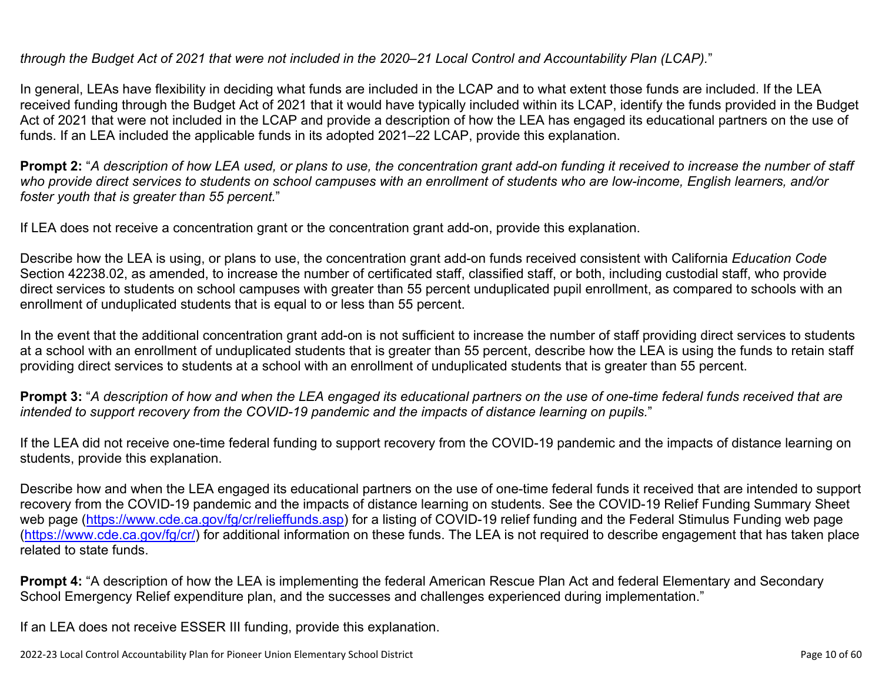*through the Budget Act of 2021 that were not included in the 2020–21 Local Control and Accountability Plan (LCAP).*"

In general, LEAs have flexibility in deciding what funds are included in the LCAP and to what extent those funds are included. If the LEA received funding through the Budget Act of 2021 that it would have typically included within its LCAP, identify the funds provided in the Budget Act of 2021 that were not included in the LCAP and provide a description of how the LEA has engaged its educational partners on the use of funds. If an LEA included the applicable funds in its adopted 2021–22 LCAP, provide this explanation.

**Prompt 2:** "*A description of how LEA used, or plans to use, the concentration grant add-on funding it received to increase the number of staff who provide direct services to students on school campuses with an enrollment of students who are low-income, English learners, and/or foster youth that is greater than 55 percent.*"

If LEA does not receive a concentration grant or the concentration grant add-on, provide this explanation.

Describe how the LEA is using, or plans to use, the concentration grant add-on funds received consistent with California *Education Code* Section 42238.02, as amended, to increase the number of certificated staff, classified staff, or both, including custodial staff, who provide direct services to students on school campuses with greater than 55 percent unduplicated pupil enrollment, as compared to schools with an enrollment of unduplicated students that is equal to or less than 55 percent.

In the event that the additional concentration grant add-on is not sufficient to increase the number of staff providing direct services to students at a school with an enrollment of unduplicated students that is greater than 55 percent, describe how the LEA is using the funds to retain staff providing direct services to students at a school with an enrollment of unduplicated students that is greater than 55 percent.

**Prompt 3:** "*A description of how and when the LEA engaged its educational partners on the use of one-time federal funds received that are intended to support recovery from the COVID-19 pandemic and the impacts of distance learning on pupils.*"

If the LEA did not receive one-time federal funding to support recovery from the COVID-19 pandemic and the impacts of distance learning on students, provide this explanation.

Describe how and when the LEA engaged its educational partners on the use of one-time federal funds it received that are intended to support recovery from the COVID-19 pandemic and the impacts of distance learning on students. See the COVID-19 Relief Funding Summary Sheet web page [\(https://www.cde.ca.gov/fg/cr/relieffunds.asp\)](https://www.cde.ca.gov/fg/cr/relieffunds.asp) for a listing of COVID-19 relief funding and the Federal Stimulus Funding web page (<https://www.cde.ca.gov/fg/cr/>) for additional information on these funds. The LEA is not required to describe engagement that has taken place related to state funds.

**Prompt 4:** "A description of how the LEA is implementing the federal American Rescue Plan Act and federal Elementary and Secondary School Emergency Relief expenditure plan, and the successes and challenges experienced during implementation."

If an LEA does not receive ESSER III funding, provide this explanation.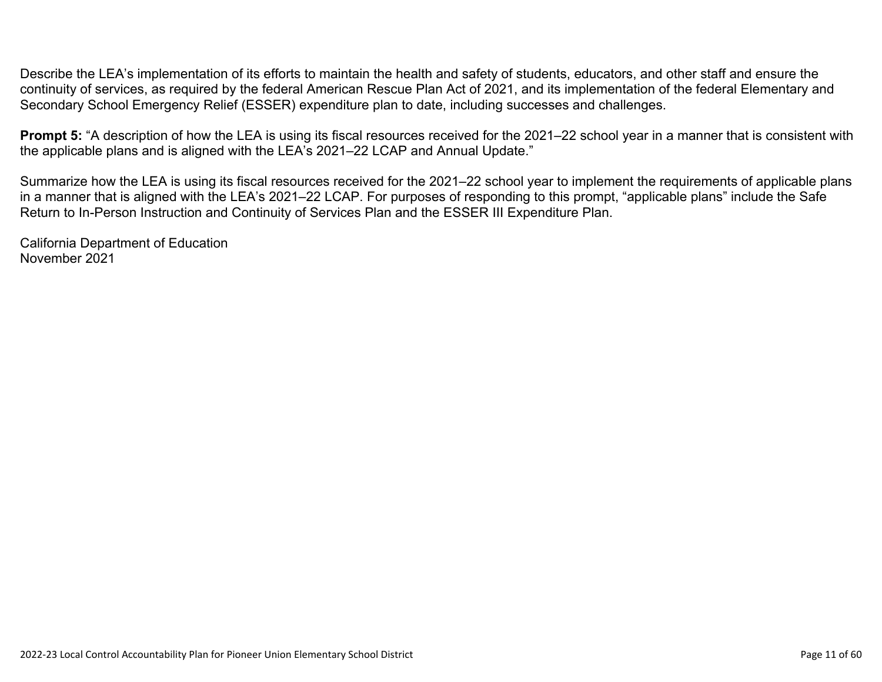Describe the LEA's implementation of its efforts to maintain the health and safety of students, educators, and other staff and ensure the continuity of services, as required by the federal American Rescue Plan Act of 2021, and its implementation of the federal Elementary and Secondary School Emergency Relief (ESSER) expenditure plan to date, including successes and challenges.

**Prompt 5:** "A description of how the LEA is using its fiscal resources received for the 2021–22 school year in a manner that is consistent with the applicable plans and is aligned with the LEA's 2021–22 LCAP and Annual Update."

Summarize how the LEA is using its fiscal resources received for the 2021–22 school year to implement the requirements of applicable plans in a manner that is aligned with the LEA's 2021–22 LCAP. For purposes of responding to this prompt, "applicable plans" include the Safe Return to In-Person Instruction and Continuity of Services Plan and the ESSER III Expenditure Plan.

California Department of Education November 2021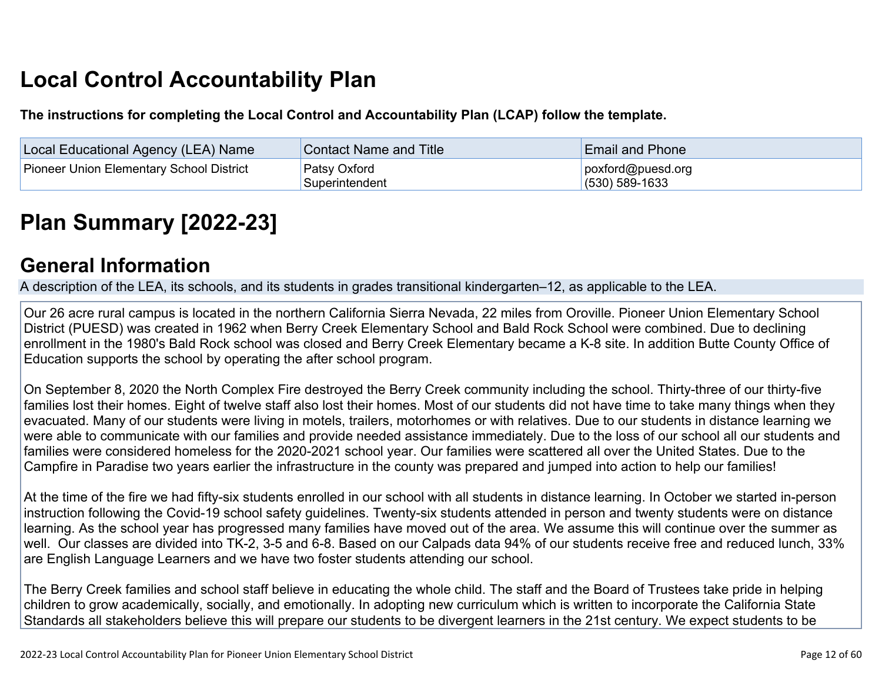# **Local Control Accountability Plan**

**The instructions for completing the Local Control and Accountability Plan (LCAP) follow the template.**

| Local Educational Agency (LEA) Name      | <b>Contact Name and Title</b>  | <b>Email and Phone</b>                |
|------------------------------------------|--------------------------------|---------------------------------------|
| Pioneer Union Elementary School District | Patsy Oxford<br>Superintendent | poxford@puesd.org<br>$(530)$ 589-1633 |

# **[Plan Summary \[2022-23\]](http://www.doc-tracking.com/screenshots/22LCAP/Instructions/22LCAPInstructions.htm#PlanSummary)**

### **[General Information](http://www.doc-tracking.com/screenshots/22LCAP/Instructions/22LCAPInstructions.htm#generalinformation)**

A description of the LEA, its schools, and its students in grades transitional kindergarten–12, as applicable to the LEA.

Our 26 acre rural campus is located in the northern California Sierra Nevada, 22 miles from Oroville. Pioneer Union Elementary School District (PUESD) was created in 1962 when Berry Creek Elementary School and Bald Rock School were combined. Due to declining enrollment in the 1980's Bald Rock school was closed and Berry Creek Elementary became a K-8 site. In addition Butte County Office of Education supports the school by operating the after school program.

On September 8, 2020 the North Complex Fire destroyed the Berry Creek community including the school. Thirty-three of our thirty-five families lost their homes. Eight of twelve staff also lost their homes. Most of our students did not have time to take many things when they evacuated. Many of our students were living in motels, trailers, motorhomes or with relatives. Due to our students in distance learning we were able to communicate with our families and provide needed assistance immediately. Due to the loss of our school all our students and families were considered homeless for the 2020-2021 school year. Our families were scattered all over the United States. Due to the Campfire in Paradise two years earlier the infrastructure in the county was prepared and jumped into action to help our families!

At the time of the fire we had fifty-six students enrolled in our school with all students in distance learning. In October we started in-person instruction following the Covid-19 school safety guidelines. Twenty-six students attended in person and twenty students were on distance learning. As the school year has progressed many families have moved out of the area. We assume this will continue over the summer as well. Our classes are divided into TK-2, 3-5 and 6-8. Based on our Calpads data 94% of our students receive free and reduced lunch, 33% are English Language Learners and we have two foster students attending our school.

The Berry Creek families and school staff believe in educating the whole child. The staff and the Board of Trustees take pride in helping children to grow academically, socially, and emotionally. In adopting new curriculum which is written to incorporate the California State Standards all stakeholders believe this will prepare our students to be divergent learners in the 21st century. We expect students to be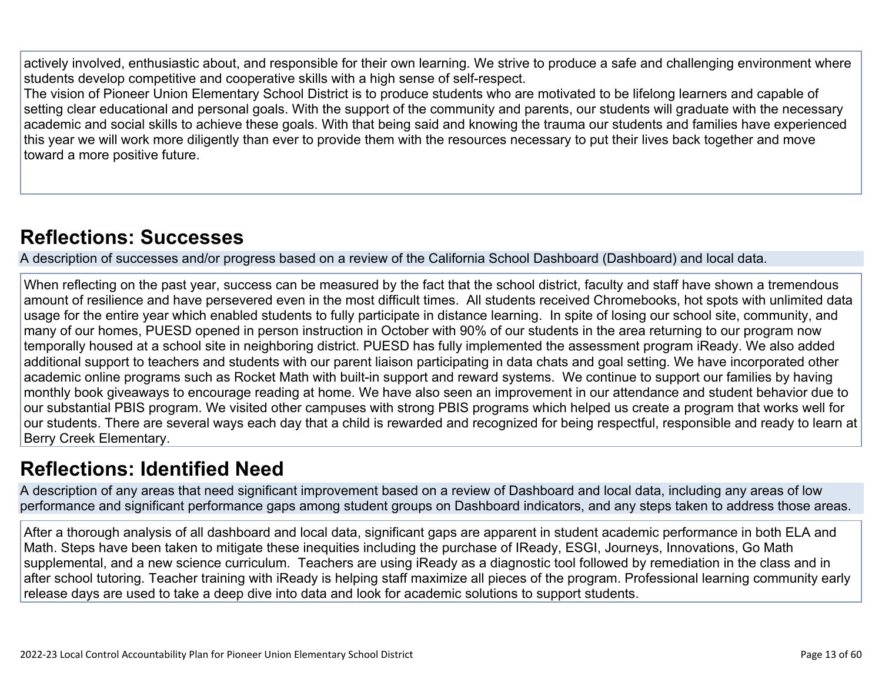actively involved, enthusiastic about, and responsible for their own learning. We strive to produce a safe and challenging environment where students develop competitive and cooperative skills with a high sense of self-respect.

The vision of Pioneer Union Elementary School District is to produce students who are motivated to be lifelong learners and capable of setting clear educational and personal goals. With the support of the community and parents, our students will graduate with the necessary academic and social skills to achieve these goals. With that being said and knowing the trauma our students and families have experienced this year we will work more diligently than ever to provide them with the resources necessary to put their lives back together and move toward a more positive future.

## **[Reflections: Successes](http://www.doc-tracking.com/screenshots/22LCAP/Instructions/22LCAPInstructions.htm#ReflectionsSuccesses)**

A description of successes and/or progress based on a review of the California School Dashboard (Dashboard) and local data.

When reflecting on the past year, success can be measured by the fact that the school district, faculty and staff have shown a tremendous amount of resilience and have persevered even in the most difficult times. All students received Chromebooks, hot spots with unlimited data usage for the entire year which enabled students to fully participate in distance learning. In spite of losing our school site, community, and many of our homes, PUESD opened in person instruction in October with 90% of our students in the area returning to our program now temporally housed at a school site in neighboring district. PUESD has fully implemented the assessment program iReady. We also added additional support to teachers and students with our parent liaison participating in data chats and goal setting. We have incorporated other academic online programs such as Rocket Math with built-in support and reward systems. We continue to support our families by having monthly book giveaways to encourage reading at home. We have also seen an improvement in our attendance and student behavior due to our substantial PBIS program. We visited other campuses with strong PBIS programs which helped us create a program that works well for our students. There are several ways each day that a child is rewarded and recognized for being respectful, responsible and ready to learn at Berry Creek Elementary.

## **[Reflections: Identified Need](http://www.doc-tracking.com/screenshots/22LCAP/Instructions/22LCAPInstructions.htm#ReflectionsIdentifiedNeed)**

A description of any areas that need significant improvement based on a review of Dashboard and local data, including any areas of low performance and significant performance gaps among student groups on Dashboard indicators, and any steps taken to address those areas.

After a thorough analysis of all dashboard and local data, significant gaps are apparent in student academic performance in both ELA and Math. Steps have been taken to mitigate these inequities including the purchase of IReady, ESGI, Journeys, Innovations, Go Math supplemental, and a new science curriculum. Teachers are using iReady as a diagnostic tool followed by remediation in the class and in after school tutoring. Teacher training with iReady is helping staff maximize all pieces of the program. Professional learning community early release days are used to take a deep dive into data and look for academic solutions to support students.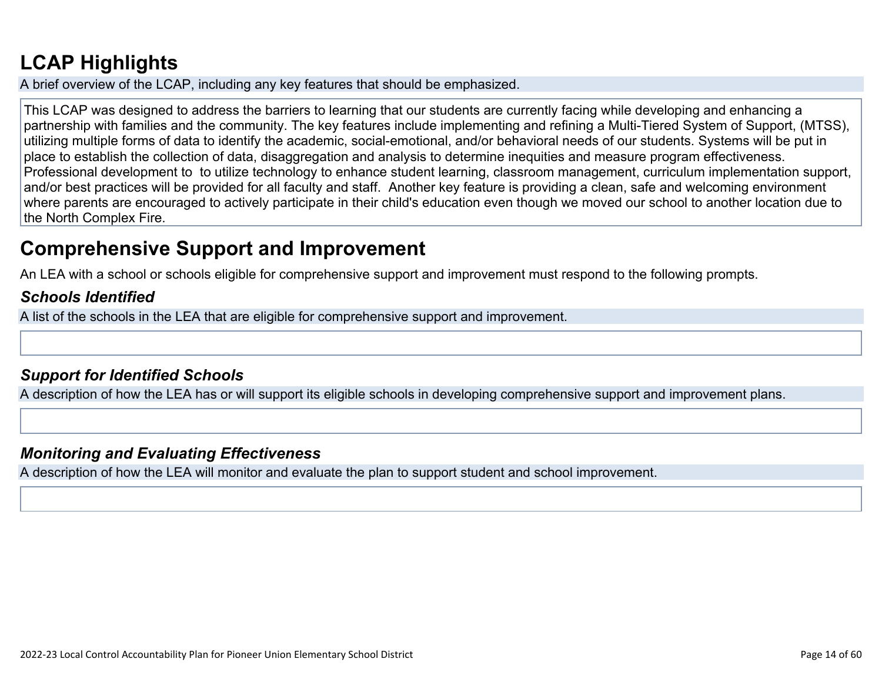# **[LCAP Highlights](http://www.doc-tracking.com/screenshots/22LCAP/Instructions/22LCAPInstructions.htm#LCAPHighlights)**

A brief overview of the LCAP, including any key features that should be emphasized.

This LCAP was designed to address the barriers to learning that our students are currently facing while developing and enhancing a partnership with families and the community. The key features include implementing and refining a Multi-Tiered System of Support, (MTSS), utilizing multiple forms of data to identify the academic, social-emotional, and/or behavioral needs of our students. Systems will be put in place to establish the collection of data, disaggregation and analysis to determine inequities and measure program effectiveness. Professional development to to utilize technology to enhance student learning, classroom management, curriculum implementation support, and/or best practices will be provided for all faculty and staff. Another key feature is providing a clean, safe and welcoming environment where parents are encouraged to actively participate in their child's education even though we moved our school to another location due to the North Complex Fire.

## **Comprehensive Support and Improvement**

An LEA with a school or schools eligible for comprehensive support and improvement must respond to the following prompts.

### *[Schools Identified](http://www.doc-tracking.com/screenshots/22LCAP/Instructions/22LCAPInstructions.htm#SchoolsIdentified)*

A list of the schools in the LEA that are eligible for comprehensive support and improvement.

### *[Support for Identified Schools](http://www.doc-tracking.com/screenshots/22LCAP/Instructions/22LCAPInstructions.htm#SupportforIdentifiedSchools)*

A description of how the LEA has or will support its eligible schools in developing comprehensive support and improvement plans.

#### *[Monitoring and Evaluating Effectiveness](http://www.doc-tracking.com/screenshots/22LCAP/Instructions/22LCAPInstructions.htm#MonitoringandEvaluatingEffectiveness)*

A description of how the LEA will monitor and evaluate the plan to support student and school improvement.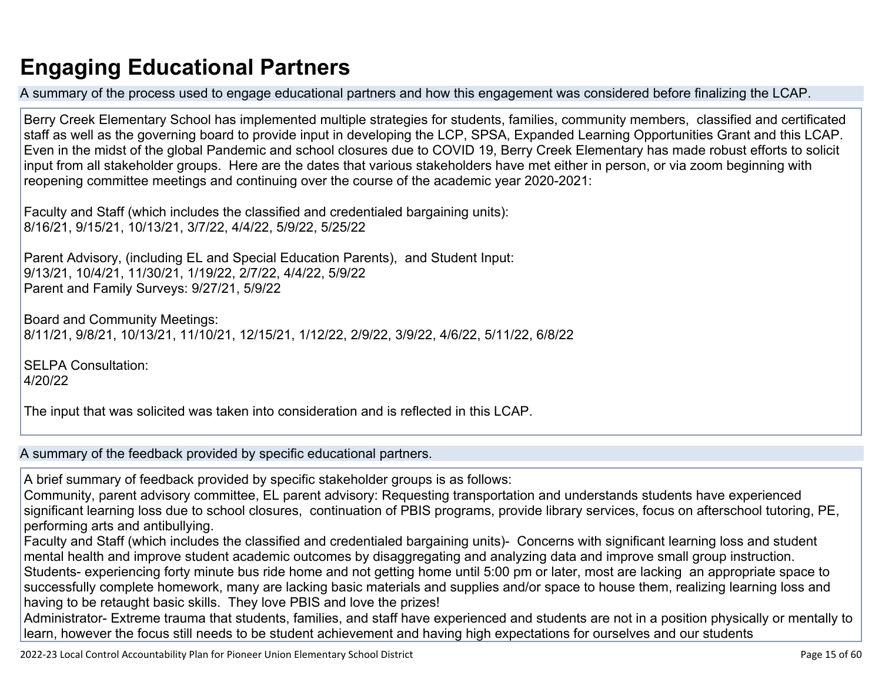# **Engaging Educational Partners**

A summary of the process used to engage educational partners and how this engagement was considered before finalizing the LCAP.

Berry Creek Elementary School has implemented multiple strategies for students, families, community members, classified and certificated staff as well as the governing board to provide input in developing the LCP, SPSA, Expanded Learning Opportunities Grant and this LCAP. Even in the midst of the global Pandemic and school closures due to COVID 19, Berry Creek Elementary has made robust efforts to solicit input from all stakeholder groups. Here are the dates that various stakeholders have met either in person, or via zoom beginning with reopening committee meetings and continuing over the course of the academic year 2020-2021:

Faculty and Staff (which includes the classified and credentialed bargaining units): 8/16/21, 9/15/21, 10/13/21, 3/7/22, 4/4/22, 5/9/22, 5/25/22

Parent Advisory, (including EL and Special Education Parents), and Student Input: 9/13/21, 10/4/21, 11/30/21, 1/19/22, 2/7/22, 4/4/22, 5/9/22 Parent and Family Surveys: 9/27/21, 5/9/22

Board and Community Meetings: 8/11/21, 9/8/21, 10/13/21, 11/10/21, 12/15/21, 1/12/22, 2/9/22, 3/9/22, 4/6/22, 5/11/22, 6/8/22

SELPA Consultation: 4/20/22

The input that was solicited was taken into consideration and is reflected in this LCAP.

A summary of the feedback provided by specific educational partners.

A brief summary of feedback provided by specific stakeholder groups is as follows:

Community, parent advisory committee, EL parent advisory: Requesting transportation and understands students have experienced significant learning loss due to school closures, continuation of PBIS programs, provide library services, focus on afterschool tutoring, PE, performing arts and antibullying.

Faculty and Staff (which includes the classified and credentialed bargaining units)- Concerns with significant learning loss and student mental health and improve student academic outcomes by disaggregating and analyzing data and improve small group instruction. Students- experiencing forty minute bus ride home and not getting home until 5:00 pm or later, most are lacking an appropriate space to successfully complete homework, many are lacking basic materials and supplies and/or space to house them, realizing learning loss and having to be retaught basic skills. They love PBIS and love the prizes!

Administrator- Extreme trauma that students, families, and staff have experienced and students are not in a position physically or mentally to learn, however the focus still needs to be student achievement and having high expectations for ourselves and our students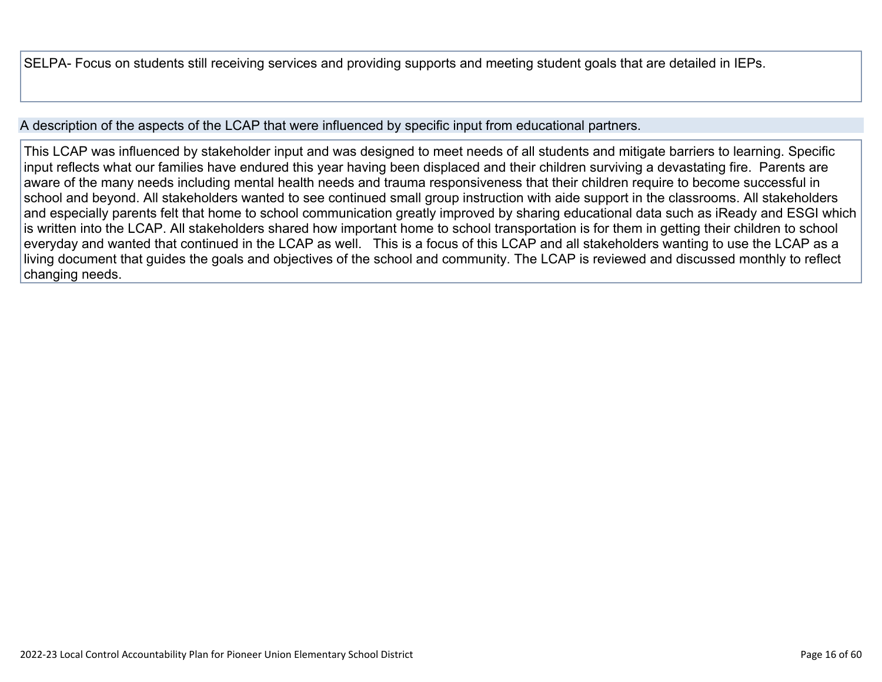SELPA- Focus on students still receiving services and providing supports and meeting student goals that are detailed in IEPs.

#### A description of the aspects of the LCAP that were influenced by specific input from educational partners.

This LCAP was influenced by stakeholder input and was designed to meet needs of all students and mitigate barriers to learning. Specific input reflects what our families have endured this year having been displaced and their children surviving a devastating fire. Parents are aware of the many needs including mental health needs and trauma responsiveness that their children require to become successful in school and beyond. All stakeholders wanted to see continued small group instruction with aide support in the classrooms. All stakeholders and especially parents felt that home to school communication greatly improved by sharing educational data such as iReady and ESGI which is written into the LCAP. All stakeholders shared how important home to school transportation is for them in getting their children to school everyday and wanted that continued in the LCAP as well. This is a focus of this LCAP and all stakeholders wanting to use the LCAP as a living document that guides the goals and objectives of the school and community. The LCAP is reviewed and discussed monthly to reflect changing needs.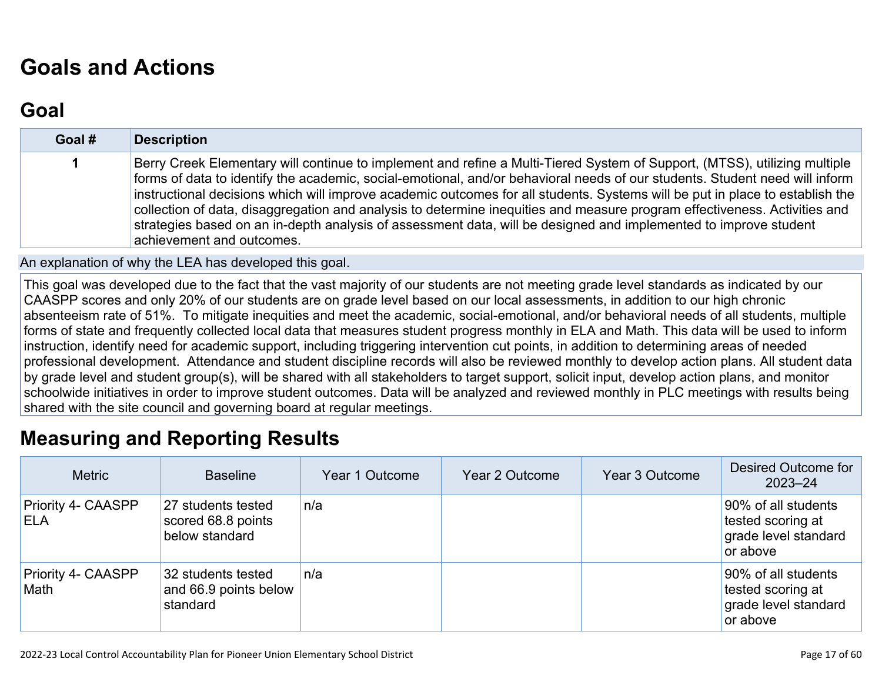# **[Goals and Actions](http://www.doc-tracking.com/screenshots/22LCAP/Instructions/22LCAPInstructions.htm#GoalsandActions)**

## **[Goal](http://www.doc-tracking.com/screenshots/22LCAP/Instructions/22LCAPInstructions.htm#goalDescription)**

| Goal # | <b>Description</b>                                                                                                                                                                                                                                                                                                                                                                                                                                                                                                                                                                                                                                                     |
|--------|------------------------------------------------------------------------------------------------------------------------------------------------------------------------------------------------------------------------------------------------------------------------------------------------------------------------------------------------------------------------------------------------------------------------------------------------------------------------------------------------------------------------------------------------------------------------------------------------------------------------------------------------------------------------|
|        | Berry Creek Elementary will continue to implement and refine a Multi-Tiered System of Support, (MTSS), utilizing multiple<br>forms of data to identify the academic, social-emotional, and/or behavioral needs of our students. Student need will inform<br>instructional decisions which will improve academic outcomes for all students. Systems will be put in place to establish the<br>collection of data, disaggregation and analysis to determine inequities and measure program effectiveness. Activities and<br>strategies based on an in-depth analysis of assessment data, will be designed and implemented to improve student<br>achievement and outcomes. |

An explanation of why the LEA has developed this goal.

This goal was developed due to the fact that the vast majority of our students are not meeting grade level standards as indicated by our CAASPP scores and only 20% of our students are on grade level based on our local assessments, in addition to our high chronic absenteeism rate of 51%. To mitigate inequities and meet the academic, social-emotional, and/or behavioral needs of all students, multiple forms of state and frequently collected local data that measures student progress monthly in ELA and Math. This data will be used to inform instruction, identify need for academic support, including triggering intervention cut points, in addition to determining areas of needed professional development. Attendance and student discipline records will also be reviewed monthly to develop action plans. All student data by grade level and student group(s), will be shared with all stakeholders to target support, solicit input, develop action plans, and monitor schoolwide initiatives in order to improve student outcomes. Data will be analyzed and reviewed monthly in PLC meetings with results being shared with the site council and governing board at regular meetings.

## **[Measuring and Reporting Results](http://www.doc-tracking.com/screenshots/22LCAP/Instructions/22LCAPInstructions.htm#MeasuringandReportingResults)**

| <b>Metric</b>                     | <b>Baseline</b>                                            | Year 1 Outcome | Year 2 Outcome | Year 3 Outcome | Desired Outcome for<br>$2023 - 24$                                           |
|-----------------------------------|------------------------------------------------------------|----------------|----------------|----------------|------------------------------------------------------------------------------|
| Priority 4- CAASPP<br><b>ELA</b>  | 27 students tested<br>scored 68.8 points<br>below standard | n/a            |                |                | 90% of all students<br>tested scoring at<br>grade level standard<br>or above |
| <b>Priority 4- CAASPP</b><br>Math | 32 students tested<br>and 66.9 points below<br>standard    | n/a            |                |                | 90% of all students<br>tested scoring at<br>grade level standard<br>or above |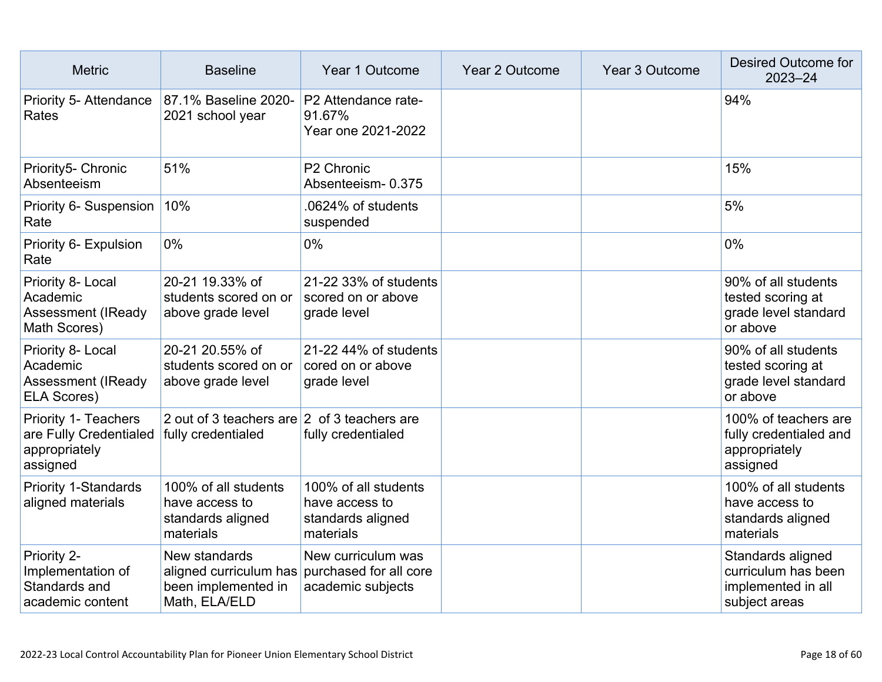| <b>Metric</b>                                                                      | <b>Baseline</b>                                                                                        | Year 1 Outcome                                                           | Year 2 Outcome | Year 3 Outcome | <b>Desired Outcome for</b><br>$2023 - 24$                                       |
|------------------------------------------------------------------------------------|--------------------------------------------------------------------------------------------------------|--------------------------------------------------------------------------|----------------|----------------|---------------------------------------------------------------------------------|
| Priority 5- Attendance<br>Rates                                                    | 87.1% Baseline 2020-<br>2021 school year                                                               | P2 Attendance rate-<br>91.67%<br>Year one 2021-2022                      |                |                | 94%                                                                             |
| Priority5- Chronic<br>Absenteeism                                                  | 51%                                                                                                    | P <sub>2</sub> Chronic<br>Absenteeism-0.375                              |                |                | 15%                                                                             |
| Priority 6- Suspension<br>Rate                                                     | 10%                                                                                                    | .0624% of students<br>suspended                                          |                |                | 5%                                                                              |
| Priority 6- Expulsion<br>Rate                                                      | 0%                                                                                                     | 0%                                                                       |                |                | $0\%$                                                                           |
| Priority 8- Local<br>Academic<br><b>Assessment (IReady</b><br>Math Scores)         | 20-21 19.33% of<br>students scored on or<br>above grade level                                          | 21-22 33% of students<br>scored on or above<br>grade level               |                |                | 90% of all students<br>tested scoring at<br>grade level standard<br>or above    |
| Priority 8- Local<br>Academic<br>Assessment (IReady<br><b>ELA Scores)</b>          | 20-21 20.55% of<br>students scored on or<br>above grade level                                          | 21-22 44% of students<br>cored on or above<br>grade level                |                |                | 90% of all students<br>tested scoring at<br>grade level standard<br>or above    |
| <b>Priority 1- Teachers</b><br>are Fully Credentialed<br>appropriately<br>assigned | 2 out of 3 teachers are 2 of 3 teachers are<br>fully credentialed                                      | fully credentialed                                                       |                |                | 100% of teachers are<br>fully credentialed and<br>appropriately<br>assigned     |
| <b>Priority 1-Standards</b><br>aligned materials                                   | 100% of all students<br>have access to<br>standards aligned<br>materials                               | 100% of all students<br>have access to<br>standards aligned<br>materials |                |                | 100% of all students<br>have access to<br>standards aligned<br>materials        |
| Priority 2-<br>Implementation of<br>Standards and<br>academic content              | New standards<br>aligned curriculum has purchased for all core<br>been implemented in<br>Math, ELA/ELD | New curriculum was<br>academic subjects                                  |                |                | Standards aligned<br>curriculum has been<br>implemented in all<br>subject areas |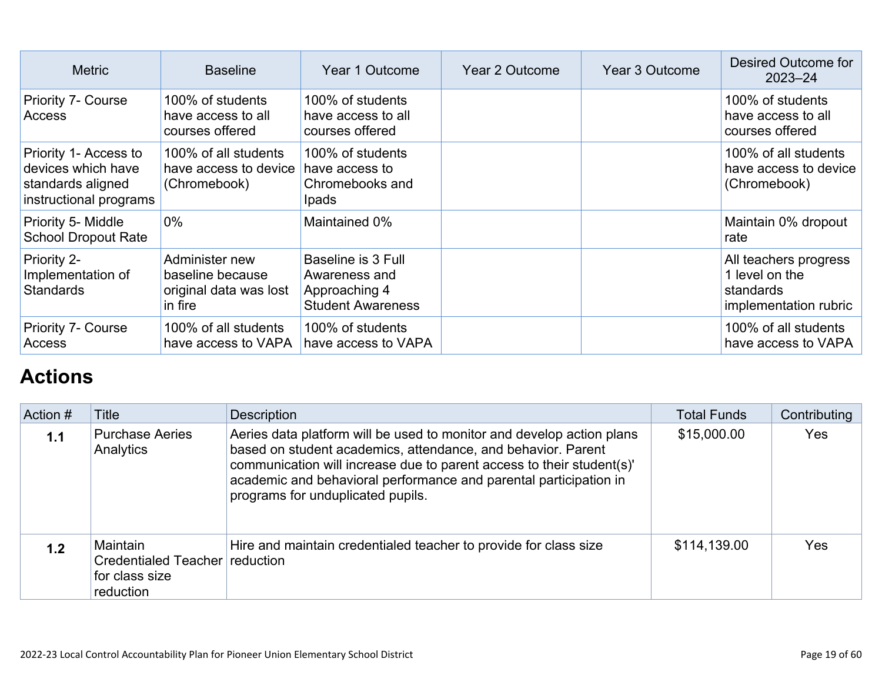| <b>Metric</b>                                                                              | <b>Baseline</b>                                                         | Year 1 Outcome                                                                   | <b>Year 2 Outcome</b> | Year 3 Outcome | Desired Outcome for<br>$2023 - 24$                                            |
|--------------------------------------------------------------------------------------------|-------------------------------------------------------------------------|----------------------------------------------------------------------------------|-----------------------|----------------|-------------------------------------------------------------------------------|
| Priority 7- Course<br>Access                                                               | 100% of students<br>have access to all<br>courses offered               | 100% of students<br>have access to all<br>courses offered                        |                       |                | 100% of students<br>have access to all<br>courses offered                     |
| Priority 1- Access to<br>devices which have<br>standards aligned<br>instructional programs | 100% of all students<br>have access to device<br>(Chromebook)           | 100% of students<br>have access to<br>Chromebooks and<br><b>Ipads</b>            |                       |                | 100% of all students<br>have access to device<br>(Chromebook)                 |
| Priority 5- Middle<br><b>School Dropout Rate</b>                                           | $0\%$                                                                   | Maintained 0%                                                                    |                       |                | Maintain 0% dropout<br>rate                                                   |
| Priority 2-<br>Implementation of<br><b>Standards</b>                                       | Administer new<br>baseline because<br>original data was lost<br>in fire | Baseline is 3 Full<br>Awareness and<br>Approaching 4<br><b>Student Awareness</b> |                       |                | All teachers progress<br>1 level on the<br>standards<br>implementation rubric |
| <b>Priority 7- Course</b><br>Access                                                        | 100% of all students<br>have access to VAPA                             | 100% of students<br>have access to VAPA                                          |                       |                | 100% of all students<br>have access to VAPA                                   |

# **[Actions](http://www.doc-tracking.com/screenshots/22LCAP/Instructions/22LCAPInstructions.htm#actions)**

| Action # | <b>Title</b>                                                              | <b>Description</b>                                                                                                                                                                                                                                                                                                       | <b>Total Funds</b> | Contributing |
|----------|---------------------------------------------------------------------------|--------------------------------------------------------------------------------------------------------------------------------------------------------------------------------------------------------------------------------------------------------------------------------------------------------------------------|--------------------|--------------|
| 1.1      | <b>Purchase Aeries</b><br>Analytics                                       | Aeries data platform will be used to monitor and develop action plans<br>based on student academics, attendance, and behavior. Parent<br>communication will increase due to parent access to their student(s)'<br>academic and behavioral performance and parental participation in<br>programs for unduplicated pupils. | \$15,000.00        | Yes          |
| 1.2      | Maintain<br>Credentialed Teacher reduction<br>for class size<br>reduction | Hire and maintain credentialed teacher to provide for class size                                                                                                                                                                                                                                                         | \$114,139.00       | Yes          |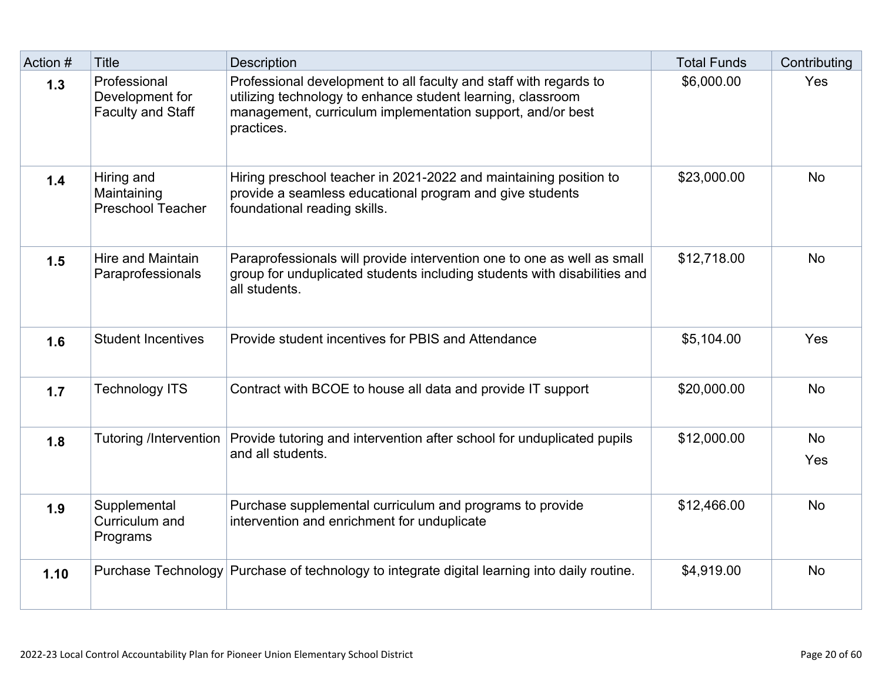| Action # | <b>Title</b>                                                | Description                                                                                                                                                                                                  | <b>Total Funds</b> | Contributing     |
|----------|-------------------------------------------------------------|--------------------------------------------------------------------------------------------------------------------------------------------------------------------------------------------------------------|--------------------|------------------|
| 1.3      | Professional<br>Development for<br><b>Faculty and Staff</b> | Professional development to all faculty and staff with regards to<br>utilizing technology to enhance student learning, classroom<br>management, curriculum implementation support, and/or best<br>practices. | \$6,000.00         | Yes              |
| 1.4      | Hiring and<br>Maintaining<br><b>Preschool Teacher</b>       | Hiring preschool teacher in 2021-2022 and maintaining position to<br>provide a seamless educational program and give students<br>foundational reading skills.                                                | \$23,000.00        | <b>No</b>        |
| 1.5      | <b>Hire and Maintain</b><br>Paraprofessionals               | Paraprofessionals will provide intervention one to one as well as small<br>group for unduplicated students including students with disabilities and<br>all students.                                         | \$12,718.00        | <b>No</b>        |
| 1.6      | <b>Student Incentives</b>                                   | Provide student incentives for PBIS and Attendance                                                                                                                                                           | \$5,104.00         | Yes              |
| 1.7      | <b>Technology ITS</b>                                       | Contract with BCOE to house all data and provide IT support                                                                                                                                                  | \$20,000.00        | <b>No</b>        |
| 1.8      | <b>Tutoring /Intervention</b>                               | Provide tutoring and intervention after school for unduplicated pupils<br>and all students.                                                                                                                  | \$12,000.00        | <b>No</b><br>Yes |
| 1.9      | Supplemental<br>Curriculum and<br>Programs                  | Purchase supplemental curriculum and programs to provide<br>intervention and enrichment for unduplicate                                                                                                      | \$12,466.00        | <b>No</b>        |
| 1.10     |                                                             | Purchase Technology Purchase of technology to integrate digital learning into daily routine.                                                                                                                 | \$4,919.00         | <b>No</b>        |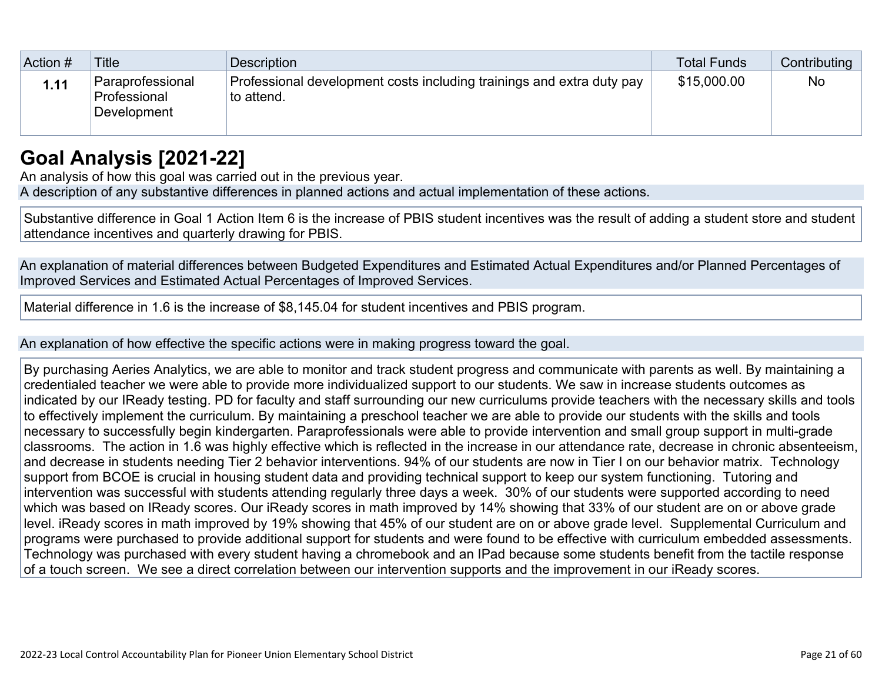| Action # | <b>Title</b>                                    | Description                                                                         | Total Funds | Contributing |
|----------|-------------------------------------------------|-------------------------------------------------------------------------------------|-------------|--------------|
| 1.11     | Paraprofessional<br>Professional<br>Development | Professional development costs including trainings and extra duty pay<br>to attend. | \$15,000.00 | <b>No</b>    |

## **[Goal Analysis \[2021-22\]](http://www.doc-tracking.com/screenshots/22LCAP/Instructions/22LCAPInstructions.htm#GoalAnalysis)**

An analysis of how this goal was carried out in the previous year.

A description of any substantive differences in planned actions and actual implementation of these actions.

Substantive difference in Goal 1 Action Item 6 is the increase of PBIS student incentives was the result of adding a student store and student attendance incentives and quarterly drawing for PBIS.

An explanation of material differences between Budgeted Expenditures and Estimated Actual Expenditures and/or Planned Percentages of Improved Services and Estimated Actual Percentages of Improved Services.

Material difference in 1.6 is the increase of \$8,145.04 for student incentives and PBIS program.

An explanation of how effective the specific actions were in making progress toward the goal.

By purchasing Aeries Analytics, we are able to monitor and track student progress and communicate with parents as well. By maintaining a credentialed teacher we were able to provide more individualized support to our students. We saw in increase students outcomes as indicated by our IReady testing. PD for faculty and staff surrounding our new curriculums provide teachers with the necessary skills and tools to effectively implement the curriculum. By maintaining a preschool teacher we are able to provide our students with the skills and tools necessary to successfully begin kindergarten. Paraprofessionals were able to provide intervention and small group support in multi-grade classrooms. The action in 1.6 was highly effective which is reflected in the increase in our attendance rate, decrease in chronic absenteeism, and decrease in students needing Tier 2 behavior interventions. 94% of our students are now in Tier I on our behavior matrix. Technology support from BCOE is crucial in housing student data and providing technical support to keep our system functioning. Tutoring and intervention was successful with students attending regularly three days a week. 30% of our students were supported according to need which was based on IReady scores. Our iReady scores in math improved by 14% showing that 33% of our student are on or above grade level. iReady scores in math improved by 19% showing that 45% of our student are on or above grade level. Supplemental Curriculum and programs were purchased to provide additional support for students and were found to be effective with curriculum embedded assessments. Technology was purchased with every student having a chromebook and an IPad because some students benefit from the tactile response of a touch screen. We see a direct correlation between our intervention supports and the improvement in our iReady scores.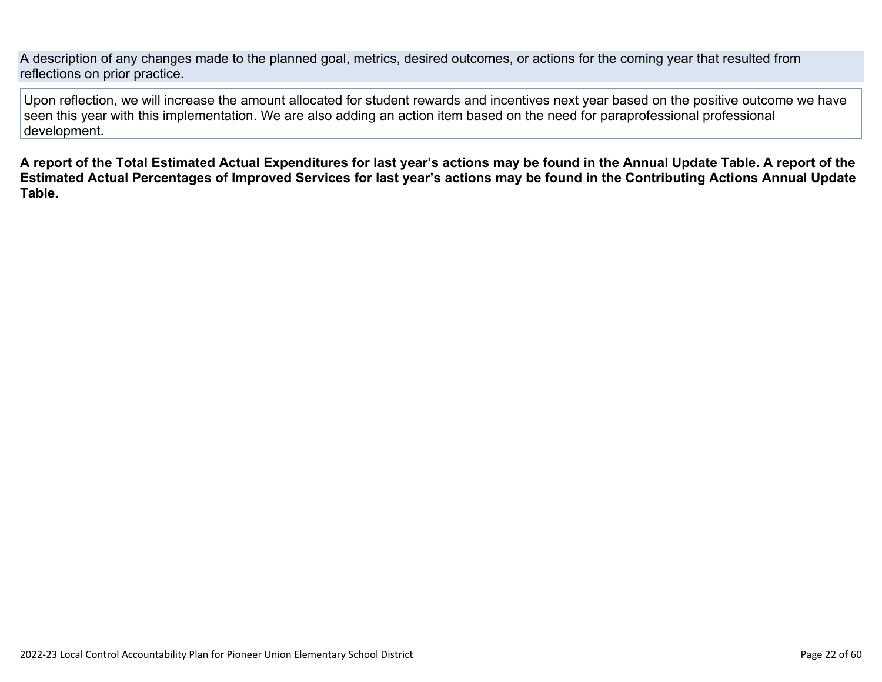A description of any changes made to the planned goal, metrics, desired outcomes, or actions for the coming year that resulted from reflections on prior practice.

Upon reflection, we will increase the amount allocated for student rewards and incentives next year based on the positive outcome we have seen this year with this implementation. We are also adding an action item based on the need for paraprofessional professional development.

**A report of the Total Estimated Actual Expenditures for last year's actions may be found in the Annual Update Table. A report of the Estimated Actual Percentages of Improved Services for last year's actions may be found in the Contributing Actions Annual Update Table.**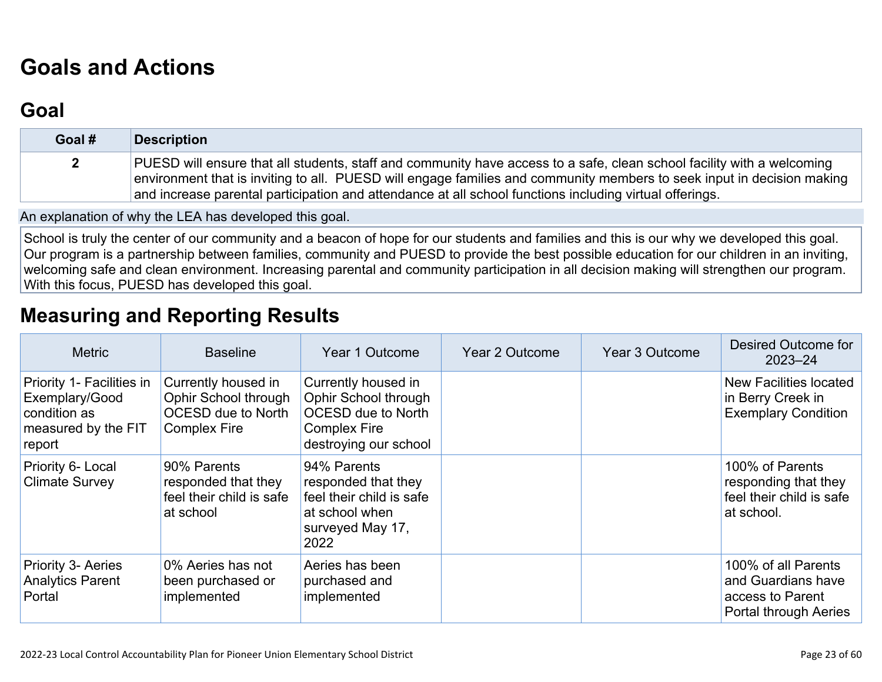# **[Goals and Actions](http://www.doc-tracking.com/screenshots/22LCAP/Instructions/22LCAPInstructions.htm#GoalsandActions)**

## **[Goal](http://www.doc-tracking.com/screenshots/22LCAP/Instructions/22LCAPInstructions.htm#goalDescription)**

| Goal #       | <b>Description</b>                                                                                                                                                                                                                                                                                                                                          |
|--------------|-------------------------------------------------------------------------------------------------------------------------------------------------------------------------------------------------------------------------------------------------------------------------------------------------------------------------------------------------------------|
| $\mathbf{2}$ | PUESD will ensure that all students, staff and community have access to a safe, clean school facility with a welcoming<br>environment that is inviting to all. PUESD will engage families and community members to seek input in decision making<br>and increase parental participation and attendance at all school functions including virtual offerings. |

An explanation of why the LEA has developed this goal.

School is truly the center of our community and a beacon of hope for our students and families and this is our why we developed this goal. Our program is a partnership between families, community and PUESD to provide the best possible education for our children in an inviting, welcoming safe and clean environment. Increasing parental and community participation in all decision making will strengthen our program. With this focus, PUESD has developed this goal.

## **[Measuring and Reporting Results](http://www.doc-tracking.com/screenshots/22LCAP/Instructions/22LCAPInstructions.htm#MeasuringandReportingResults)**

| <b>Metric</b>                                                                                | <b>Baseline</b>                                                                                 | Year 1 Outcome                                                                                                           | Year 2 Outcome | Year 3 Outcome | Desired Outcome for<br>$2023 - 24$                                                     |
|----------------------------------------------------------------------------------------------|-------------------------------------------------------------------------------------------------|--------------------------------------------------------------------------------------------------------------------------|----------------|----------------|----------------------------------------------------------------------------------------|
| Priority 1- Facilities in<br>Exemplary/Good<br>condition as<br>measured by the FIT<br>report | Currently housed in<br>Ophir School through<br><b>OCESD due to North</b><br><b>Complex Fire</b> | Currently housed in<br>Ophir School through<br><b>OCESD due to North</b><br><b>Complex Fire</b><br>destroying our school |                |                | New Facilities located<br>in Berry Creek in<br><b>Exemplary Condition</b>              |
| Priority 6- Local<br><b>Climate Survey</b>                                                   | 90% Parents<br>responded that they<br>feel their child is safe<br>at school                     | 94% Parents<br>responded that they<br>feel their child is safe<br>at school when<br>surveyed May 17,<br>2022             |                |                | 100% of Parents<br>responding that they<br>feel their child is safe<br>at school.      |
| <b>Priority 3- Aeries</b><br><b>Analytics Parent</b><br>Portal                               | 0% Aeries has not<br>been purchased or<br>implemented                                           | Aeries has been<br>purchased and<br>implemented                                                                          |                |                | 100% of all Parents<br>and Guardians have<br>access to Parent<br>Portal through Aeries |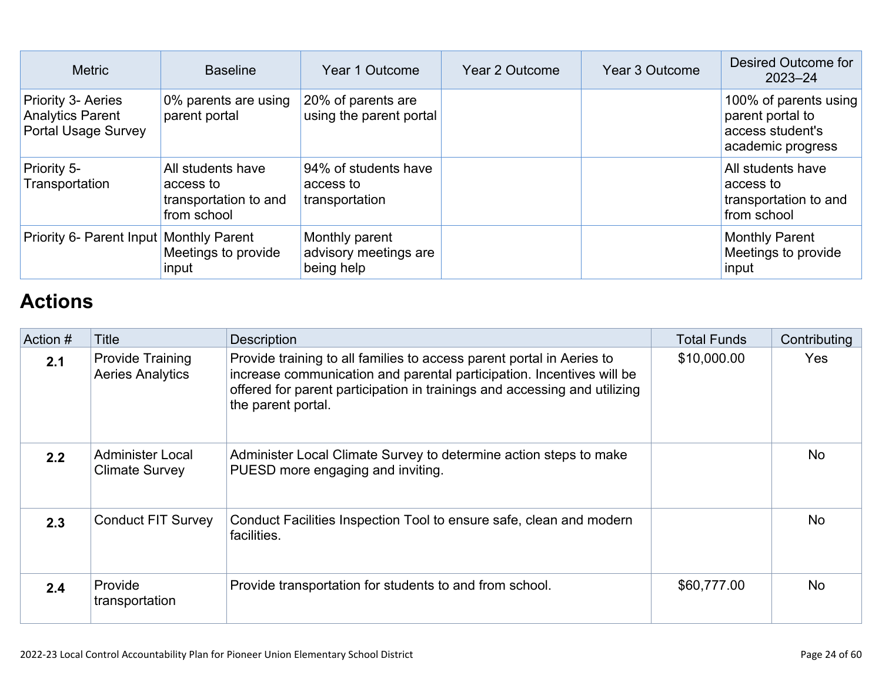| <b>Metric</b>                                                                      | <b>Baseline</b>                                                        | Year 1 Outcome                                        | Year 2 Outcome | Year 3 Outcome | Desired Outcome for<br>$2023 - 24$                                                 |
|------------------------------------------------------------------------------------|------------------------------------------------------------------------|-------------------------------------------------------|----------------|----------------|------------------------------------------------------------------------------------|
| <b>Priority 3- Aeries</b><br><b>Analytics Parent</b><br><b>Portal Usage Survey</b> | 0% parents are using<br>parent portal                                  | 20% of parents are<br>using the parent portal         |                |                | 100% of parents using<br>parent portal to<br>access student's<br>academic progress |
| Priority 5-<br>Transportation                                                      | All students have<br>access to<br>transportation to and<br>from school | 94% of students have<br>access to<br>transportation   |                |                | All students have<br>access to<br>transportation to and<br>from school             |
| Priority 6- Parent Input Monthly Parent                                            | Meetings to provide<br>input                                           | Monthly parent<br>advisory meetings are<br>being help |                |                | <b>Monthly Parent</b><br>Meetings to provide<br>input                              |

## **[Actions](http://www.doc-tracking.com/screenshots/22LCAP/Instructions/22LCAPInstructions.htm#actions)**

| Action # | Title                                              | <b>Description</b>                                                                                                                                                                                                                                | <b>Total Funds</b> | Contributing |
|----------|----------------------------------------------------|---------------------------------------------------------------------------------------------------------------------------------------------------------------------------------------------------------------------------------------------------|--------------------|--------------|
| 2.1      | <b>Provide Training</b><br><b>Aeries Analytics</b> | Provide training to all families to access parent portal in Aeries to<br>increase communication and parental participation. Incentives will be<br>offered for parent participation in trainings and accessing and utilizing<br>the parent portal. | \$10,000.00        | <b>Yes</b>   |
| 2.2      | <b>Administer Local</b><br><b>Climate Survey</b>   | Administer Local Climate Survey to determine action steps to make<br>PUESD more engaging and inviting.                                                                                                                                            |                    | <b>No</b>    |
| 2.3      | <b>Conduct FIT Survey</b>                          | Conduct Facilities Inspection Tool to ensure safe, clean and modern<br>facilities.                                                                                                                                                                |                    | <b>No</b>    |
| 2.4      | Provide<br>transportation                          | Provide transportation for students to and from school.                                                                                                                                                                                           | \$60,777.00        | <b>No</b>    |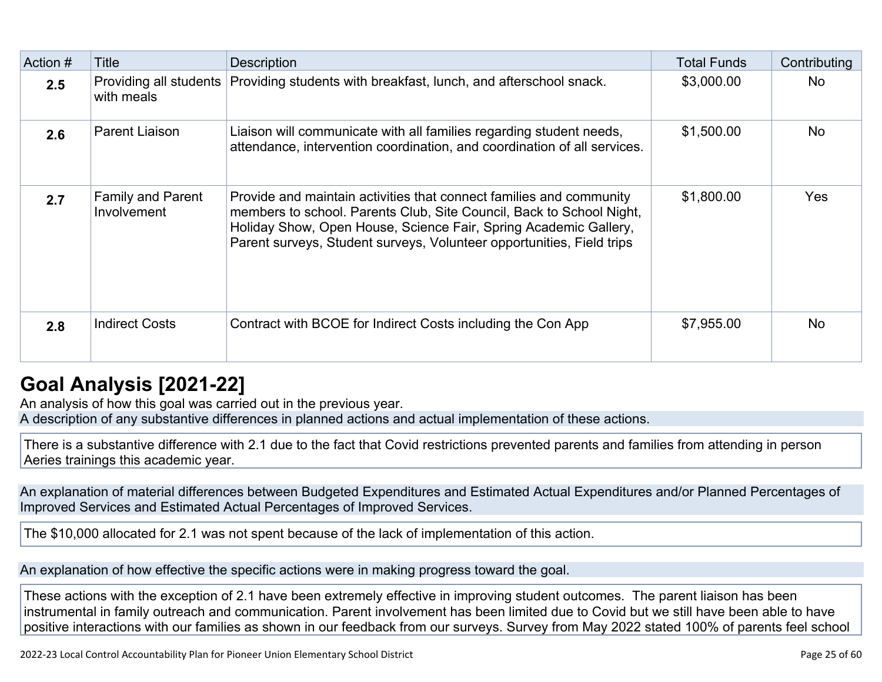| Action # | <b>Title</b>                            | <b>Description</b>                                                                                                                                                                                                                                                                       | <b>Total Funds</b> | Contributing |
|----------|-----------------------------------------|------------------------------------------------------------------------------------------------------------------------------------------------------------------------------------------------------------------------------------------------------------------------------------------|--------------------|--------------|
| 2.5      | Providing all students<br>with meals    | Providing students with breakfast, lunch, and afterschool snack.                                                                                                                                                                                                                         | \$3,000.00         | <b>No</b>    |
| 2.6      | Parent Liaison                          | Liaison will communicate with all families regarding student needs,<br>attendance, intervention coordination, and coordination of all services.                                                                                                                                          | \$1,500.00         | <b>No</b>    |
| 2.7      | <b>Family and Parent</b><br>Involvement | Provide and maintain activities that connect families and community<br>members to school. Parents Club, Site Council, Back to School Night,<br>Holiday Show, Open House, Science Fair, Spring Academic Gallery,<br>Parent surveys, Student surveys, Volunteer opportunities, Field trips | \$1,800.00         | <b>Yes</b>   |
| 2.8      | <b>Indirect Costs</b>                   | Contract with BCOE for Indirect Costs including the Con App                                                                                                                                                                                                                              | \$7,955.00         | <b>No</b>    |

## **[Goal Analysis \[2021-22\]](http://www.doc-tracking.com/screenshots/22LCAP/Instructions/22LCAPInstructions.htm#GoalAnalysis)**

An analysis of how this goal was carried out in the previous year. A description of any substantive differences in planned actions and actual implementation of these actions.

There is a substantive difference with 2.1 due to the fact that Covid restrictions prevented parents and families from attending in person Aeries trainings this academic year.

An explanation of material differences between Budgeted Expenditures and Estimated Actual Expenditures and/or Planned Percentages of Improved Services and Estimated Actual Percentages of Improved Services.

The \$10,000 allocated for 2.1 was not spent because of the lack of implementation of this action.

An explanation of how effective the specific actions were in making progress toward the goal.

These actions with the exception of 2.1 have been extremely effective in improving student outcomes. The parent liaison has been instrumental in family outreach and communication. Parent involvement has been limited due to Covid but we still have been able to have positive interactions with our families as shown in our feedback from our surveys. Survey from May 2022 stated 100% of parents feel school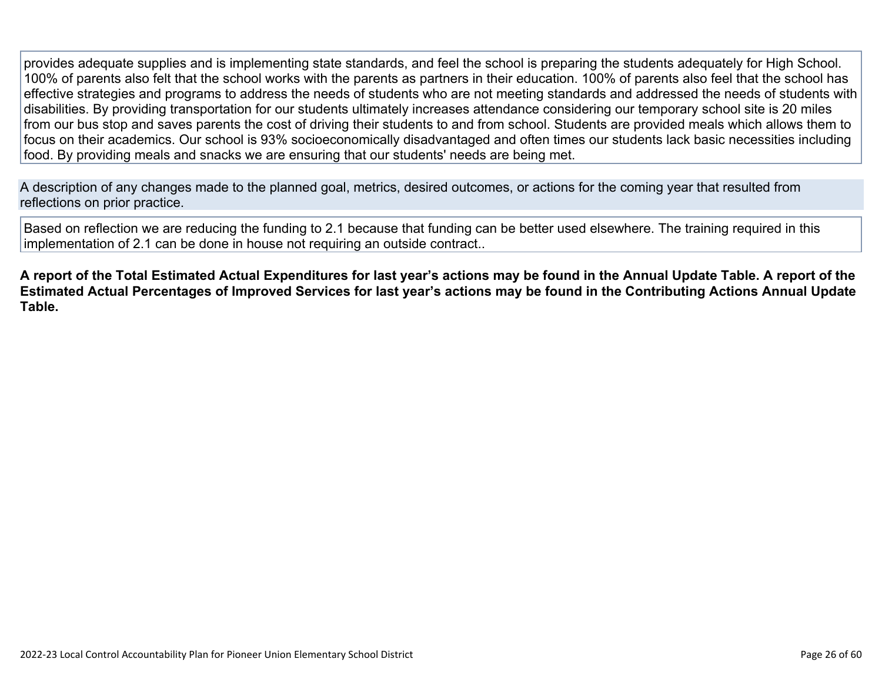provides adequate supplies and is implementing state standards, and feel the school is preparing the students adequately for High School. 100% of parents also felt that the school works with the parents as partners in their education. 100% of parents also feel that the school has effective strategies and programs to address the needs of students who are not meeting standards and addressed the needs of students with disabilities. By providing transportation for our students ultimately increases attendance considering our temporary school site is 20 miles from our bus stop and saves parents the cost of driving their students to and from school. Students are provided meals which allows them to focus on their academics. Our school is 93% socioeconomically disadvantaged and often times our students lack basic necessities including food. By providing meals and snacks we are ensuring that our students' needs are being met.

A description of any changes made to the planned goal, metrics, desired outcomes, or actions for the coming year that resulted from reflections on prior practice.

Based on reflection we are reducing the funding to 2.1 because that funding can be better used elsewhere. The training required in this implementation of 2.1 can be done in house not requiring an outside contract..

**A report of the Total Estimated Actual Expenditures for last year's actions may be found in the Annual Update Table. A report of the Estimated Actual Percentages of Improved Services for last year's actions may be found in the Contributing Actions Annual Update Table.**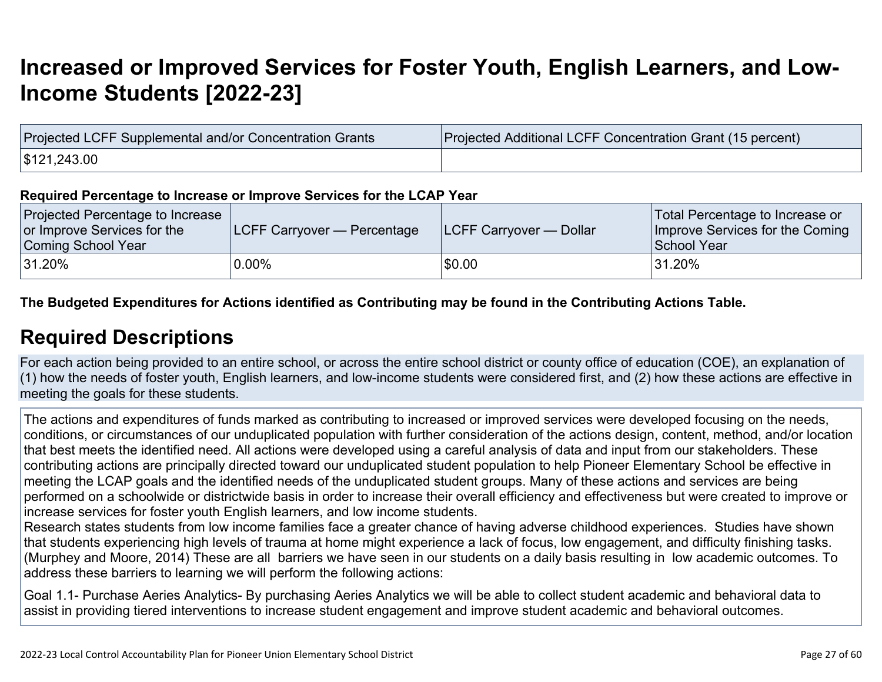# **[Increased or Improved Services for Foster Youth, English Learners, and Low-](http://www.doc-tracking.com/screenshots/22LCAP/Instructions/22LCAPInstructions.htm#IncreasedImprovedServices)[Income Students \[2022-23\]](http://www.doc-tracking.com/screenshots/22LCAP/Instructions/22LCAPInstructions.htm#IncreasedImprovedServices)**

| Projected LCFF Supplemental and/or Concentration Grants | Projected Additional LCFF Concentration Grant (15 percent) |
|---------------------------------------------------------|------------------------------------------------------------|
| \$121,243.00                                            |                                                            |

#### **Required Percentage to Increase or Improve Services for the LCAP Year**

| Projected Percentage to Increase<br>or Improve Services for the<br>Coming School Year | <b>LCFF Carryover — Percentage</b> | <b>ILCFF Carryover — Dollar</b> | Total Percentage to Increase or<br>Improve Services for the Coming<br>School Year |
|---------------------------------------------------------------------------------------|------------------------------------|---------------------------------|-----------------------------------------------------------------------------------|
| $ 31.20\%$                                                                            | $0.00\%$                           | \$0.00                          | $^{\backprime}$ 31.20%                                                            |

**The Budgeted Expenditures for Actions identified as Contributing may be found in the Contributing Actions Table.**

### **[Required Descriptions](http://www.doc-tracking.com/screenshots/22LCAP/Instructions/22LCAPInstructions.htm#RequiredDescriptions)**

For each action being provided to an entire school, or across the entire school district or county office of education (COE), an explanation of (1) how the needs of foster youth, English learners, and low-income students were considered first, and (2) how these actions are effective in meeting the goals for these students.

The actions and expenditures of funds marked as contributing to increased or improved services were developed focusing on the needs, conditions, or circumstances of our unduplicated population with further consideration of the actions design, content, method, and/or location that best meets the identified need. All actions were developed using a careful analysis of data and input from our stakeholders. These contributing actions are principally directed toward our unduplicated student population to help Pioneer Elementary School be effective in meeting the LCAP goals and the identified needs of the unduplicated student groups. Many of these actions and services are being performed on a schoolwide or districtwide basis in order to increase their overall efficiency and effectiveness but were created to improve or increase services for foster youth English learners, and low income students.

Research states students from low income families face a greater chance of having adverse childhood experiences. Studies have shown that students experiencing high levels of trauma at home might experience a lack of focus, low engagement, and difficulty finishing tasks. (Murphey and Moore, 2014) These are all barriers we have seen in our students on a daily basis resulting in low academic outcomes. To address these barriers to learning we will perform the following actions:

Goal 1.1- Purchase Aeries Analytics- By purchasing Aeries Analytics we will be able to collect student academic and behavioral data to assist in providing tiered interventions to increase student engagement and improve student academic and behavioral outcomes.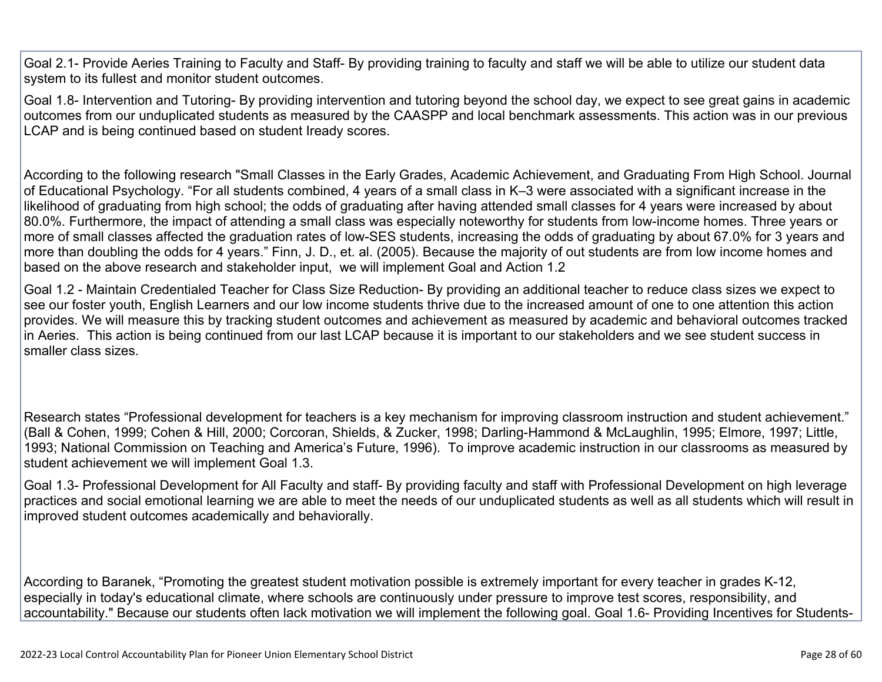Goal 2.1- Provide Aeries Training to Faculty and Staff- By providing training to faculty and staff we will be able to utilize our student data system to its fullest and monitor student outcomes.

Goal 1.8- Intervention and Tutoring- By providing intervention and tutoring beyond the school day, we expect to see great gains in academic outcomes from our unduplicated students as measured by the CAASPP and local benchmark assessments. This action was in our previous LCAP and is being continued based on student Iready scores.

According to the following research "Small Classes in the Early Grades, Academic Achievement, and Graduating From High School. Journal of Educational Psychology. "For all students combined, 4 years of a small class in K–3 were associated with a significant increase in the likelihood of graduating from high school; the odds of graduating after having attended small classes for 4 years were increased by about 80.0%. Furthermore, the impact of attending a small class was especially noteworthy for students from low-income homes. Three years or more of small classes affected the graduation rates of low-SES students, increasing the odds of graduating by about 67.0% for 3 years and more than doubling the odds for 4 years." Finn, J. D., et. al. (2005). Because the majority of out students are from low income homes and based on the above research and stakeholder input, we will implement Goal and Action 1.2

Goal 1.2 - Maintain Credentialed Teacher for Class Size Reduction- By providing an additional teacher to reduce class sizes we expect to see our foster youth, English Learners and our low income students thrive due to the increased amount of one to one attention this action provides. We will measure this by tracking student outcomes and achievement as measured by academic and behavioral outcomes tracked in Aeries. This action is being continued from our last LCAP because it is important to our stakeholders and we see student success in smaller class sizes.

Research states "Professional development for teachers is a key mechanism for improving classroom instruction and student achievement." (Ball & Cohen, 1999; Cohen & Hill, 2000; Corcoran, Shields, & Zucker, 1998; Darling-Hammond & McLaughlin, 1995; Elmore, 1997; Little, 1993; National Commission on Teaching and America's Future, 1996). To improve academic instruction in our classrooms as measured by student achievement we will implement Goal 1.3.

Goal 1.3- Professional Development for All Faculty and staff- By providing faculty and staff with Professional Development on high leverage practices and social emotional learning we are able to meet the needs of our unduplicated students as well as all students which will result in improved student outcomes academically and behaviorally.

According to Baranek, "Promoting the greatest student motivation possible is extremely important for every teacher in grades K-12, especially in today's educational climate, where schools are continuously under pressure to improve test scores, responsibility, and accountability." Because our students often lack motivation we will implement the following goal. Goal 1.6- Providing Incentives for Students-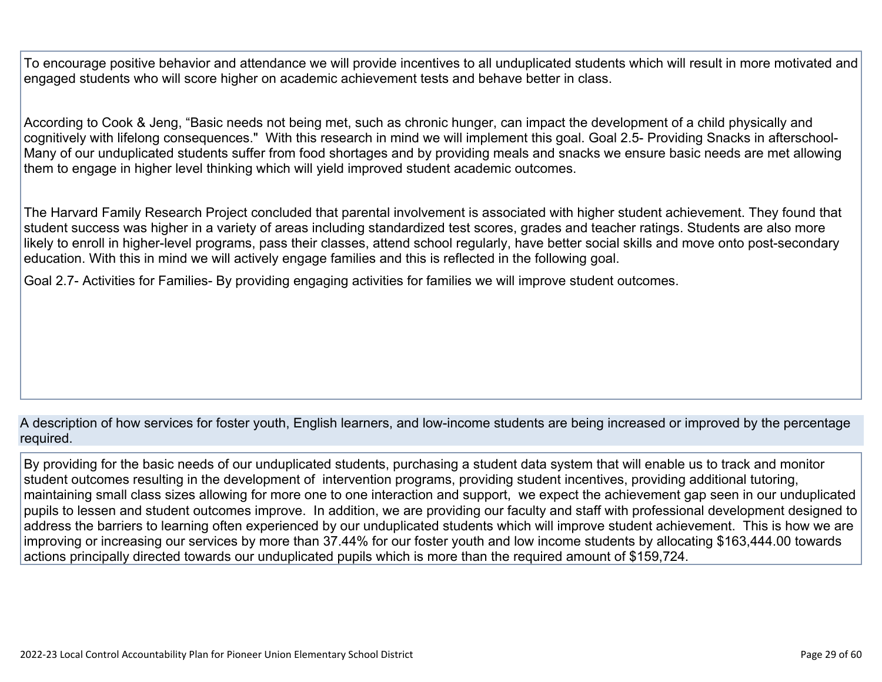To encourage positive behavior and attendance we will provide incentives to all unduplicated students which will result in more motivated and engaged students who will score higher on academic achievement tests and behave better in class.

According to Cook & Jeng, "Basic needs not being met, such as chronic hunger, can impact the development of a child physically and cognitively with lifelong consequences." With this research in mind we will implement this goal. Goal 2.5- Providing Snacks in afterschool-Many of our unduplicated students suffer from food shortages and by providing meals and snacks we ensure basic needs are met allowing them to engage in higher level thinking which will yield improved student academic outcomes.

The Harvard Family Research Project concluded that parental involvement is associated with higher student achievement. They found that student success was higher in a variety of areas including standardized test scores, grades and teacher ratings. Students are also more likely to enroll in higher-level programs, pass their classes, attend school regularly, have better social skills and move onto post-secondary education. With this in mind we will actively engage families and this is reflected in the following goal.

Goal 2.7- Activities for Families- By providing engaging activities for families we will improve student outcomes.

A description of how services for foster youth, English learners, and low-income students are being increased or improved by the percentage required.

By providing for the basic needs of our unduplicated students, purchasing a student data system that will enable us to track and monitor student outcomes resulting in the development of intervention programs, providing student incentives, providing additional tutoring, maintaining small class sizes allowing for more one to one interaction and support, we expect the achievement gap seen in our unduplicated pupils to lessen and student outcomes improve. In addition, we are providing our faculty and staff with professional development designed to address the barriers to learning often experienced by our unduplicated students which will improve student achievement. This is how we are improving or increasing our services by more than 37.44% for our foster youth and low income students by allocating \$163,444.00 towards actions principally directed towards our unduplicated pupils which is more than the required amount of \$159,724.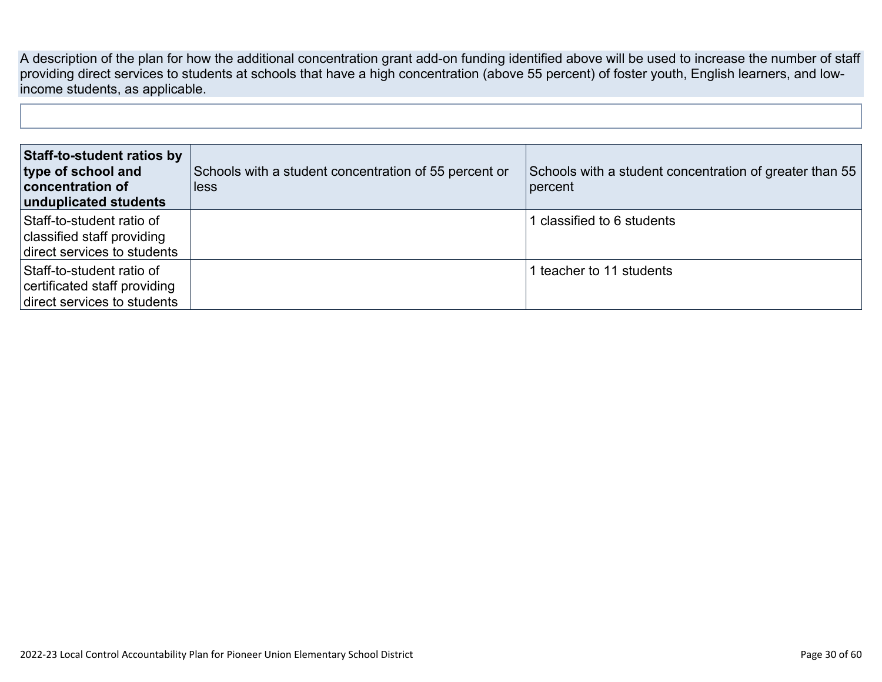A description of the plan for how the additional concentration grant add-on funding identified above will be used to increase the number of staff providing direct services to students at schools that have a high concentration (above 55 percent) of foster youth, English learners, and lowincome students, as applicable.

| Staff-to-student ratios by<br>type of school and<br>concentration of<br>unduplicated students | Schools with a student concentration of 55 percent or<br>less | Schools with a student concentration of greater than 55<br>percent |
|-----------------------------------------------------------------------------------------------|---------------------------------------------------------------|--------------------------------------------------------------------|
| Staff-to-student ratio of<br>classified staff providing<br>direct services to students        |                                                               | classified to 6 students                                           |
| Staff-to-student ratio of<br>certificated staff providing<br>direct services to students      |                                                               | l teacher to 11 students                                           |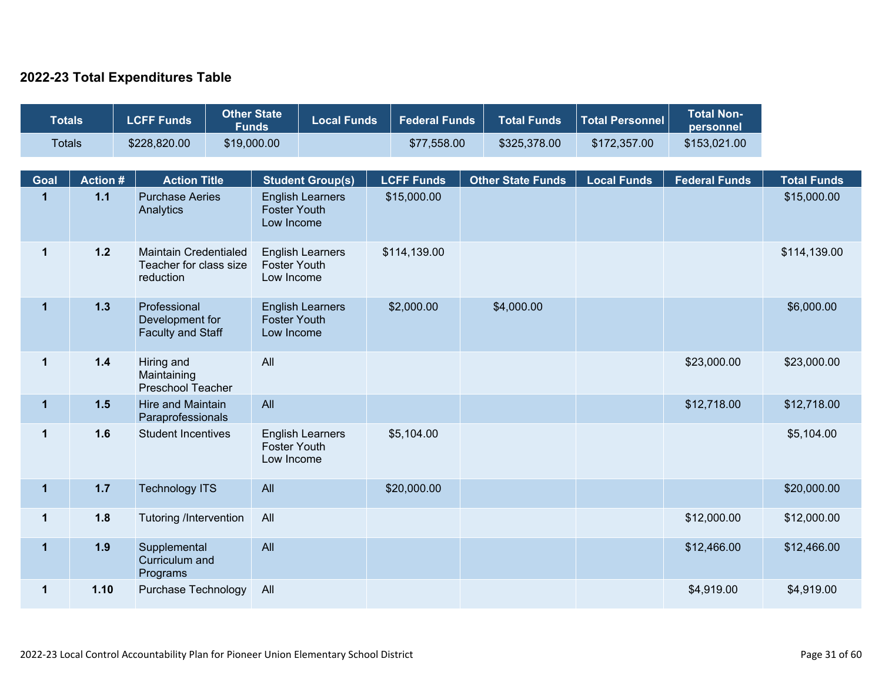### **2022-23 Total Expenditures Table**

| <b>Totals</b>           |                 | <b>LCFF Funds</b>                                                   | <b>Other State</b><br><b>Funds</b> |                                   | <b>Local Funds</b>      | <b>Federal Funds</b> | <b>Total Funds</b>       | <b>Total Personnel</b> | <b>Total Non-</b><br>personnel |                    |
|-------------------------|-----------------|---------------------------------------------------------------------|------------------------------------|-----------------------------------|-------------------------|----------------------|--------------------------|------------------------|--------------------------------|--------------------|
| <b>Totals</b>           |                 | \$228,820.00                                                        | \$19,000.00                        |                                   |                         | \$77,558.00          | \$325,378.00             | \$172,357.00           | \$153,021.00                   |                    |
| <b>Goal</b>             | <b>Action #</b> | <b>Action Title</b>                                                 |                                    |                                   | <b>Student Group(s)</b> | <b>LCFF Funds</b>    | <b>Other State Funds</b> | <b>Local Funds</b>     | <b>Federal Funds</b>           | <b>Total Funds</b> |
| $\mathbf{1}$            | 1.1             | <b>Purchase Aeries</b><br>Analytics                                 |                                    | <b>Foster Youth</b><br>Low Income | <b>English Learners</b> | \$15,000.00          |                          |                        |                                | \$15,000.00        |
| $\mathbf{1}$            | $1.2$           | <b>Maintain Credentialed</b><br>Teacher for class size<br>reduction |                                    | <b>Foster Youth</b><br>Low Income | <b>English Learners</b> | \$114,139.00         |                          |                        |                                | \$114,139.00       |
| $\mathbf{1}$            | 1.3             | Professional<br>Development for<br><b>Faculty and Staff</b>         |                                    | <b>Foster Youth</b><br>Low Income | <b>English Learners</b> | \$2,000.00           | \$4,000.00               |                        |                                | \$6,000.00         |
| $\mathbf 1$             | $1.4$           | Hiring and<br>Maintaining<br><b>Preschool Teacher</b>               |                                    | All                               |                         |                      |                          |                        | \$23,000.00                    | \$23,000.00        |
| $\overline{\mathbf{1}}$ | $1.5$           | Hire and Maintain<br>Paraprofessionals                              |                                    | All                               |                         |                      |                          |                        | \$12,718.00                    | \$12,718.00        |
| $\mathbf{1}$            | 1.6             | <b>Student Incentives</b>                                           |                                    | <b>Foster Youth</b><br>Low Income | <b>English Learners</b> | \$5,104.00           |                          |                        |                                | \$5,104.00         |
| $\mathbf 1$             | $1.7$           | <b>Technology ITS</b>                                               |                                    | All                               |                         | \$20,000.00          |                          |                        |                                | \$20,000.00        |
| $\mathbf 1$             | 1.8             | <b>Tutoring /Intervention</b>                                       |                                    | All                               |                         |                      |                          |                        | \$12,000.00                    | \$12,000.00        |
| $\mathbf{1}$            | 1.9             | Supplemental<br>Curriculum and<br>Programs                          |                                    | All                               |                         |                      |                          |                        | \$12,466.00                    | \$12,466.00        |
| $\mathbf{1}$            | 1.10            | <b>Purchase Technology</b>                                          |                                    | All                               |                         |                      |                          |                        | \$4,919.00                     | \$4,919.00         |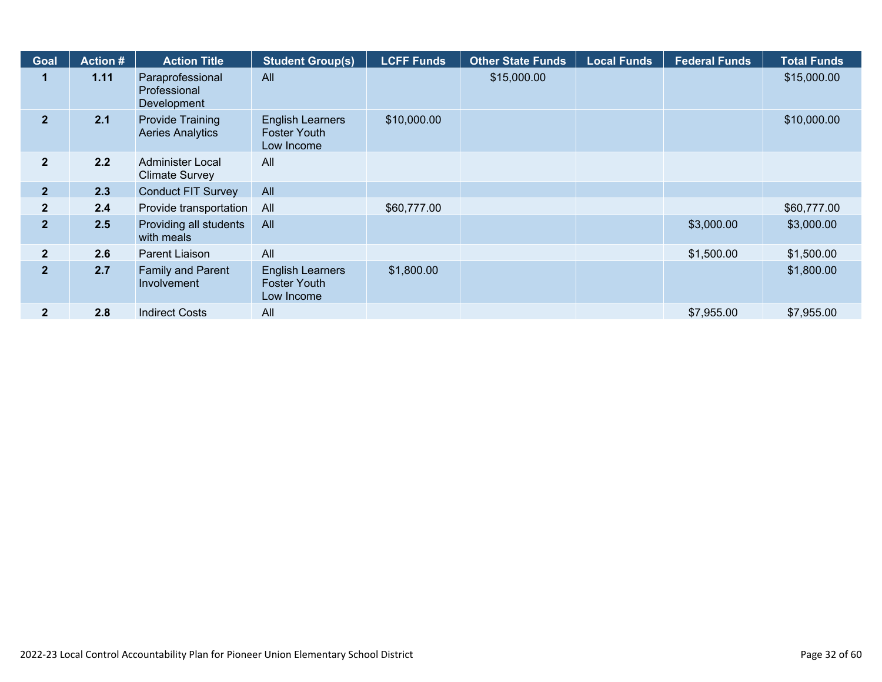| <b>Goal</b>    | <b>Action #</b> | <b>Action Title</b>                                | <b>Student Group(s)</b>                                      | <b>LCFF Funds</b> | <b>Other State Funds</b> | <b>Local Funds</b> | <b>Federal Funds</b> | <b>Total Funds</b> |
|----------------|-----------------|----------------------------------------------------|--------------------------------------------------------------|-------------------|--------------------------|--------------------|----------------------|--------------------|
|                | 1.11            | Paraprofessional<br>Professional<br>Development    | All                                                          |                   | \$15,000.00              |                    |                      | \$15,000.00        |
| 2 <sup>1</sup> | 2.1             | <b>Provide Training</b><br><b>Aeries Analytics</b> | <b>English Learners</b><br><b>Foster Youth</b><br>Low Income | \$10,000.00       |                          |                    |                      | \$10,000.00        |
| $\overline{2}$ | 2.2             | Administer Local<br><b>Climate Survey</b>          | All                                                          |                   |                          |                    |                      |                    |
| 2 <sup>1</sup> | 2.3             | <b>Conduct FIT Survey</b>                          | All                                                          |                   |                          |                    |                      |                    |
| $\mathbf{2}$   | 2.4             | Provide transportation                             | All                                                          | \$60,777.00       |                          |                    |                      | \$60,777.00        |
| $\overline{2}$ | 2.5             | Providing all students<br>with meals               | All                                                          |                   |                          |                    | \$3,000.00           | \$3,000.00         |
| $\mathbf{2}$   | 2.6             | Parent Liaison                                     | All                                                          |                   |                          |                    | \$1,500.00           | \$1,500.00         |
| $\overline{2}$ | 2.7             | <b>Family and Parent</b><br>Involvement            | <b>English Learners</b><br><b>Foster Youth</b><br>Low Income | \$1,800.00        |                          |                    |                      | \$1,800.00         |
| $\mathbf{2}$   | 2.8             | <b>Indirect Costs</b>                              | All                                                          |                   |                          |                    | \$7,955.00           | \$7,955.00         |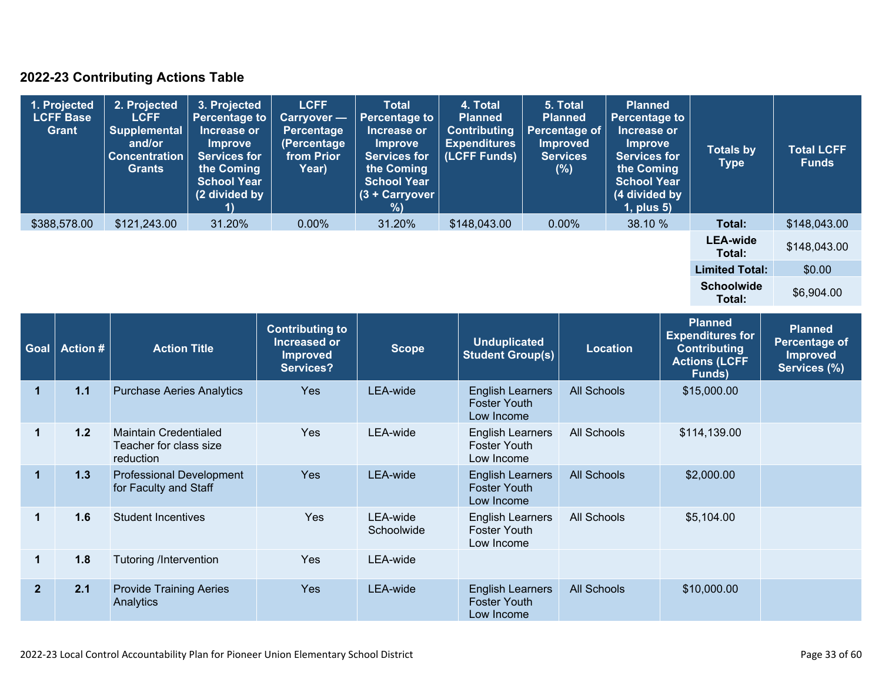### **2022-23 Contributing Actions Table**

| 1. Projected<br><b>LCFF Base</b><br><b>Grant</b> | 2. Projected<br><b>LCFF</b><br><b>Supplemental</b><br>and/or<br><b>Concentration</b><br><b>Grants</b> | 3. Projected<br><b>Percentage to</b><br>Increase or<br><b>Improve</b><br><b>Services for</b><br>the Coming<br><b>School Year</b><br>(2 divided by | <b>LCFF</b><br>Carryover -<br><b>Percentage</b><br>(Percentage<br>from Prior<br>Year) | <b>Total</b><br><b>Percentage to</b><br>Increase or<br><b>Improve</b><br><b>Services for</b><br>the Coming<br><b>School Year</b><br>$(3 +$ Carryover<br>% | 4. Total<br><b>Planned</b><br><b>Contributing</b><br><b>Expenditures</b><br>(LCFF Funds) | 5. Total<br><b>Planned</b><br><b>Percentage of</b><br><b>Improved</b><br><b>Services</b><br>(%) | <b>Planned</b><br><b>Percentage to</b><br>Increase or<br><b>Improve</b><br><b>Services for</b><br>the Coming<br><b>School Year</b><br>(4 divided by<br>$1$ , plus $5$ ) | <b>Totals by</b><br><b>Type</b> | <b>Total LCFF</b><br><b>Funds</b> |
|--------------------------------------------------|-------------------------------------------------------------------------------------------------------|---------------------------------------------------------------------------------------------------------------------------------------------------|---------------------------------------------------------------------------------------|-----------------------------------------------------------------------------------------------------------------------------------------------------------|------------------------------------------------------------------------------------------|-------------------------------------------------------------------------------------------------|-------------------------------------------------------------------------------------------------------------------------------------------------------------------------|---------------------------------|-----------------------------------|
| \$388,578.00                                     | \$121,243.00                                                                                          | 31.20%                                                                                                                                            | $0.00\%$                                                                              | 31.20%                                                                                                                                                    | \$148,043.00                                                                             | $0.00\%$                                                                                        | 38.10 %                                                                                                                                                                 | Total:                          | \$148,043.00                      |
|                                                  |                                                                                                       |                                                                                                                                                   |                                                                                       |                                                                                                                                                           |                                                                                          |                                                                                                 |                                                                                                                                                                         | <b>LEA-wide</b><br>Total:       | \$148,043.00                      |
|                                                  |                                                                                                       |                                                                                                                                                   |                                                                                       |                                                                                                                                                           |                                                                                          |                                                                                                 |                                                                                                                                                                         | <b>Limited Total:</b>           | \$0.00                            |
|                                                  |                                                                                                       |                                                                                                                                                   |                                                                                       |                                                                                                                                                           |                                                                                          |                                                                                                 |                                                                                                                                                                         | <b>Schoolwide</b><br>Total:     | \$6,904.00                        |

| Goal           | <b>Action #</b> | <b>Action Title</b>                                                 | <b>Contributing to</b><br><b>Increased or</b><br><b>Improved</b><br><b>Services?</b> | <b>Scope</b>           | <b>Unduplicated</b><br><b>Student Group(s)</b>               | <b>Location</b>    | <b>Planned</b><br><b>Expenditures for</b><br><b>Contributing</b><br><b>Actions (LCFF</b><br>Funds) | <b>Planned</b><br>Percentage of<br><b>Improved</b><br>Services (%) |
|----------------|-----------------|---------------------------------------------------------------------|--------------------------------------------------------------------------------------|------------------------|--------------------------------------------------------------|--------------------|----------------------------------------------------------------------------------------------------|--------------------------------------------------------------------|
| 1              | 1.1             | <b>Purchase Aeries Analytics</b>                                    | Yes                                                                                  | LEA-wide               | <b>English Learners</b><br><b>Foster Youth</b><br>Low Income | <b>All Schools</b> | \$15,000.00                                                                                        |                                                                    |
| $\blacksquare$ | 1.2             | <b>Maintain Credentialed</b><br>Teacher for class size<br>reduction | <b>Yes</b>                                                                           | LEA-wide               | <b>English Learners</b><br><b>Foster Youth</b><br>Low Income | All Schools        | \$114,139.00                                                                                       |                                                                    |
| $\mathbf{1}$   | 1.3             | <b>Professional Development</b><br>for Faculty and Staff            | <b>Yes</b>                                                                           | LEA-wide               | <b>English Learners</b><br><b>Foster Youth</b><br>Low Income | <b>All Schools</b> | \$2,000.00                                                                                         |                                                                    |
| 1              | 1.6             | <b>Student Incentives</b>                                           | <b>Yes</b>                                                                           | LEA-wide<br>Schoolwide | <b>English Learners</b><br><b>Foster Youth</b><br>Low Income | <b>All Schools</b> | \$5,104.00                                                                                         |                                                                    |
| $\mathbf 1$    | 1.8             | <b>Tutoring /Intervention</b>                                       | <b>Yes</b>                                                                           | LEA-wide               |                                                              |                    |                                                                                                    |                                                                    |
| $\overline{2}$ | 2.1             | <b>Provide Training Aeries</b><br>Analytics                         | <b>Yes</b>                                                                           | LEA-wide               | <b>English Learners</b><br><b>Foster Youth</b><br>Low Income | <b>All Schools</b> | \$10,000.00                                                                                        |                                                                    |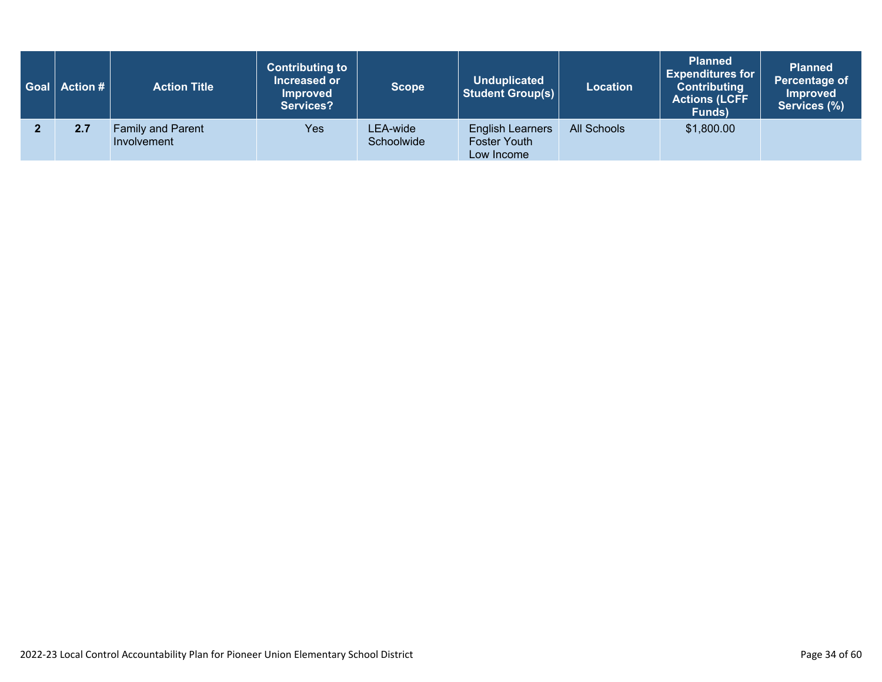| Goal   Action # | <b>Action Title</b>                     | <b>Contributing to</b><br>Increased or<br><b>Improved</b><br><b>Services?</b> | <b>Scope</b>           | <b>Unduplicated</b><br><b>Student Group(s)</b>               | <b>Location</b> | <b>Planned</b><br><b>Expenditures for</b><br><b>Contributing</b><br><b>Actions (LCFF</b><br>Funds) | <b>Planned</b><br>Percentage of<br><b>Improved</b><br>Services (%) |
|-----------------|-----------------------------------------|-------------------------------------------------------------------------------|------------------------|--------------------------------------------------------------|-----------------|----------------------------------------------------------------------------------------------------|--------------------------------------------------------------------|
| 2.7             | <b>Family and Parent</b><br>Involvement | Yes                                                                           | LEA-wide<br>Schoolwide | <b>English Learners</b><br><b>Foster Youth</b><br>Low Income | All Schools     | \$1,800.00                                                                                         |                                                                    |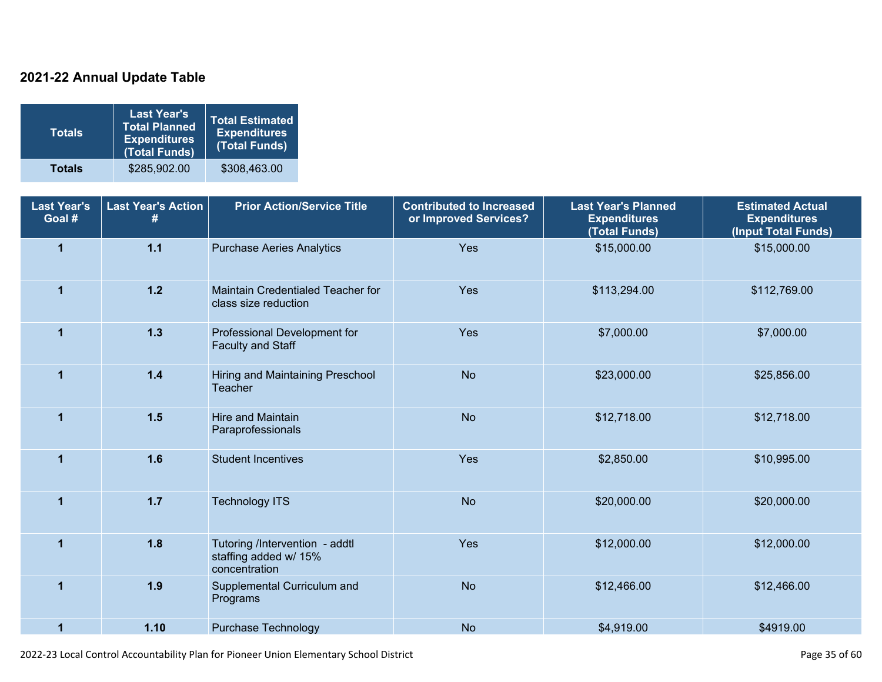### **2021-22 Annual Update Table**

| <b>Totals</b> | <b>Last Year's</b><br><b>Total Planned</b><br><b>Expenditures</b><br>(Total Funds) | <b>Total Estimated</b><br><b>Expenditures</b><br>(Total Funds) |
|---------------|------------------------------------------------------------------------------------|----------------------------------------------------------------|
| <b>Totals</b> | \$285,902.00                                                                       | \$308,463.00                                                   |

| <b>Last Year's</b><br>Goal # | <b>Last Year's Action</b><br># | <b>Prior Action/Service Title</b>                                        | <b>Contributed to Increased</b><br>or Improved Services? | <b>Last Year's Planned</b><br><b>Expenditures</b><br>(Total Funds) | <b>Estimated Actual</b><br><b>Expenditures</b><br>(Input Total Funds) |
|------------------------------|--------------------------------|--------------------------------------------------------------------------|----------------------------------------------------------|--------------------------------------------------------------------|-----------------------------------------------------------------------|
| $\overline{1}$               | $1.1$                          | <b>Purchase Aeries Analytics</b>                                         | Yes                                                      | \$15,000.00                                                        | \$15,000.00                                                           |
| $\mathbf{1}$                 | $1.2$                          | Maintain Credentialed Teacher for<br>class size reduction                | Yes                                                      | \$113,294.00                                                       | \$112,769.00                                                          |
| 1                            | $1.3$                          | Professional Development for<br><b>Faculty and Staff</b>                 | Yes                                                      | \$7,000.00                                                         | \$7,000.00                                                            |
| $\mathbf{1}$                 | $1.4$                          | Hiring and Maintaining Preschool<br><b>Teacher</b>                       | <b>No</b>                                                | \$23,000.00                                                        | \$25,856.00                                                           |
| $\mathbf{1}$                 | 1.5                            | <b>Hire and Maintain</b><br>Paraprofessionals                            | <b>No</b>                                                | \$12,718.00                                                        | \$12,718.00                                                           |
| $\overline{1}$               | 1.6                            | <b>Student Incentives</b>                                                | Yes                                                      | \$2,850.00                                                         | \$10,995.00                                                           |
| 1                            | $1.7$                          | <b>Technology ITS</b>                                                    | <b>No</b>                                                | \$20,000.00                                                        | \$20,000.00                                                           |
| 1                            | 1.8                            | Tutoring /Intervention - addtl<br>staffing added w/ 15%<br>concentration | Yes                                                      | \$12,000.00                                                        | \$12,000.00                                                           |
| $\blacktriangleleft$         | 1.9                            | Supplemental Curriculum and<br>Programs                                  | <b>No</b>                                                | \$12,466.00                                                        | \$12,466.00                                                           |
| 1                            | 1.10                           | <b>Purchase Technology</b>                                               | <b>No</b>                                                | \$4,919.00                                                         | \$4919.00                                                             |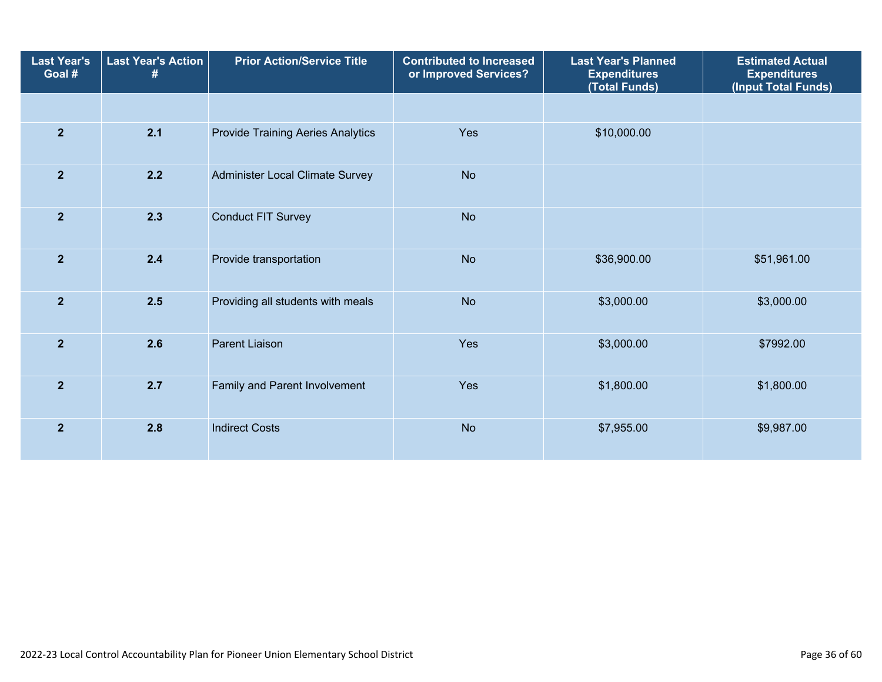| <b>Last Year's</b><br>Goal # | <b>Last Year's Action</b><br># | <b>Prior Action/Service Title</b>        | <b>Contributed to Increased</b><br>or Improved Services? | <b>Last Year's Planned</b><br><b>Expenditures</b><br>(Total Funds) | <b>Estimated Actual</b><br><b>Expenditures</b><br>(Input Total Funds) |  |
|------------------------------|--------------------------------|------------------------------------------|----------------------------------------------------------|--------------------------------------------------------------------|-----------------------------------------------------------------------|--|
|                              |                                |                                          |                                                          |                                                                    |                                                                       |  |
| $\overline{2}$               | 2.1                            | <b>Provide Training Aeries Analytics</b> | Yes                                                      | \$10,000.00                                                        |                                                                       |  |
| $\overline{2}$               | 2.2                            | Administer Local Climate Survey          | <b>No</b>                                                |                                                                    |                                                                       |  |
| $\overline{2}$               | 2.3                            | <b>Conduct FIT Survey</b>                | <b>No</b>                                                |                                                                    |                                                                       |  |
| $\overline{2}$               | 2.4                            | Provide transportation                   | <b>No</b>                                                | \$36,900.00                                                        | \$51,961.00                                                           |  |
| $\overline{2}$               | 2.5                            | Providing all students with meals        | <b>No</b>                                                | \$3,000.00                                                         | \$3,000.00                                                            |  |
| $\overline{2}$               | 2.6                            | Parent Liaison                           | Yes                                                      | \$3,000.00                                                         | \$7992.00                                                             |  |
| $\overline{2}$               | 2.7                            | Family and Parent Involvement            | Yes                                                      | \$1,800.00                                                         | \$1,800.00                                                            |  |
| $\overline{2}$               | 2.8                            | <b>Indirect Costs</b>                    | <b>No</b>                                                | \$7,955.00                                                         | \$9,987.00                                                            |  |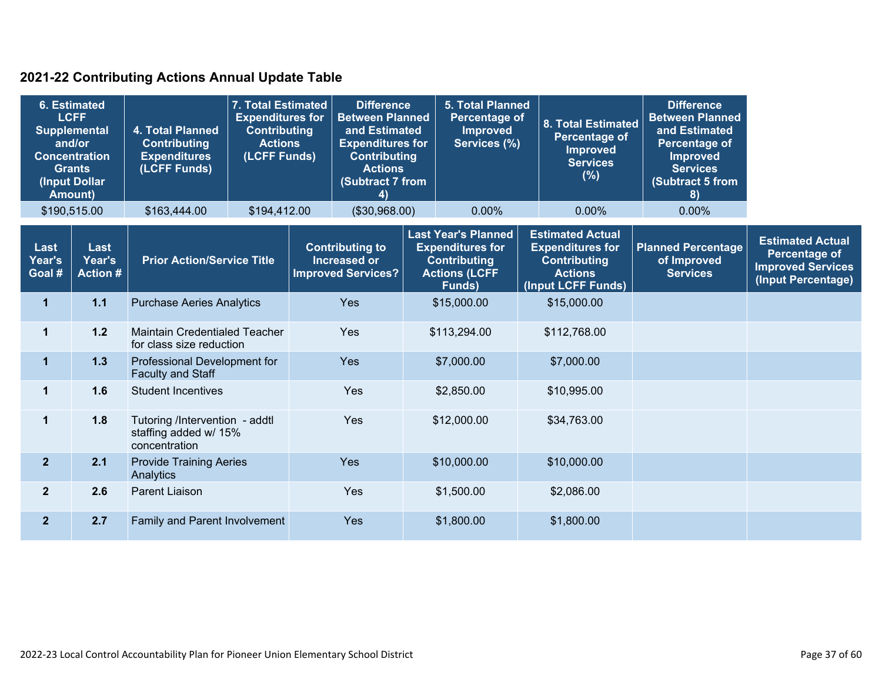### **2021-22 Contributing Actions Annual Update Table**

| <b>6. Estimated</b><br><b>LCFF</b><br><b>Supplemental</b><br>and/or<br><b>Concentration</b><br>Grants<br>(Input Dollar<br><b>Amount)</b> |                                   | 4. Total Planned<br><b>Contributing</b><br><b>Expenditures</b><br>(LCFF Funds) | 7. Total Estimated<br><b>Expenditures for</b><br><b>Contributing</b><br><b>Actions</b><br>(LCFF Funds) |     | <b>Difference</b><br><b>Between Planned</b><br>and Estimated<br><b>Expenditures for</b><br><b>Contributing</b><br><b>Actions</b><br>(Subtract 7 from<br>4) |                                                                                                                | <b>5. Total Planned</b><br><b>Percentage of</b><br><b>Improved</b><br>Services (%) |                                                                                                                   | <b>8. Total Estimated</b><br><b>Percentage of</b><br><b>Improved</b><br><b>Services</b><br>$(\%)$ | <b>Difference</b><br><b>Between Planned</b><br>and Estimated<br>Percentage of<br><b>Improved</b><br><b>Services</b><br>(Subtract 5 from<br>8) |                                                                                            |  |  |
|------------------------------------------------------------------------------------------------------------------------------------------|-----------------------------------|--------------------------------------------------------------------------------|--------------------------------------------------------------------------------------------------------|-----|------------------------------------------------------------------------------------------------------------------------------------------------------------|----------------------------------------------------------------------------------------------------------------|------------------------------------------------------------------------------------|-------------------------------------------------------------------------------------------------------------------|---------------------------------------------------------------------------------------------------|-----------------------------------------------------------------------------------------------------------------------------------------------|--------------------------------------------------------------------------------------------|--|--|
|                                                                                                                                          | \$190,515.00                      | \$163,444.00                                                                   | \$194,412.00                                                                                           |     | (\$30,968.00)                                                                                                                                              |                                                                                                                | 0.00%                                                                              |                                                                                                                   | $0.00\%$                                                                                          | $0.00\%$                                                                                                                                      |                                                                                            |  |  |
| Last<br>Year's<br>Goal #                                                                                                                 | Last<br>Year's<br><b>Action #</b> | <b>Prior Action/Service Title</b>                                              |                                                                                                        |     | <b>Contributing to</b><br><b>Increased or</b><br><b>Improved Services?</b>                                                                                 | <b>Last Year's Planned</b><br><b>Expenditures for</b><br><b>Contributing</b><br><b>Actions (LCFF</b><br>Funds) |                                                                                    | <b>Estimated Actual</b><br><b>Expenditures for</b><br><b>Contributing</b><br><b>Actions</b><br>(Input LCFF Funds) |                                                                                                   | <b>Planned Percentage</b><br>of Improved<br><b>Services</b>                                                                                   | <b>Estimated Actual</b><br>Percentage of<br><b>Improved Services</b><br>(Input Percentage) |  |  |
| $\mathbf{1}$                                                                                                                             | $1.1$                             | <b>Purchase Aeries Analytics</b>                                               |                                                                                                        | Yes |                                                                                                                                                            | \$15,000.00                                                                                                    |                                                                                    |                                                                                                                   | \$15,000.00                                                                                       |                                                                                                                                               |                                                                                            |  |  |
| $\mathbf{1}$                                                                                                                             | $1.2$                             | <b>Maintain Credentialed Teacher</b><br>for class size reduction               |                                                                                                        |     | Yes                                                                                                                                                        | \$113,294.00                                                                                                   |                                                                                    |                                                                                                                   | \$112,768.00                                                                                      |                                                                                                                                               |                                                                                            |  |  |
| $\mathbf 1$                                                                                                                              | 1.3                               | Professional Development for<br><b>Faculty and Staff</b>                       |                                                                                                        |     | <b>Yes</b>                                                                                                                                                 | \$7,000.00                                                                                                     |                                                                                    | \$7,000.00                                                                                                        |                                                                                                   |                                                                                                                                               |                                                                                            |  |  |
| 1                                                                                                                                        | 1.6                               | <b>Student Incentives</b>                                                      |                                                                                                        |     | Yes                                                                                                                                                        |                                                                                                                | \$2,850.00                                                                         |                                                                                                                   | \$10,995.00                                                                                       |                                                                                                                                               |                                                                                            |  |  |
| $\mathbf 1$                                                                                                                              | 1.8                               | Tutoring /Intervention - addtl<br>staffing added w/ 15%<br>concentration       |                                                                                                        |     | Yes                                                                                                                                                        |                                                                                                                | \$12,000.00                                                                        |                                                                                                                   | \$34,763.00                                                                                       |                                                                                                                                               |                                                                                            |  |  |
| $\overline{2}$                                                                                                                           | 2.1                               | Analytics                                                                      | <b>Provide Training Aeries</b>                                                                         |     | Yes                                                                                                                                                        | \$10,000.00                                                                                                    |                                                                                    |                                                                                                                   |                                                                                                   |                                                                                                                                               | \$10,000.00                                                                                |  |  |
| $\overline{2}$                                                                                                                           | 2.6                               | <b>Parent Liaison</b>                                                          |                                                                                                        |     | Yes                                                                                                                                                        | \$1,500.00                                                                                                     |                                                                                    |                                                                                                                   |                                                                                                   |                                                                                                                                               | \$2,086.00                                                                                 |  |  |
| $\overline{2}$                                                                                                                           | 2.7                               | Family and Parent Involvement                                                  |                                                                                                        |     | Yes                                                                                                                                                        |                                                                                                                | \$1,800.00                                                                         |                                                                                                                   | \$1,800.00                                                                                        |                                                                                                                                               |                                                                                            |  |  |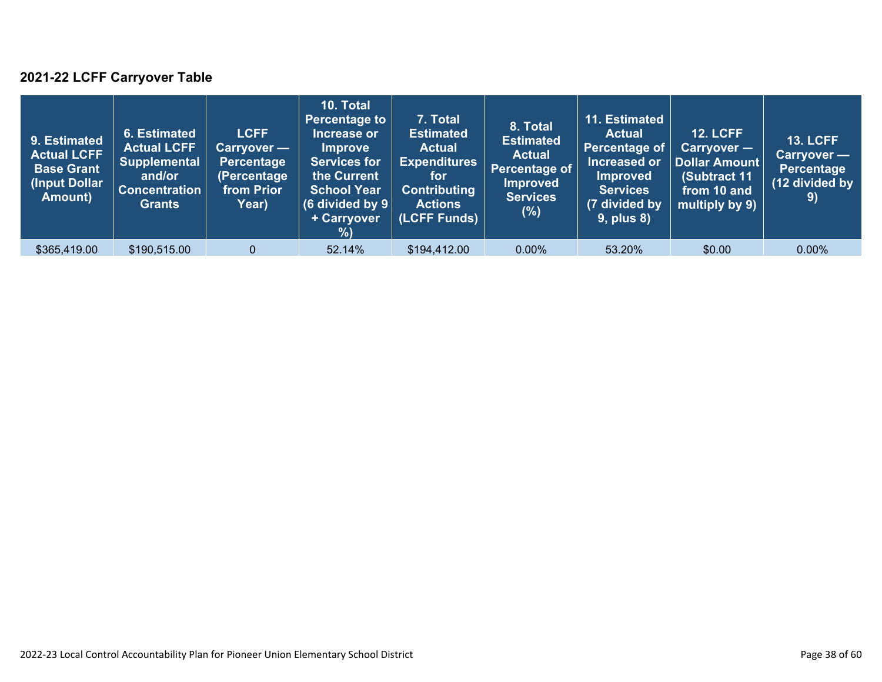### **2021-22 LCFF Carryover Table**

| 9. Estimated<br><b>Actual LCFF</b><br><b>Base Grant</b><br>(Input Dollar<br>Amount) | 6. Estimated<br><b>Actual LCFF</b><br><b>Supplemental</b><br>and/or<br><b>Concentration</b><br><b>Grants</b> | <b>LCFF</b><br>Carryover —<br>Percentage<br>(Percentage<br>from Prior<br>Year) | 10. Total<br><b>Percentage to</b><br>Increase or<br><b>Improve</b><br><b>Services for</b><br>the Current<br><b>School Year</b><br>(6 divided by $9$ $ $<br>+ Carryover<br>% | 7. Total<br><b>Estimated</b><br><b>Actual</b><br><b>Expenditures</b><br>for<br><b>Contributing</b><br><b>Actions</b><br>(LCFF Funds) | 8. Total<br><b>Estimated</b><br><b>Actual</b><br>Percentage of<br><b>Improved</b><br><b>Services</b><br>$(\%)$ | 11. Estimated<br><b>Actual</b><br>Percentage of<br>Increased or<br><b>Improved</b><br><b>Services</b><br>(7 divided by<br><b>9, plus 8)</b> | <b>12. LCFF</b><br>Carryover -<br>Dollar Amount<br>(Subtract 11<br>from 10 and<br>multiply by 9) | <b>13. LCFF</b><br>Carryover -<br><b>Percentage</b><br>(12 divided by<br>9) |
|-------------------------------------------------------------------------------------|--------------------------------------------------------------------------------------------------------------|--------------------------------------------------------------------------------|-----------------------------------------------------------------------------------------------------------------------------------------------------------------------------|--------------------------------------------------------------------------------------------------------------------------------------|----------------------------------------------------------------------------------------------------------------|---------------------------------------------------------------------------------------------------------------------------------------------|--------------------------------------------------------------------------------------------------|-----------------------------------------------------------------------------|
| \$365,419.00                                                                        | \$190,515.00                                                                                                 | $\Omega$                                                                       | 52.14%                                                                                                                                                                      | \$194,412.00                                                                                                                         | $0.00\%$                                                                                                       | 53.20%                                                                                                                                      | \$0.00                                                                                           | $0.00\%$                                                                    |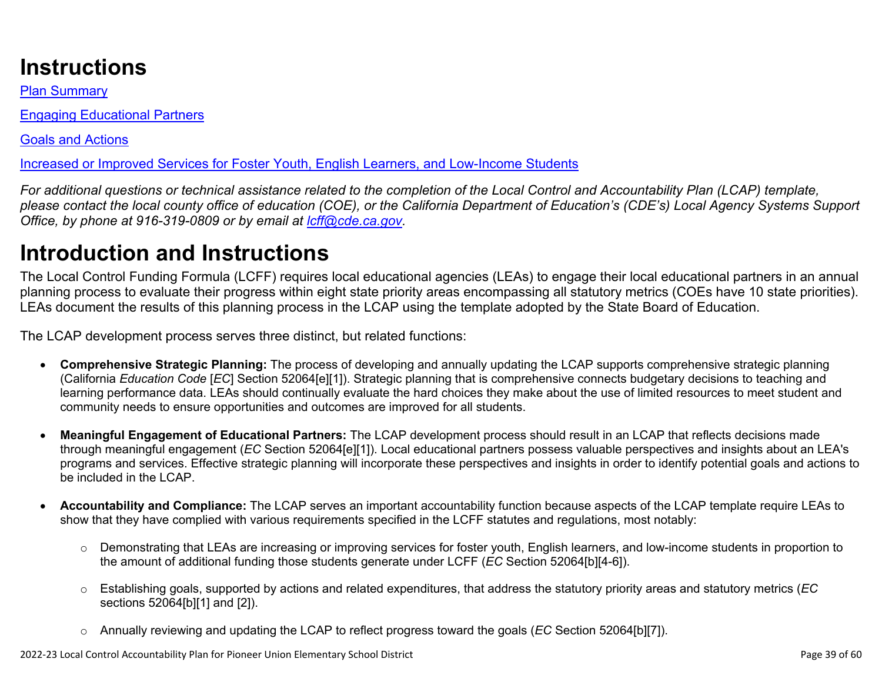# **Instructions**

Plan Summary

Engaging Educational Partners

Goals and Actions

Increased or Improved Services for Foster Youth, English Learners, and Low-Income Students

*For additional questions or technical assistance related to the completion of the Local Control and Accountability Plan (LCAP) template, please contact the local county office of education (COE), or the California Department of Education's (CDE's) Local Agency Systems Support Office, by phone at 916-319-0809 or by email at [lcff@cde.ca.gov](mailto:lcff@cde.ca.gov).*

# **Introduction and Instructions**

The Local Control Funding Formula (LCFF) requires local educational agencies (LEAs) to engage their local educational partners in an annual planning process to evaluate their progress within eight state priority areas encompassing all statutory metrics (COEs have 10 state priorities). LEAs document the results of this planning process in the LCAP using the template adopted by the State Board of Education.

The LCAP development process serves three distinct, but related functions:

- **Comprehensive Strategic Planning:** The process of developing and annually updating the LCAP supports comprehensive strategic planning (California *Education Code* [*EC*] Section 52064[e][1]). Strategic planning that is comprehensive connects budgetary decisions to teaching and learning performance data. LEAs should continually evaluate the hard choices they make about the use of limited resources to meet student and community needs to ensure opportunities and outcomes are improved for all students.
- **Meaningful Engagement of Educational Partners:** The LCAP development process should result in an LCAP that reflects decisions made through meaningful engagement (*EC* Section 52064[e][1]). Local educational partners possess valuable perspectives and insights about an LEA's programs and services. Effective strategic planning will incorporate these perspectives and insights in order to identify potential goals and actions to be included in the LCAP.
- **Accountability and Compliance:** The LCAP serves an important accountability function because aspects of the LCAP template require LEAs to show that they have complied with various requirements specified in the LCFF statutes and regulations, most notably:
	- o Demonstrating that LEAs are increasing or improving services for foster youth, English learners, and low-income students in proportion to the amount of additional funding those students generate under LCFF (*EC* Section 52064[b][4-6]).
	- o Establishing goals, supported by actions and related expenditures, that address the statutory priority areas and statutory metrics (*EC* sections 52064[b][1] and [2]).
	- o Annually reviewing and updating the LCAP to reflect progress toward the goals (*EC* Section 52064[b][7]).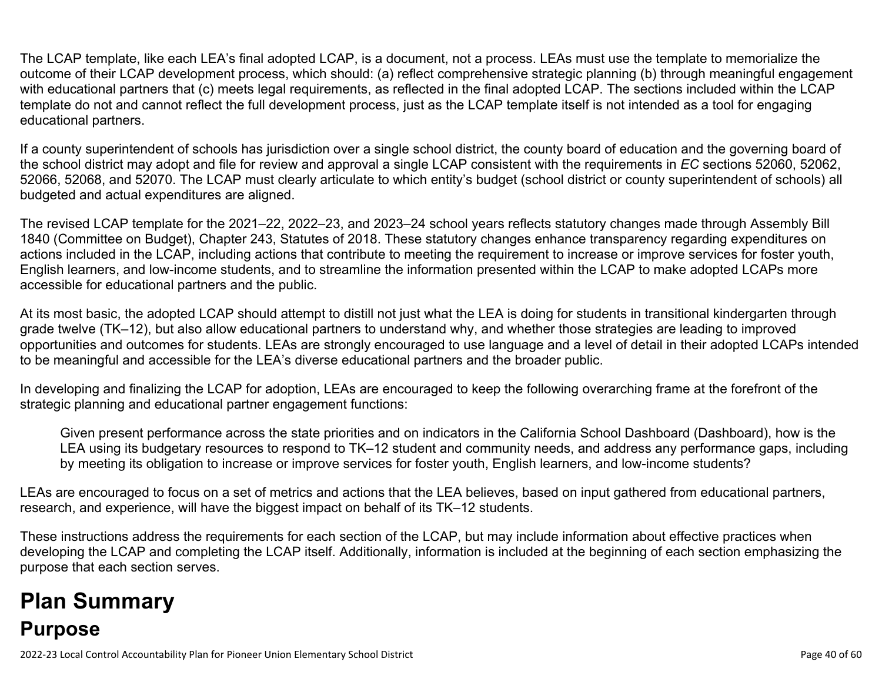The LCAP template, like each LEA's final adopted LCAP, is a document, not a process. LEAs must use the template to memorialize the outcome of their LCAP development process, which should: (a) reflect comprehensive strategic planning (b) through meaningful engagement with educational partners that (c) meets legal requirements, as reflected in the final adopted LCAP. The sections included within the LCAP template do not and cannot reflect the full development process, just as the LCAP template itself is not intended as a tool for engaging educational partners.

If a county superintendent of schools has jurisdiction over a single school district, the county board of education and the governing board of the school district may adopt and file for review and approval a single LCAP consistent with the requirements in *EC* sections 52060, 52062, 52066, 52068, and 52070. The LCAP must clearly articulate to which entity's budget (school district or county superintendent of schools) all budgeted and actual expenditures are aligned.

The revised LCAP template for the 2021–22, 2022–23, and 2023–24 school years reflects statutory changes made through Assembly Bill 1840 (Committee on Budget), Chapter 243, Statutes of 2018. These statutory changes enhance transparency regarding expenditures on actions included in the LCAP, including actions that contribute to meeting the requirement to increase or improve services for foster youth, English learners, and low-income students, and to streamline the information presented within the LCAP to make adopted LCAPs more accessible for educational partners and the public.

At its most basic, the adopted LCAP should attempt to distill not just what the LEA is doing for students in transitional kindergarten through grade twelve (TK–12), but also allow educational partners to understand why, and whether those strategies are leading to improved opportunities and outcomes for students. LEAs are strongly encouraged to use language and a level of detail in their adopted LCAPs intended to be meaningful and accessible for the LEA's diverse educational partners and the broader public.

In developing and finalizing the LCAP for adoption, LEAs are encouraged to keep the following overarching frame at the forefront of the strategic planning and educational partner engagement functions:

Given present performance across the state priorities and on indicators in the California School Dashboard (Dashboard), how is the LEA using its budgetary resources to respond to TK–12 student and community needs, and address any performance gaps, including by meeting its obligation to increase or improve services for foster youth, English learners, and low-income students?

LEAs are encouraged to focus on a set of metrics and actions that the LEA believes, based on input gathered from educational partners, research, and experience, will have the biggest impact on behalf of its TK–12 students.

These instructions address the requirements for each section of the LCAP, but may include information about effective practices when developing the LCAP and completing the LCAP itself. Additionally, information is included at the beginning of each section emphasizing the purpose that each section serves.

# **Plan Summary Purpose**

2022-23 Local Control Accountability Plan for Pioneer Union Elementary School District **Page 40** of 60 and the state of 60 of 60 and the state Page 40 of 60 and the Page 40 of 60 and the state Page 40 of 60 and the state P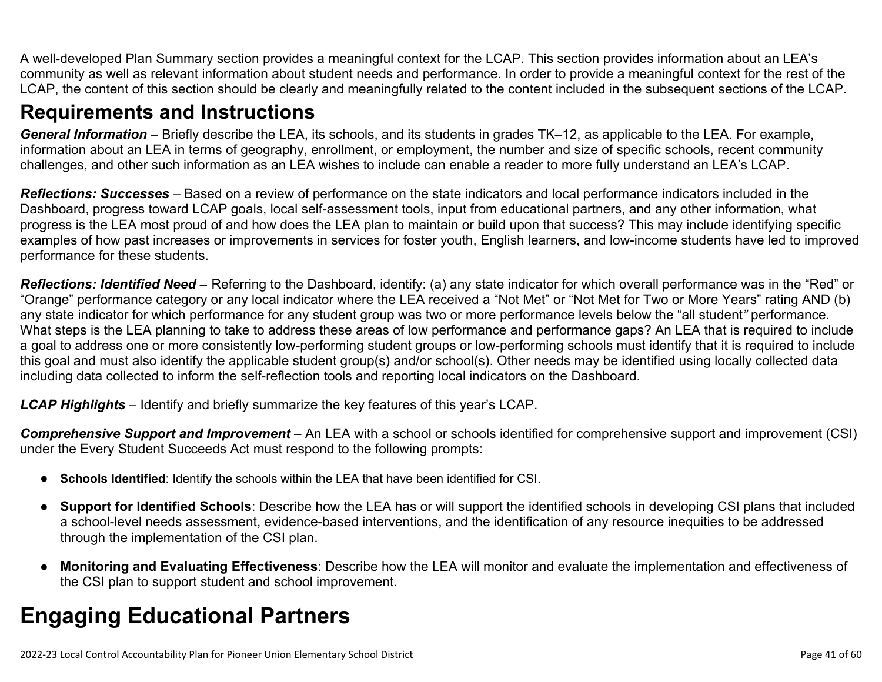A well-developed Plan Summary section provides a meaningful context for the LCAP. This section provides information about an LEA's community as well as relevant information about student needs and performance. In order to provide a meaningful context for the rest of the LCAP, the content of this section should be clearly and meaningfully related to the content included in the subsequent sections of the LCAP.

## **Requirements and Instructions**

*General Information* – Briefly describe the LEA, its schools, and its students in grades TK–12, as applicable to the LEA. For example, information about an LEA in terms of geography, enrollment, or employment, the number and size of specific schools, recent community challenges, and other such information as an LEA wishes to include can enable a reader to more fully understand an LEA's LCAP.

*Reflections: Successes* – Based on a review of performance on the state indicators and local performance indicators included in the Dashboard, progress toward LCAP goals, local self-assessment tools, input from educational partners, and any other information, what progress is the LEA most proud of and how does the LEA plan to maintain or build upon that success? This may include identifying specific examples of how past increases or improvements in services for foster youth, English learners, and low-income students have led to improved performance for these students.

*Reflections: Identified Need* – Referring to the Dashboard, identify: (a) any state indicator for which overall performance was in the "Red" or "Orange" performance category or any local indicator where the LEA received a "Not Met" or "Not Met for Two or More Years" rating AND (b) any state indicator for which performance for any student group was two or more performance levels below the "all student*"* performance. What steps is the LEA planning to take to address these areas of low performance and performance gaps? An LEA that is required to include a goal to address one or more consistently low-performing student groups or low-performing schools must identify that it is required to include this goal and must also identify the applicable student group(s) and/or school(s). Other needs may be identified using locally collected data including data collected to inform the self-reflection tools and reporting local indicators on the Dashboard.

*LCAP Highlights* – Identify and briefly summarize the key features of this year's LCAP.

*Comprehensive Support and Improvement* – An LEA with a school or schools identified for comprehensive support and improvement (CSI) under the Every Student Succeeds Act must respond to the following prompts:

- **Schools Identified**: Identify the schools within the LEA that have been identified for CSI.
- **Support for Identified Schools**: Describe how the LEA has or will support the identified schools in developing CSI plans that included a school-level needs assessment, evidence-based interventions, and the identification of any resource inequities to be addressed through the implementation of the CSI plan.
- **Monitoring and Evaluating Effectiveness**: Describe how the LEA will monitor and evaluate the implementation and effectiveness of the CSI plan to support student and school improvement.

# **Engaging Educational Partners**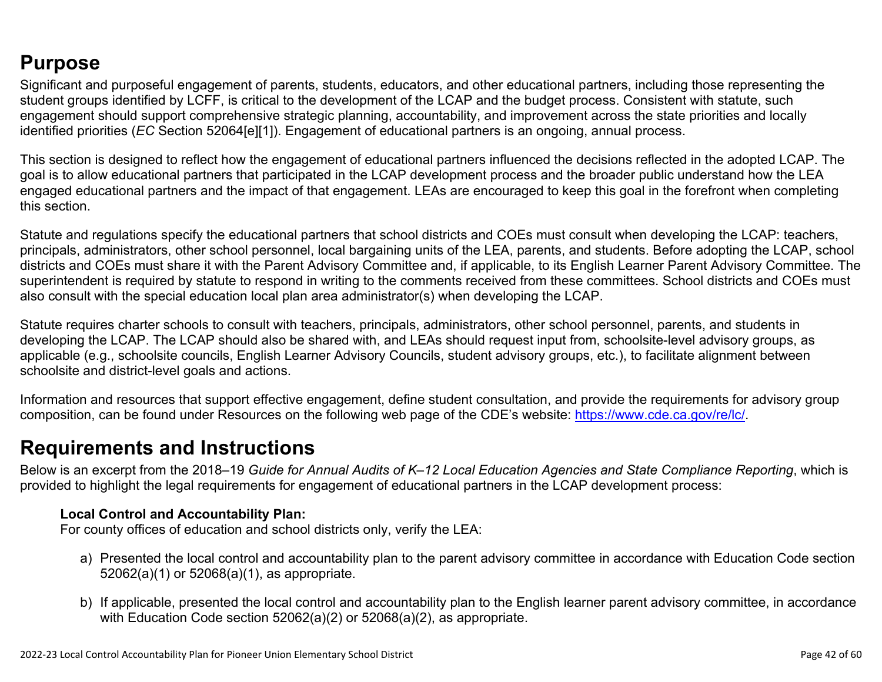## **Purpose**

Significant and purposeful engagement of parents, students, educators, and other educational partners, including those representing the student groups identified by LCFF, is critical to the development of the LCAP and the budget process. Consistent with statute, such engagement should support comprehensive strategic planning, accountability, and improvement across the state priorities and locally identified priorities (*EC* Section 52064[e][1]). Engagement of educational partners is an ongoing, annual process.

This section is designed to reflect how the engagement of educational partners influenced the decisions reflected in the adopted LCAP. The goal is to allow educational partners that participated in the LCAP development process and the broader public understand how the LEA engaged educational partners and the impact of that engagement. LEAs are encouraged to keep this goal in the forefront when completing this section.

Statute and regulations specify the educational partners that school districts and COEs must consult when developing the LCAP: teachers, principals, administrators, other school personnel, local bargaining units of the LEA, parents, and students. Before adopting the LCAP, school districts and COEs must share it with the Parent Advisory Committee and, if applicable, to its English Learner Parent Advisory Committee. The superintendent is required by statute to respond in writing to the comments received from these committees. School districts and COEs must also consult with the special education local plan area administrator(s) when developing the LCAP.

Statute requires charter schools to consult with teachers, principals, administrators, other school personnel, parents, and students in developing the LCAP. The LCAP should also be shared with, and LEAs should request input from, schoolsite-level advisory groups, as applicable (e.g., schoolsite councils, English Learner Advisory Councils, student advisory groups, etc.), to facilitate alignment between schoolsite and district-level goals and actions.

Information and resources that support effective engagement, define student consultation, and provide the requirements for advisory group composition, can be found under Resources on the following web page of the CDE's website: <https://www.cde.ca.gov/re/lc/>.

### **Requirements and Instructions**

Below is an excerpt from the 2018–19 *Guide for Annual Audits of K–12 Local Education Agencies and State Compliance Reporting*, which is provided to highlight the legal requirements for engagement of educational partners in the LCAP development process:

#### **Local Control and Accountability Plan:**

For county offices of education and school districts only, verify the LEA:

- a) Presented the local control and accountability plan to the parent advisory committee in accordance with Education Code section 52062(a)(1) or 52068(a)(1), as appropriate.
- b) If applicable, presented the local control and accountability plan to the English learner parent advisory committee, in accordance with Education Code section 52062(a)(2) or 52068(a)(2), as appropriate.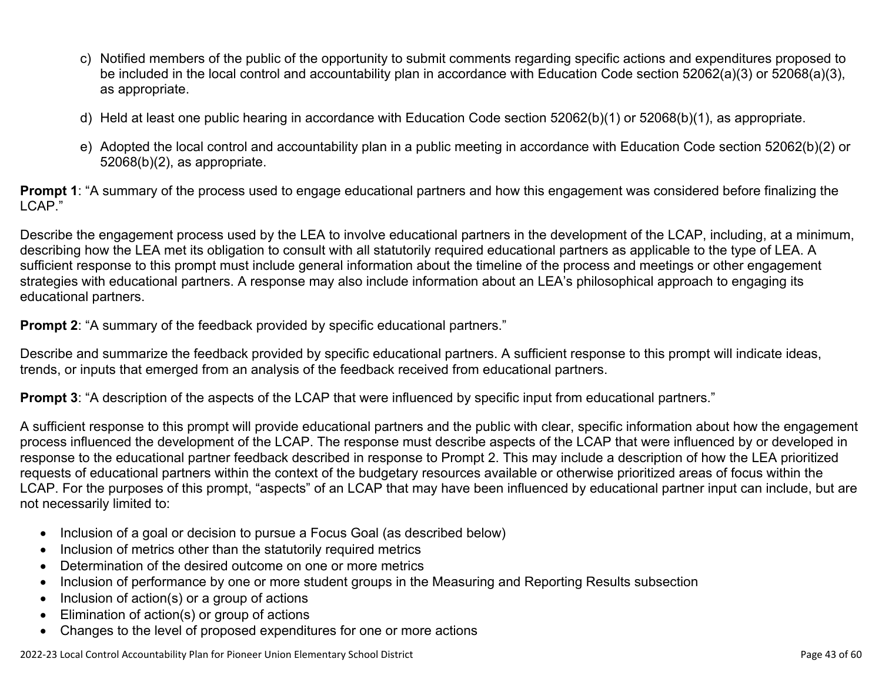- c) Notified members of the public of the opportunity to submit comments regarding specific actions and expenditures proposed to be included in the local control and accountability plan in accordance with Education Code section 52062(a)(3) or 52068(a)(3), as appropriate.
- d) Held at least one public hearing in accordance with Education Code section 52062(b)(1) or 52068(b)(1), as appropriate.
- e) Adopted the local control and accountability plan in a public meeting in accordance with Education Code section 52062(b)(2) or 52068(b)(2), as appropriate.

**Prompt 1**: "A summary of the process used to engage educational partners and how this engagement was considered before finalizing the LCAP."

Describe the engagement process used by the LEA to involve educational partners in the development of the LCAP, including, at a minimum, describing how the LEA met its obligation to consult with all statutorily required educational partners as applicable to the type of LEA. A sufficient response to this prompt must include general information about the timeline of the process and meetings or other engagement strategies with educational partners. A response may also include information about an LEA's philosophical approach to engaging its educational partners.

**Prompt 2:** "A summary of the feedback provided by specific educational partners."

Describe and summarize the feedback provided by specific educational partners. A sufficient response to this prompt will indicate ideas, trends, or inputs that emerged from an analysis of the feedback received from educational partners.

**Prompt 3**: "A description of the aspects of the LCAP that were influenced by specific input from educational partners."

A sufficient response to this prompt will provide educational partners and the public with clear, specific information about how the engagement process influenced the development of the LCAP. The response must describe aspects of the LCAP that were influenced by or developed in response to the educational partner feedback described in response to Prompt 2. This may include a description of how the LEA prioritized requests of educational partners within the context of the budgetary resources available or otherwise prioritized areas of focus within the LCAP. For the purposes of this prompt, "aspects" of an LCAP that may have been influenced by educational partner input can include, but are not necessarily limited to:

- Inclusion of a goal or decision to pursue a Focus Goal (as described below)
- Inclusion of metrics other than the statutorily required metrics
- Determination of the desired outcome on one or more metrics
- Inclusion of performance by one or more student groups in the Measuring and Reporting Results subsection
- Inclusion of action(s) or a group of actions
- Elimination of action(s) or group of actions
- Changes to the level of proposed expenditures for one or more actions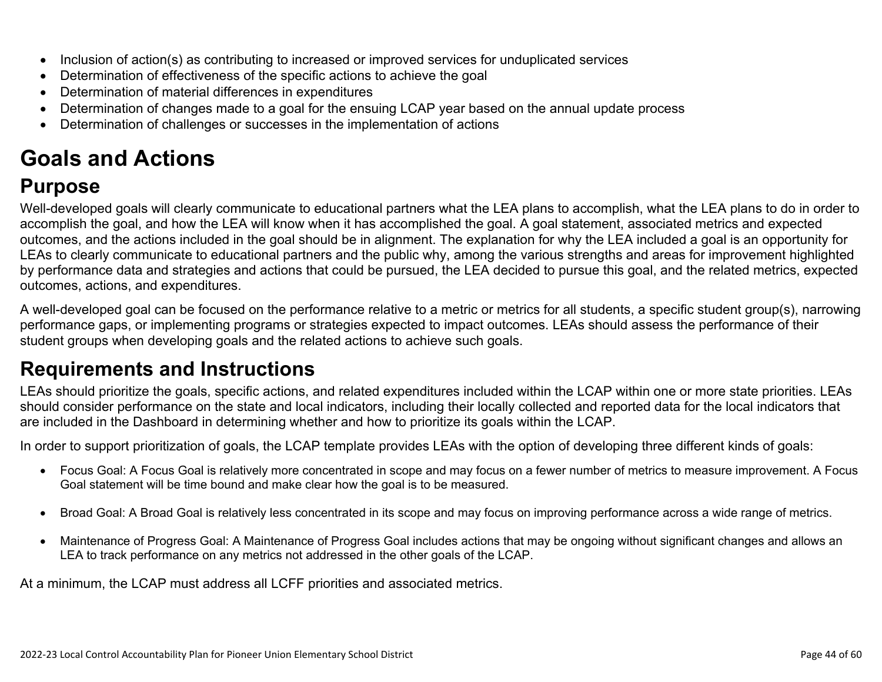- Inclusion of action(s) as contributing to increased or improved services for unduplicated services
- Determination of effectiveness of the specific actions to achieve the goal
- Determination of material differences in expenditures
- Determination of changes made to a goal for the ensuing LCAP year based on the annual update process
- Determination of challenges or successes in the implementation of actions

# **Goals and Actions**

## **Purpose**

Well-developed goals will clearly communicate to educational partners what the LEA plans to accomplish, what the LEA plans to do in order to accomplish the goal, and how the LEA will know when it has accomplished the goal. A goal statement, associated metrics and expected outcomes, and the actions included in the goal should be in alignment. The explanation for why the LEA included a goal is an opportunity for LEAs to clearly communicate to educational partners and the public why, among the various strengths and areas for improvement highlighted by performance data and strategies and actions that could be pursued, the LEA decided to pursue this goal, and the related metrics, expected outcomes, actions, and expenditures.

A well-developed goal can be focused on the performance relative to a metric or metrics for all students, a specific student group(s), narrowing performance gaps, or implementing programs or strategies expected to impact outcomes. LEAs should assess the performance of their student groups when developing goals and the related actions to achieve such goals.

## **Requirements and Instructions**

LEAs should prioritize the goals, specific actions, and related expenditures included within the LCAP within one or more state priorities. LEAs should consider performance on the state and local indicators, including their locally collected and reported data for the local indicators that are included in the Dashboard in determining whether and how to prioritize its goals within the LCAP.

In order to support prioritization of goals, the LCAP template provides LEAs with the option of developing three different kinds of goals:

- Focus Goal: A Focus Goal is relatively more concentrated in scope and may focus on a fewer number of metrics to measure improvement. A Focus Goal statement will be time bound and make clear how the goal is to be measured.
- Broad Goal: A Broad Goal is relatively less concentrated in its scope and may focus on improving performance across a wide range of metrics.
- Maintenance of Progress Goal: A Maintenance of Progress Goal includes actions that may be ongoing without significant changes and allows an LEA to track performance on any metrics not addressed in the other goals of the LCAP.

At a minimum, the LCAP must address all LCFF priorities and associated metrics.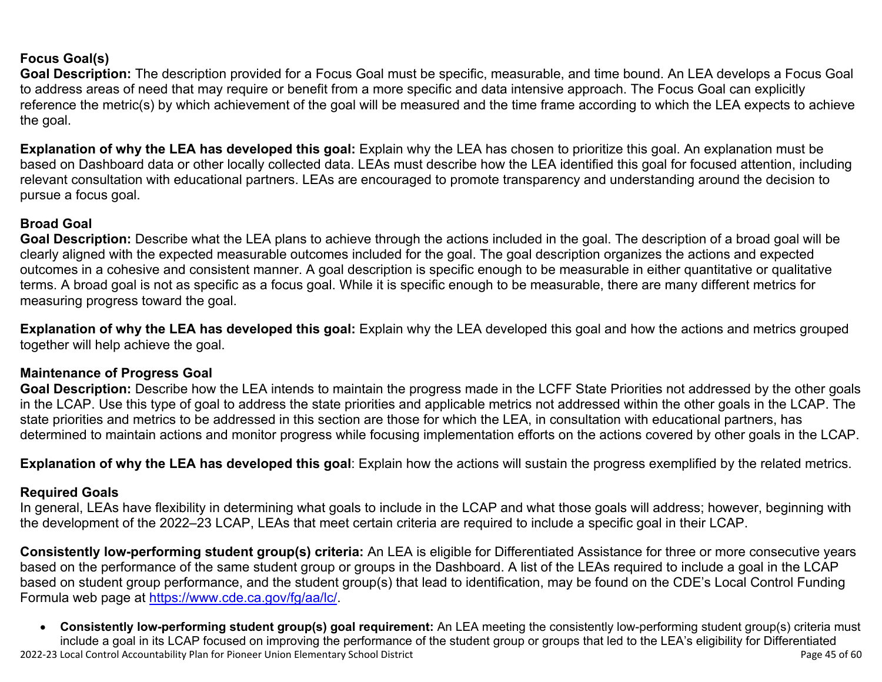#### **Focus Goal(s)**

**Goal Description:** The description provided for a Focus Goal must be specific, measurable, and time bound. An LEA develops a Focus Goal to address areas of need that may require or benefit from a more specific and data intensive approach. The Focus Goal can explicitly reference the metric(s) by which achievement of the goal will be measured and the time frame according to which the LEA expects to achieve the goal.

**Explanation of why the LEA has developed this goal:** Explain why the LEA has chosen to prioritize this goal. An explanation must be based on Dashboard data or other locally collected data. LEAs must describe how the LEA identified this goal for focused attention, including relevant consultation with educational partners. LEAs are encouraged to promote transparency and understanding around the decision to pursue a focus goal.

#### **Broad Goal**

Goal Description: Describe what the LEA plans to achieve through the actions included in the goal. The description of a broad goal will be clearly aligned with the expected measurable outcomes included for the goal. The goal description organizes the actions and expected outcomes in a cohesive and consistent manner. A goal description is specific enough to be measurable in either quantitative or qualitative terms. A broad goal is not as specific as a focus goal. While it is specific enough to be measurable, there are many different metrics for measuring progress toward the goal.

**Explanation of why the LEA has developed this goal:** Explain why the LEA developed this goal and how the actions and metrics grouped together will help achieve the goal.

#### **Maintenance of Progress Goal**

**Goal Description:** Describe how the LEA intends to maintain the progress made in the LCFF State Priorities not addressed by the other goals in the LCAP. Use this type of goal to address the state priorities and applicable metrics not addressed within the other goals in the LCAP. The state priorities and metrics to be addressed in this section are those for which the LEA, in consultation with educational partners, has determined to maintain actions and monitor progress while focusing implementation efforts on the actions covered by other goals in the LCAP.

**Explanation of why the LEA has developed this goal**: Explain how the actions will sustain the progress exemplified by the related metrics.

#### **Required Goals**

In general, LEAs have flexibility in determining what goals to include in the LCAP and what those goals will address; however, beginning with the development of the 2022–23 LCAP, LEAs that meet certain criteria are required to include a specific goal in their LCAP.

**Consistently low-performing student group(s) criteria:** An LEA is eligible for Differentiated Assistance for three or more consecutive years based on the performance of the same student group or groups in the Dashboard. A list of the LEAs required to include a goal in the LCAP based on student group performance, and the student group(s) that lead to identification, may be found on the CDE's Local Control Funding Formula web page at [https://www.cde.ca.gov/fg/aa/lc/.](https://www.cde.ca.gov/fg/aa/lc/)

2022-23 Local Control Accountability Plan for Pioneer Union Elementary School District Page 45 of 60 • **Consistently low-performing student group(s) goal requirement:** An LEA meeting the consistently low-performing student group(s) criteria must include a goal in its LCAP focused on improving the performance of the student group or groups that led to the LEA's eligibility for Differentiated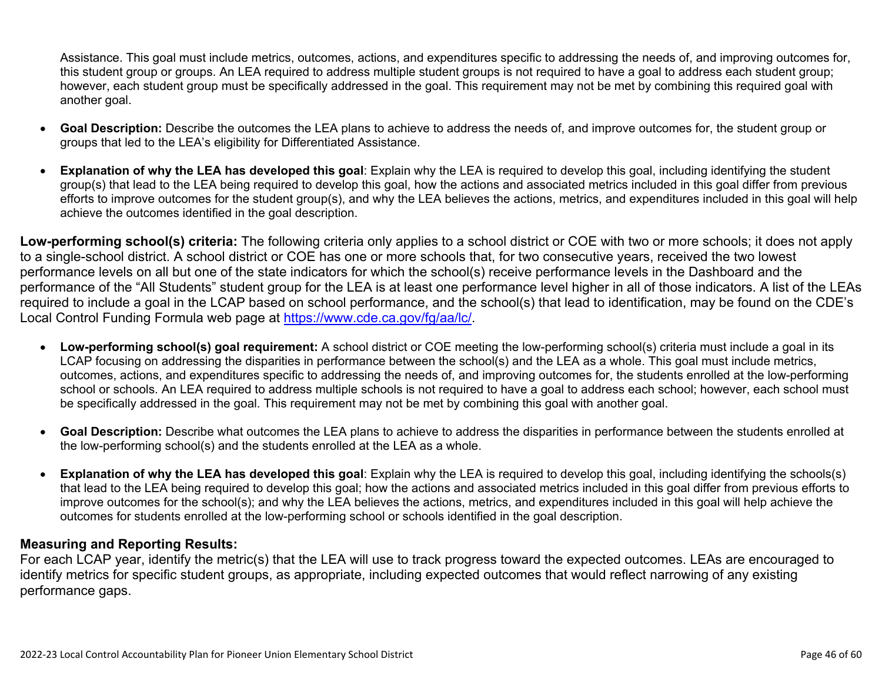Assistance. This goal must include metrics, outcomes, actions, and expenditures specific to addressing the needs of, and improving outcomes for, this student group or groups. An LEA required to address multiple student groups is not required to have a goal to address each student group; however, each student group must be specifically addressed in the goal. This requirement may not be met by combining this required goal with another goal.

- **Goal Description:** Describe the outcomes the LEA plans to achieve to address the needs of, and improve outcomes for, the student group or groups that led to the LEA's eligibility for Differentiated Assistance.
- **Explanation of why the LEA has developed this goal**: Explain why the LEA is required to develop this goal, including identifying the student group(s) that lead to the LEA being required to develop this goal, how the actions and associated metrics included in this goal differ from previous efforts to improve outcomes for the student group(s), and why the LEA believes the actions, metrics, and expenditures included in this goal will help achieve the outcomes identified in the goal description.

**Low-performing school(s) criteria:** The following criteria only applies to a school district or COE with two or more schools; it does not apply to a single-school district. A school district or COE has one or more schools that, for two consecutive years, received the two lowest performance levels on all but one of the state indicators for which the school(s) receive performance levels in the Dashboard and the performance of the "All Students" student group for the LEA is at least one performance level higher in all of those indicators. A list of the LEAs required to include a goal in the LCAP based on school performance, and the school(s) that lead to identification, may be found on the CDE's Local Control Funding Formula web page at [https://www.cde.ca.gov/fg/aa/lc/.](https://www.cde.ca.gov/fg/aa/lc/)

- **Low-performing school(s) goal requirement:** A school district or COE meeting the low-performing school(s) criteria must include a goal in its LCAP focusing on addressing the disparities in performance between the school(s) and the LEA as a whole. This goal must include metrics, outcomes, actions, and expenditures specific to addressing the needs of, and improving outcomes for, the students enrolled at the low-performing school or schools. An LEA required to address multiple schools is not required to have a goal to address each school; however, each school must be specifically addressed in the goal. This requirement may not be met by combining this goal with another goal.
- **Goal Description:** Describe what outcomes the LEA plans to achieve to address the disparities in performance between the students enrolled at the low-performing school(s) and the students enrolled at the LEA as a whole.
- **Explanation of why the LEA has developed this goal**: Explain why the LEA is required to develop this goal, including identifying the schools(s) that lead to the LEA being required to develop this goal; how the actions and associated metrics included in this goal differ from previous efforts to improve outcomes for the school(s); and why the LEA believes the actions, metrics, and expenditures included in this goal will help achieve the outcomes for students enrolled at the low-performing school or schools identified in the goal description.

#### **Measuring and Reporting Results:**

For each LCAP year, identify the metric(s) that the LEA will use to track progress toward the expected outcomes. LEAs are encouraged to identify metrics for specific student groups, as appropriate, including expected outcomes that would reflect narrowing of any existing performance gaps.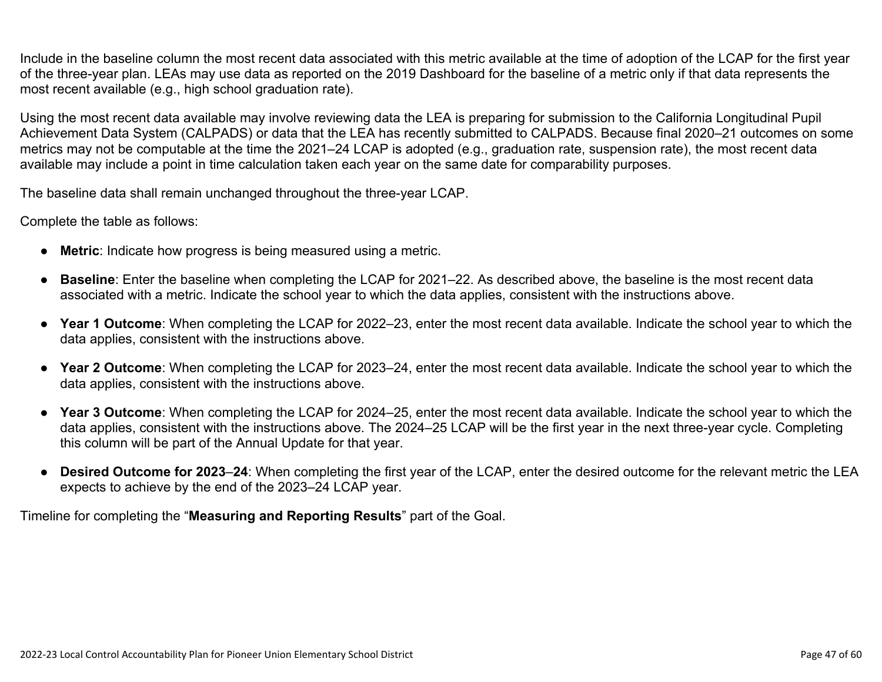Include in the baseline column the most recent data associated with this metric available at the time of adoption of the LCAP for the first year of the three-year plan. LEAs may use data as reported on the 2019 Dashboard for the baseline of a metric only if that data represents the most recent available (e.g., high school graduation rate).

Using the most recent data available may involve reviewing data the LEA is preparing for submission to the California Longitudinal Pupil Achievement Data System (CALPADS) or data that the LEA has recently submitted to CALPADS. Because final 2020–21 outcomes on some metrics may not be computable at the time the 2021–24 LCAP is adopted (e.g., graduation rate, suspension rate), the most recent data available may include a point in time calculation taken each year on the same date for comparability purposes.

The baseline data shall remain unchanged throughout the three-year LCAP.

Complete the table as follows:

- **Metric**: Indicate how progress is being measured using a metric.
- **Baseline**: Enter the baseline when completing the LCAP for 2021–22. As described above, the baseline is the most recent data associated with a metric. Indicate the school year to which the data applies, consistent with the instructions above.
- **Year 1 Outcome**: When completing the LCAP for 2022–23, enter the most recent data available. Indicate the school year to which the data applies, consistent with the instructions above.
- **Year 2 Outcome**: When completing the LCAP for 2023–24, enter the most recent data available. Indicate the school year to which the data applies, consistent with the instructions above.
- **Year 3 Outcome**: When completing the LCAP for 2024–25, enter the most recent data available. Indicate the school year to which the data applies, consistent with the instructions above. The 2024–25 LCAP will be the first year in the next three-year cycle. Completing this column will be part of the Annual Update for that year.
- **Desired Outcome for 2023**–**24**: When completing the first year of the LCAP, enter the desired outcome for the relevant metric the LEA expects to achieve by the end of the 2023–24 LCAP year.

Timeline for completing the "**Measuring and Reporting Results**" part of the Goal.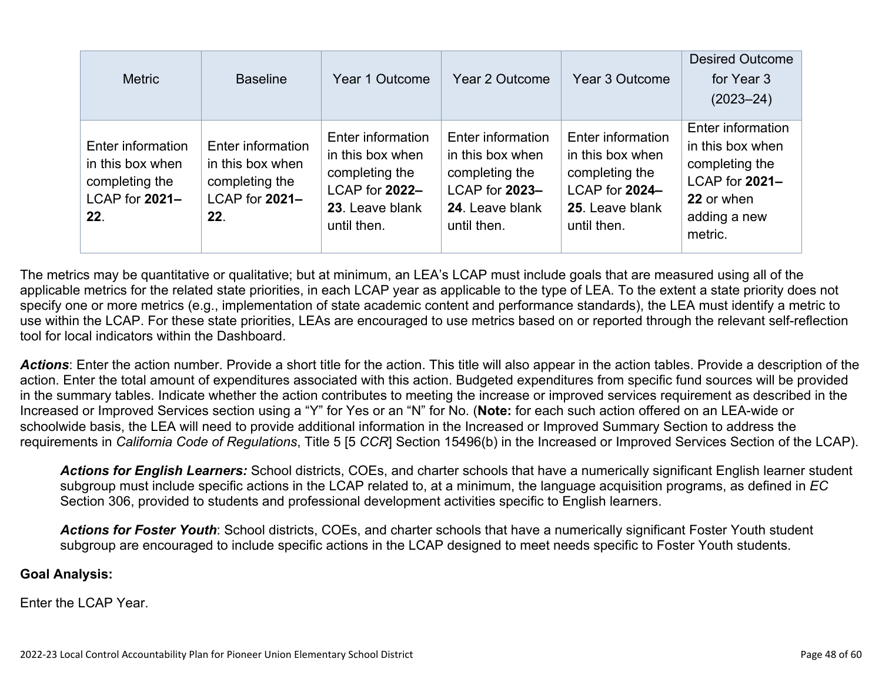| <b>Metric</b>                                                                    | <b>Baseline</b>                                                                  | Year 1 Outcome                                                                                              | Year 2 Outcome                                                                                              | Year 3 Outcome                                                                                              | <b>Desired Outcome</b><br>for Year 3<br>$(2023 - 24)$                                                              |
|----------------------------------------------------------------------------------|----------------------------------------------------------------------------------|-------------------------------------------------------------------------------------------------------------|-------------------------------------------------------------------------------------------------------------|-------------------------------------------------------------------------------------------------------------|--------------------------------------------------------------------------------------------------------------------|
| Enter information<br>in this box when<br>completing the<br>LCAP for 2021-<br>22. | Enter information<br>in this box when<br>completing the<br>LCAP for 2021-<br>22. | Enter information<br>in this box when<br>completing the<br>LCAP for 2022-<br>23. Leave blank<br>until then. | Enter information<br>in this box when<br>completing the<br>LCAP for 2023-<br>24. Leave blank<br>until then. | Enter information<br>in this box when<br>completing the<br>LCAP for 2024-<br>25. Leave blank<br>until then. | Enter information<br>in this box when<br>completing the<br>LCAP for 2021-<br>22 or when<br>adding a new<br>metric. |

The metrics may be quantitative or qualitative; but at minimum, an LEA's LCAP must include goals that are measured using all of the applicable metrics for the related state priorities, in each LCAP year as applicable to the type of LEA. To the extent a state priority does not specify one or more metrics (e.g., implementation of state academic content and performance standards), the LEA must identify a metric to use within the LCAP. For these state priorities, LEAs are encouraged to use metrics based on or reported through the relevant self-reflection tool for local indicators within the Dashboard.

*Actions*: Enter the action number. Provide a short title for the action. This title will also appear in the action tables. Provide a description of the action. Enter the total amount of expenditures associated with this action. Budgeted expenditures from specific fund sources will be provided in the summary tables. Indicate whether the action contributes to meeting the increase or improved services requirement as described in the Increased or Improved Services section using a "Y" for Yes or an "N" for No. (**Note:** for each such action offered on an LEA-wide or schoolwide basis, the LEA will need to provide additional information in the Increased or Improved Summary Section to address the requirements in *California Code of Regulations*, Title 5 [5 *CCR*] Section 15496(b) in the Increased or Improved Services Section of the LCAP).

*Actions for English Learners:* School districts, COEs, and charter schools that have a numerically significant English learner student subgroup must include specific actions in the LCAP related to, at a minimum, the language acquisition programs, as defined in *EC* Section 306, provided to students and professional development activities specific to English learners.

*Actions for Foster Youth*: School districts, COEs, and charter schools that have a numerically significant Foster Youth student subgroup are encouraged to include specific actions in the LCAP designed to meet needs specific to Foster Youth students.

#### **Goal Analysis:**

Enter the LCAP Year.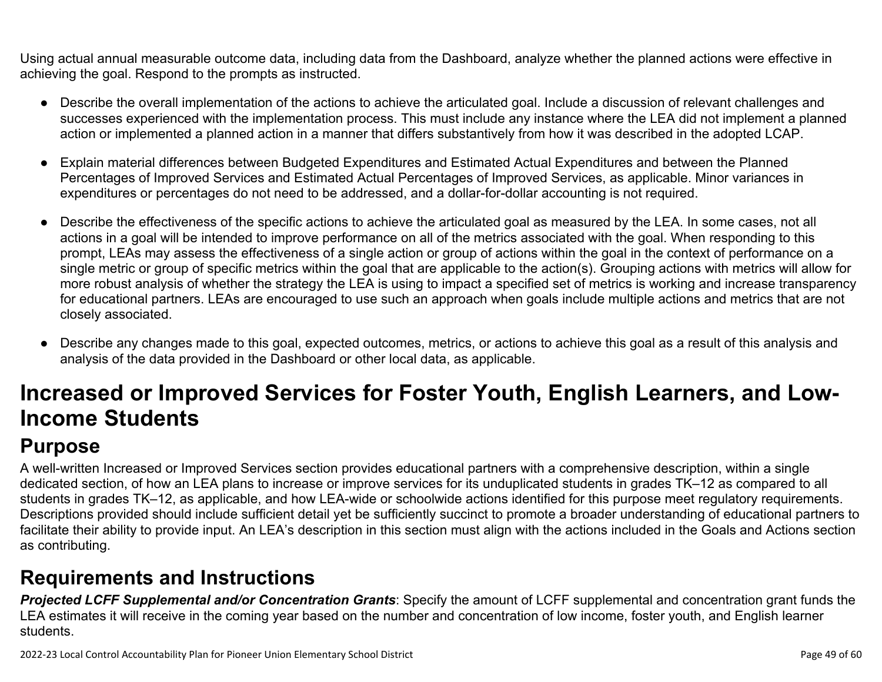Using actual annual measurable outcome data, including data from the Dashboard, analyze whether the planned actions were effective in achieving the goal. Respond to the prompts as instructed.

- Describe the overall implementation of the actions to achieve the articulated goal. Include a discussion of relevant challenges and successes experienced with the implementation process. This must include any instance where the LEA did not implement a planned action or implemented a planned action in a manner that differs substantively from how it was described in the adopted LCAP.
- Explain material differences between Budgeted Expenditures and Estimated Actual Expenditures and between the Planned Percentages of Improved Services and Estimated Actual Percentages of Improved Services, as applicable. Minor variances in expenditures or percentages do not need to be addressed, and a dollar-for-dollar accounting is not required.
- Describe the effectiveness of the specific actions to achieve the articulated goal as measured by the LEA. In some cases, not all actions in a goal will be intended to improve performance on all of the metrics associated with the goal. When responding to this prompt, LEAs may assess the effectiveness of a single action or group of actions within the goal in the context of performance on a single metric or group of specific metrics within the goal that are applicable to the action(s). Grouping actions with metrics will allow for more robust analysis of whether the strategy the LEA is using to impact a specified set of metrics is working and increase transparency for educational partners. LEAs are encouraged to use such an approach when goals include multiple actions and metrics that are not closely associated.
- Describe any changes made to this goal, expected outcomes, metrics, or actions to achieve this goal as a result of this analysis and analysis of the data provided in the Dashboard or other local data, as applicable.

# **Increased or Improved Services for Foster Youth, English Learners, and Low-Income Students**

## **Purpose**

A well-written Increased or Improved Services section provides educational partners with a comprehensive description, within a single dedicated section, of how an LEA plans to increase or improve services for its unduplicated students in grades TK–12 as compared to all students in grades TK–12, as applicable, and how LEA-wide or schoolwide actions identified for this purpose meet regulatory requirements. Descriptions provided should include sufficient detail yet be sufficiently succinct to promote a broader understanding of educational partners to facilitate their ability to provide input. An LEA's description in this section must align with the actions included in the Goals and Actions section as contributing.

## **Requirements and Instructions**

*Projected LCFF Supplemental and/or Concentration Grants*: Specify the amount of LCFF supplemental and concentration grant funds the LEA estimates it will receive in the coming year based on the number and concentration of low income, foster youth, and English learner students.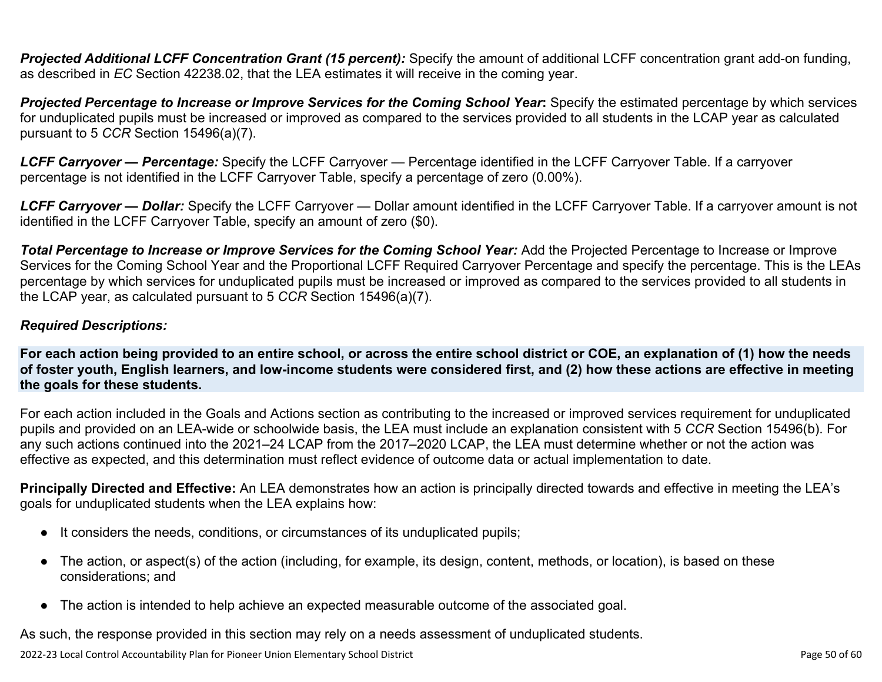**Projected Additional LCFF Concentration Grant (15 percent):** Specify the amount of additional LCFF concentration grant add-on funding, as described in *EC* Section 42238.02, that the LEA estimates it will receive in the coming year.

*Projected Percentage to Increase or Improve Services for the Coming School Year***:** Specify the estimated percentage by which services for unduplicated pupils must be increased or improved as compared to the services provided to all students in the LCAP year as calculated pursuant to 5 *CCR* Section 15496(a)(7).

*LCFF Carryover — Percentage:* Specify the LCFF Carryover — Percentage identified in the LCFF Carryover Table. If a carryover percentage is not identified in the LCFF Carryover Table, specify a percentage of zero (0.00%).

*LCFF Carryover — Dollar:* Specify the LCFF Carryover — Dollar amount identified in the LCFF Carryover Table. If a carryover amount is not identified in the LCFF Carryover Table, specify an amount of zero (\$0).

**Total Percentage to Increase or Improve Services for the Coming School Year:** Add the Projected Percentage to Increase or Improve Services for the Coming School Year and the Proportional LCFF Required Carryover Percentage and specify the percentage. This is the LEAs percentage by which services for unduplicated pupils must be increased or improved as compared to the services provided to all students in the LCAP year, as calculated pursuant to 5 *CCR* Section 15496(a)(7).

#### *Required Descriptions:*

**For each action being provided to an entire school, or across the entire school district or COE, an explanation of (1) how the needs of foster youth, English learners, and low-income students were considered first, and (2) how these actions are effective in meeting the goals for these students.**

For each action included in the Goals and Actions section as contributing to the increased or improved services requirement for unduplicated pupils and provided on an LEA-wide or schoolwide basis, the LEA must include an explanation consistent with 5 *CCR* Section 15496(b). For any such actions continued into the 2021–24 LCAP from the 2017–2020 LCAP, the LEA must determine whether or not the action was effective as expected, and this determination must reflect evidence of outcome data or actual implementation to date.

**Principally Directed and Effective:** An LEA demonstrates how an action is principally directed towards and effective in meeting the LEA's goals for unduplicated students when the LEA explains how:

- It considers the needs, conditions, or circumstances of its unduplicated pupils;
- The action, or aspect(s) of the action (including, for example, its design, content, methods, or location), is based on these considerations; and
- The action is intended to help achieve an expected measurable outcome of the associated goal.

As such, the response provided in this section may rely on a needs assessment of unduplicated students.

2022-23 Local Control Accountability Plan for Pioneer Union Elementary School District **Page 10** of 60 of 60 of 60 of 60 of 60 of 60 of 60 of 60 of 60 of 60 of 60 of 60 of 60 of 60 of 60 of 60 of 60 of 60 of 60 of 60 of 60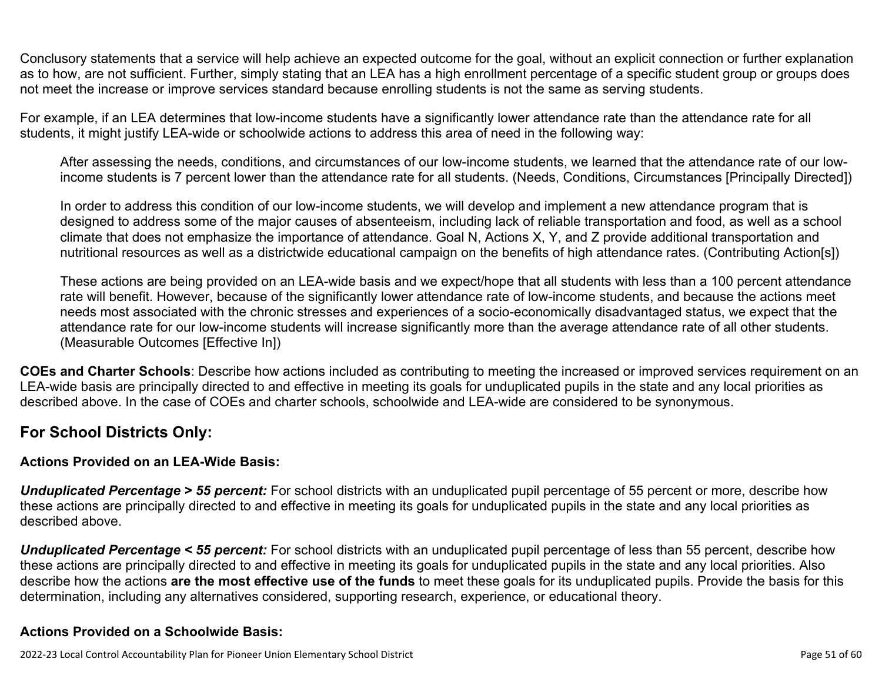Conclusory statements that a service will help achieve an expected outcome for the goal, without an explicit connection or further explanation as to how, are not sufficient. Further, simply stating that an LEA has a high enrollment percentage of a specific student group or groups does not meet the increase or improve services standard because enrolling students is not the same as serving students.

For example, if an LEA determines that low-income students have a significantly lower attendance rate than the attendance rate for all students, it might justify LEA-wide or schoolwide actions to address this area of need in the following way:

After assessing the needs, conditions, and circumstances of our low-income students, we learned that the attendance rate of our lowincome students is 7 percent lower than the attendance rate for all students. (Needs, Conditions, Circumstances [Principally Directed])

In order to address this condition of our low-income students, we will develop and implement a new attendance program that is designed to address some of the major causes of absenteeism, including lack of reliable transportation and food, as well as a school climate that does not emphasize the importance of attendance. Goal N, Actions X, Y, and Z provide additional transportation and nutritional resources as well as a districtwide educational campaign on the benefits of high attendance rates. (Contributing Action[s])

These actions are being provided on an LEA-wide basis and we expect/hope that all students with less than a 100 percent attendance rate will benefit. However, because of the significantly lower attendance rate of low-income students, and because the actions meet needs most associated with the chronic stresses and experiences of a socio-economically disadvantaged status, we expect that the attendance rate for our low-income students will increase significantly more than the average attendance rate of all other students. (Measurable Outcomes [Effective In])

**COEs and Charter Schools**: Describe how actions included as contributing to meeting the increased or improved services requirement on an LEA-wide basis are principally directed to and effective in meeting its goals for unduplicated pupils in the state and any local priorities as described above. In the case of COEs and charter schools, schoolwide and LEA-wide are considered to be synonymous.

### **For School Districts Only:**

#### **Actions Provided on an LEA-Wide Basis:**

*Unduplicated Percentage > 55 percent:* For school districts with an unduplicated pupil percentage of 55 percent or more, describe how these actions are principally directed to and effective in meeting its goals for unduplicated pupils in the state and any local priorities as described above.

*Unduplicated Percentage < 55 percent:* For school districts with an unduplicated pupil percentage of less than 55 percent, describe how these actions are principally directed to and effective in meeting its goals for unduplicated pupils in the state and any local priorities. Also describe how the actions **are the most effective use of the funds** to meet these goals for its unduplicated pupils. Provide the basis for this determination, including any alternatives considered, supporting research, experience, or educational theory.

#### **Actions Provided on a Schoolwide Basis:**

2022-23 Local Control Accountability Plan for Pioneer Union Elementary School District **Page 51** of 60 and the state of 60 and the state Page 51 of 60 and the Page 51 of 60 and the Page 51 of 60 and the Page 51 of 60 and t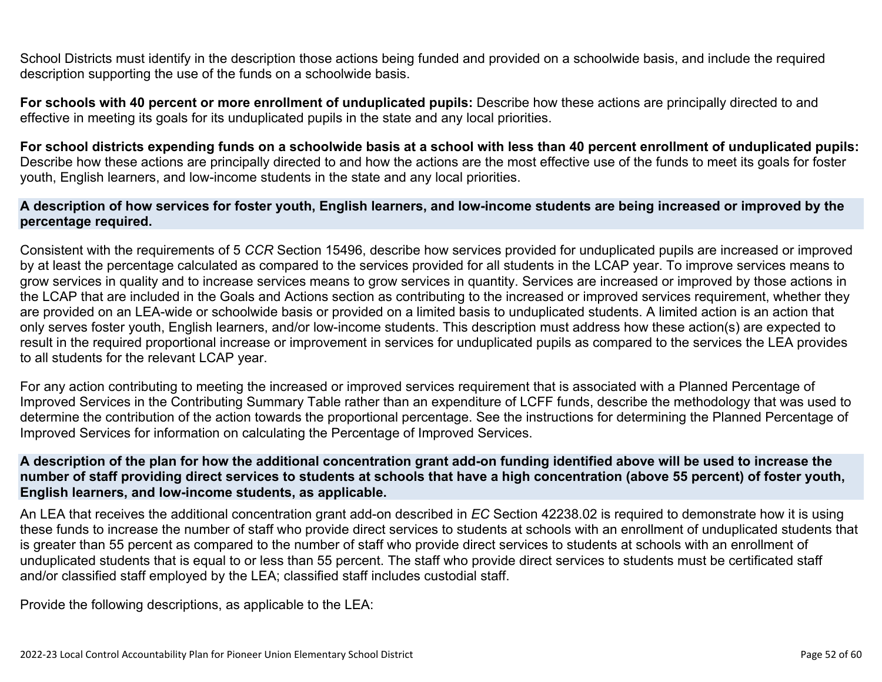School Districts must identify in the description those actions being funded and provided on a schoolwide basis, and include the required description supporting the use of the funds on a schoolwide basis.

**For schools with 40 percent or more enrollment of unduplicated pupils:** Describe how these actions are principally directed to and effective in meeting its goals for its unduplicated pupils in the state and any local priorities.

**For school districts expending funds on a schoolwide basis at a school with less than 40 percent enrollment of unduplicated pupils:** Describe how these actions are principally directed to and how the actions are the most effective use of the funds to meet its goals for foster youth, English learners, and low-income students in the state and any local priorities.

#### **A description of how services for foster youth, English learners, and low-income students are being increased or improved by the percentage required.**

Consistent with the requirements of 5 *CCR* Section 15496, describe how services provided for unduplicated pupils are increased or improved by at least the percentage calculated as compared to the services provided for all students in the LCAP year. To improve services means to grow services in quality and to increase services means to grow services in quantity. Services are increased or improved by those actions in the LCAP that are included in the Goals and Actions section as contributing to the increased or improved services requirement, whether they are provided on an LEA-wide or schoolwide basis or provided on a limited basis to unduplicated students. A limited action is an action that only serves foster youth, English learners, and/or low-income students. This description must address how these action(s) are expected to result in the required proportional increase or improvement in services for unduplicated pupils as compared to the services the LEA provides to all students for the relevant LCAP year.

For any action contributing to meeting the increased or improved services requirement that is associated with a Planned Percentage of Improved Services in the Contributing Summary Table rather than an expenditure of LCFF funds, describe the methodology that was used to determine the contribution of the action towards the proportional percentage. See the instructions for determining the Planned Percentage of Improved Services for information on calculating the Percentage of Improved Services.

#### **A description of the plan for how the additional concentration grant add-on funding identified above will be used to increase the number of staff providing direct services to students at schools that have a high concentration (above 55 percent) of foster youth, English learners, and low-income students, as applicable.**

An LEA that receives the additional concentration grant add-on described in *EC* Section 42238.02 is required to demonstrate how it is using these funds to increase the number of staff who provide direct services to students at schools with an enrollment of unduplicated students that is greater than 55 percent as compared to the number of staff who provide direct services to students at schools with an enrollment of unduplicated students that is equal to or less than 55 percent. The staff who provide direct services to students must be certificated staff and/or classified staff employed by the LEA; classified staff includes custodial staff.

Provide the following descriptions, as applicable to the LEA: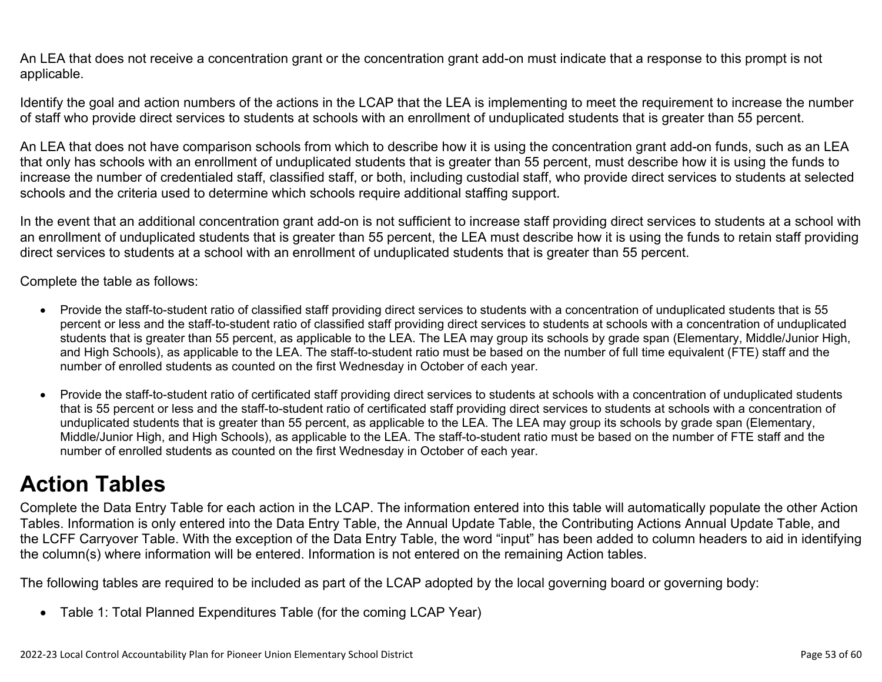An LEA that does not receive a concentration grant or the concentration grant add-on must indicate that a response to this prompt is not applicable.

Identify the goal and action numbers of the actions in the LCAP that the LEA is implementing to meet the requirement to increase the number of staff who provide direct services to students at schools with an enrollment of unduplicated students that is greater than 55 percent.

An LEA that does not have comparison schools from which to describe how it is using the concentration grant add-on funds, such as an LEA that only has schools with an enrollment of unduplicated students that is greater than 55 percent, must describe how it is using the funds to increase the number of credentialed staff, classified staff, or both, including custodial staff, who provide direct services to students at selected schools and the criteria used to determine which schools require additional staffing support.

In the event that an additional concentration grant add-on is not sufficient to increase staff providing direct services to students at a school with an enrollment of unduplicated students that is greater than 55 percent, the LEA must describe how it is using the funds to retain staff providing direct services to students at a school with an enrollment of unduplicated students that is greater than 55 percent.

Complete the table as follows:

- Provide the staff-to-student ratio of classified staff providing direct services to students with a concentration of unduplicated students that is 55 percent or less and the staff-to-student ratio of classified staff providing direct services to students at schools with a concentration of unduplicated students that is greater than 55 percent, as applicable to the LEA. The LEA may group its schools by grade span (Elementary, Middle/Junior High, and High Schools), as applicable to the LEA. The staff-to-student ratio must be based on the number of full time equivalent (FTE) staff and the number of enrolled students as counted on the first Wednesday in October of each year.
- Provide the staff-to-student ratio of certificated staff providing direct services to students at schools with a concentration of unduplicated students that is 55 percent or less and the staff-to-student ratio of certificated staff providing direct services to students at schools with a concentration of unduplicated students that is greater than 55 percent, as applicable to the LEA. The LEA may group its schools by grade span (Elementary, Middle/Junior High, and High Schools), as applicable to the LEA. The staff-to-student ratio must be based on the number of FTE staff and the number of enrolled students as counted on the first Wednesday in October of each year.

# **Action Tables**

Complete the Data Entry Table for each action in the LCAP. The information entered into this table will automatically populate the other Action Tables. Information is only entered into the Data Entry Table, the Annual Update Table, the Contributing Actions Annual Update Table, and the LCFF Carryover Table. With the exception of the Data Entry Table, the word "input" has been added to column headers to aid in identifying the column(s) where information will be entered. Information is not entered on the remaining Action tables.

The following tables are required to be included as part of the LCAP adopted by the local governing board or governing body:

• Table 1: Total Planned Expenditures Table (for the coming LCAP Year)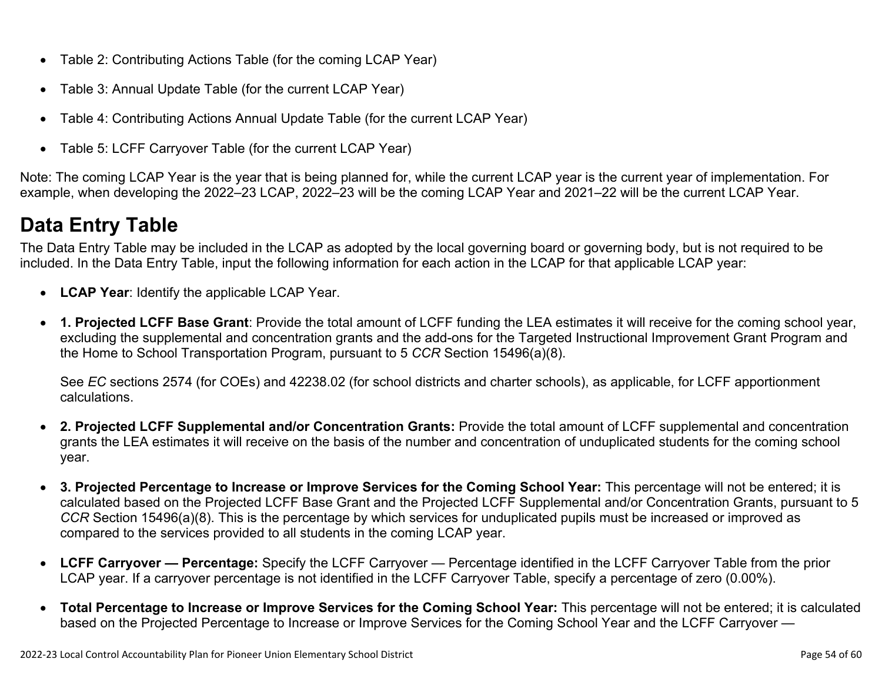- Table 2: Contributing Actions Table (for the coming LCAP Year)
- Table 3: Annual Update Table (for the current LCAP Year)
- Table 4: Contributing Actions Annual Update Table (for the current LCAP Year)
- Table 5: LCFF Carryover Table (for the current LCAP Year)

Note: The coming LCAP Year is the year that is being planned for, while the current LCAP year is the current year of implementation. For example, when developing the 2022–23 LCAP, 2022–23 will be the coming LCAP Year and 2021–22 will be the current LCAP Year.

## **Data Entry Table**

The Data Entry Table may be included in the LCAP as adopted by the local governing board or governing body, but is not required to be included. In the Data Entry Table, input the following information for each action in the LCAP for that applicable LCAP year:

- **LCAP Year**: Identify the applicable LCAP Year.
- **1. Projected LCFF Base Grant**: Provide the total amount of LCFF funding the LEA estimates it will receive for the coming school year, excluding the supplemental and concentration grants and the add-ons for the Targeted Instructional Improvement Grant Program and the Home to School Transportation Program, pursuant to 5 *CCR* Section 15496(a)(8).

See *EC* sections 2574 (for COEs) and 42238.02 (for school districts and charter schools), as applicable, for LCFF apportionment calculations.

- **2. Projected LCFF Supplemental and/or Concentration Grants:** Provide the total amount of LCFF supplemental and concentration grants the LEA estimates it will receive on the basis of the number and concentration of unduplicated students for the coming school year.
- **3. Projected Percentage to Increase or Improve Services for the Coming School Year:** This percentage will not be entered; it is calculated based on the Projected LCFF Base Grant and the Projected LCFF Supplemental and/or Concentration Grants, pursuant to 5 *CCR* Section 15496(a)(8). This is the percentage by which services for unduplicated pupils must be increased or improved as compared to the services provided to all students in the coming LCAP year.
- **LCFF Carryover Percentage:** Specify the LCFF Carryover Percentage identified in the LCFF Carryover Table from the prior LCAP year. If a carryover percentage is not identified in the LCFF Carryover Table, specify a percentage of zero (0.00%).
- **Total Percentage to Increase or Improve Services for the Coming School Year:** This percentage will not be entered; it is calculated based on the Projected Percentage to Increase or Improve Services for the Coming School Year and the LCFF Carryover —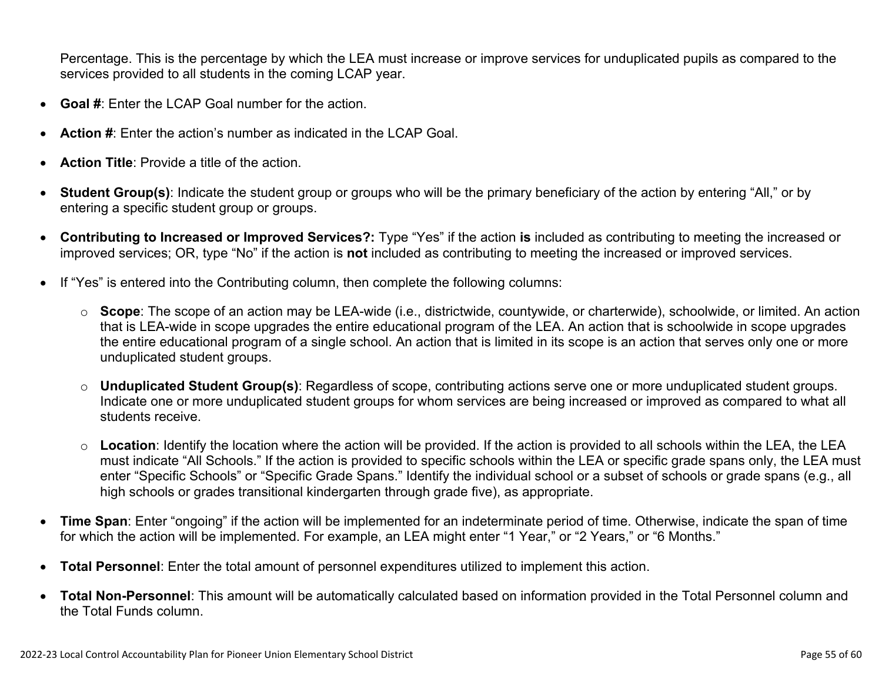Percentage. This is the percentage by which the LEA must increase or improve services for unduplicated pupils as compared to the services provided to all students in the coming LCAP year.

- **Goal #**: Enter the LCAP Goal number for the action.
- **Action #**: Enter the action's number as indicated in the LCAP Goal.
- **Action Title**: Provide a title of the action.
- **Student Group(s)**: Indicate the student group or groups who will be the primary beneficiary of the action by entering "All," or by entering a specific student group or groups.
- **Contributing to Increased or Improved Services?:** Type "Yes" if the action **is** included as contributing to meeting the increased or improved services; OR, type "No" if the action is **not** included as contributing to meeting the increased or improved services.
- If "Yes" is entered into the Contributing column, then complete the following columns:
	- o **Scope**: The scope of an action may be LEA-wide (i.e., districtwide, countywide, or charterwide), schoolwide, or limited. An action that is LEA-wide in scope upgrades the entire educational program of the LEA. An action that is schoolwide in scope upgrades the entire educational program of a single school. An action that is limited in its scope is an action that serves only one or more unduplicated student groups.
	- o **Unduplicated Student Group(s)**: Regardless of scope, contributing actions serve one or more unduplicated student groups. Indicate one or more unduplicated student groups for whom services are being increased or improved as compared to what all students receive.
	- o **Location**: Identify the location where the action will be provided. If the action is provided to all schools within the LEA, the LEA must indicate "All Schools." If the action is provided to specific schools within the LEA or specific grade spans only, the LEA must enter "Specific Schools" or "Specific Grade Spans." Identify the individual school or a subset of schools or grade spans (e.g., all high schools or grades transitional kindergarten through grade five), as appropriate.
- **Time Span**: Enter "ongoing" if the action will be implemented for an indeterminate period of time. Otherwise, indicate the span of time for which the action will be implemented. For example, an LEA might enter "1 Year," or "2 Years," or "6 Months."
- **Total Personnel**: Enter the total amount of personnel expenditures utilized to implement this action.
- **Total Non-Personnel**: This amount will be automatically calculated based on information provided in the Total Personnel column and the Total Funds column.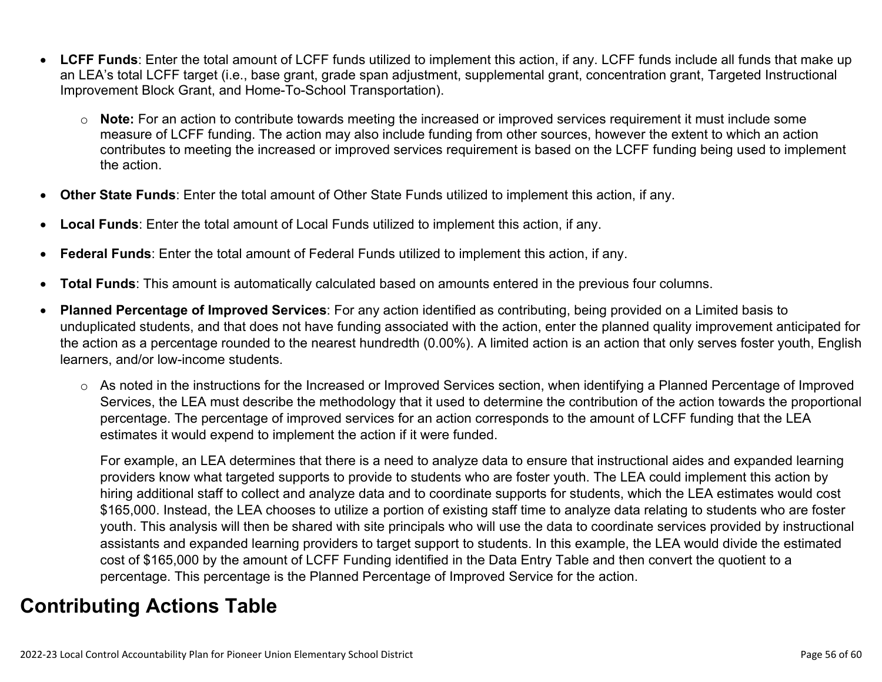- **LCFF Funds**: Enter the total amount of LCFF funds utilized to implement this action, if any. LCFF funds include all funds that make up an LEA's total LCFF target (i.e., base grant, grade span adjustment, supplemental grant, concentration grant, Targeted Instructional Improvement Block Grant, and Home-To-School Transportation).
	- o **Note:** For an action to contribute towards meeting the increased or improved services requirement it must include some measure of LCFF funding. The action may also include funding from other sources, however the extent to which an action contributes to meeting the increased or improved services requirement is based on the LCFF funding being used to implement the action.
- **Other State Funds**: Enter the total amount of Other State Funds utilized to implement this action, if any.
- **Local Funds**: Enter the total amount of Local Funds utilized to implement this action, if any.
- **Federal Funds**: Enter the total amount of Federal Funds utilized to implement this action, if any.
- **Total Funds**: This amount is automatically calculated based on amounts entered in the previous four columns.
- **Planned Percentage of Improved Services**: For any action identified as contributing, being provided on a Limited basis to unduplicated students, and that does not have funding associated with the action, enter the planned quality improvement anticipated for the action as a percentage rounded to the nearest hundredth (0.00%). A limited action is an action that only serves foster youth, English learners, and/or low-income students.
	- o As noted in the instructions for the Increased or Improved Services section, when identifying a Planned Percentage of Improved Services, the LEA must describe the methodology that it used to determine the contribution of the action towards the proportional percentage. The percentage of improved services for an action corresponds to the amount of LCFF funding that the LEA estimates it would expend to implement the action if it were funded.

For example, an LEA determines that there is a need to analyze data to ensure that instructional aides and expanded learning providers know what targeted supports to provide to students who are foster youth. The LEA could implement this action by hiring additional staff to collect and analyze data and to coordinate supports for students, which the LEA estimates would cost \$165,000. Instead, the LEA chooses to utilize a portion of existing staff time to analyze data relating to students who are foster youth. This analysis will then be shared with site principals who will use the data to coordinate services provided by instructional assistants and expanded learning providers to target support to students. In this example, the LEA would divide the estimated cost of \$165,000 by the amount of LCFF Funding identified in the Data Entry Table and then convert the quotient to a percentage. This percentage is the Planned Percentage of Improved Service for the action.

## **Contributing Actions Table**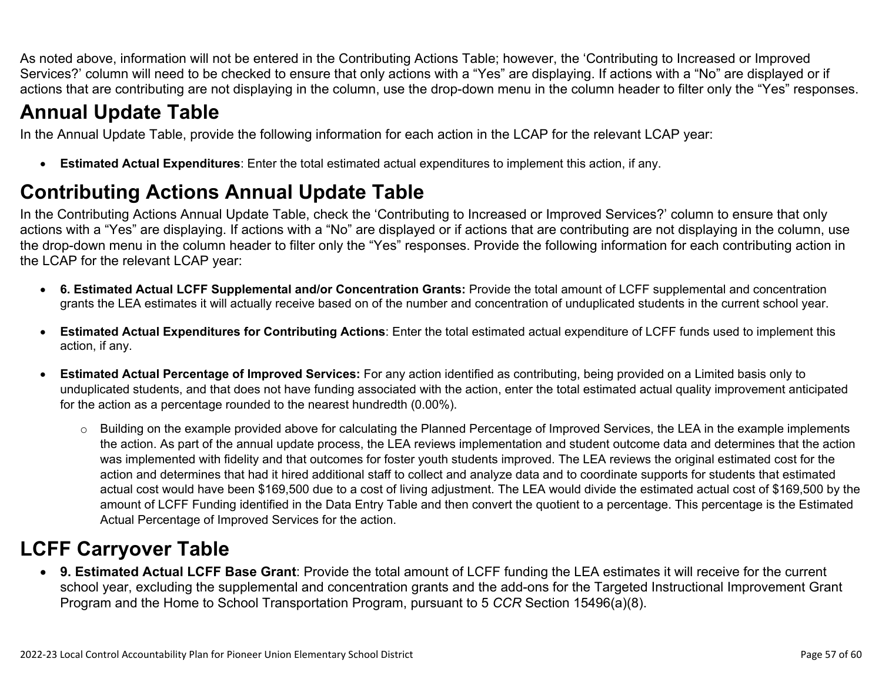As noted above, information will not be entered in the Contributing Actions Table; however, the 'Contributing to Increased or Improved Services?' column will need to be checked to ensure that only actions with a "Yes" are displaying. If actions with a "No" are displayed or if actions that are contributing are not displaying in the column, use the drop-down menu in the column header to filter only the "Yes" responses.

## **Annual Update Table**

In the Annual Update Table, provide the following information for each action in the LCAP for the relevant LCAP year:

• **Estimated Actual Expenditures**: Enter the total estimated actual expenditures to implement this action, if any.

## **Contributing Actions Annual Update Table**

In the Contributing Actions Annual Update Table, check the 'Contributing to Increased or Improved Services?' column to ensure that only actions with a "Yes" are displaying. If actions with a "No" are displayed or if actions that are contributing are not displaying in the column, use the drop-down menu in the column header to filter only the "Yes" responses. Provide the following information for each contributing action in the LCAP for the relevant LCAP year:

- **6. Estimated Actual LCFF Supplemental and/or Concentration Grants:** Provide the total amount of LCFF supplemental and concentration grants the LEA estimates it will actually receive based on of the number and concentration of unduplicated students in the current school year.
- **Estimated Actual Expenditures for Contributing Actions**: Enter the total estimated actual expenditure of LCFF funds used to implement this action, if any.
- **Estimated Actual Percentage of Improved Services:** For any action identified as contributing, being provided on a Limited basis only to unduplicated students, and that does not have funding associated with the action, enter the total estimated actual quality improvement anticipated for the action as a percentage rounded to the nearest hundredth (0.00%).
	- o Building on the example provided above for calculating the Planned Percentage of Improved Services, the LEA in the example implements the action. As part of the annual update process, the LEA reviews implementation and student outcome data and determines that the action was implemented with fidelity and that outcomes for foster youth students improved. The LEA reviews the original estimated cost for the action and determines that had it hired additional staff to collect and analyze data and to coordinate supports for students that estimated actual cost would have been \$169,500 due to a cost of living adjustment. The LEA would divide the estimated actual cost of \$169,500 by the amount of LCFF Funding identified in the Data Entry Table and then convert the quotient to a percentage. This percentage is the Estimated Actual Percentage of Improved Services for the action.

## **LCFF Carryover Table**

• **9. Estimated Actual LCFF Base Grant**: Provide the total amount of LCFF funding the LEA estimates it will receive for the current school year, excluding the supplemental and concentration grants and the add-ons for the Targeted Instructional Improvement Grant Program and the Home to School Transportation Program, pursuant to 5 *CCR* Section 15496(a)(8).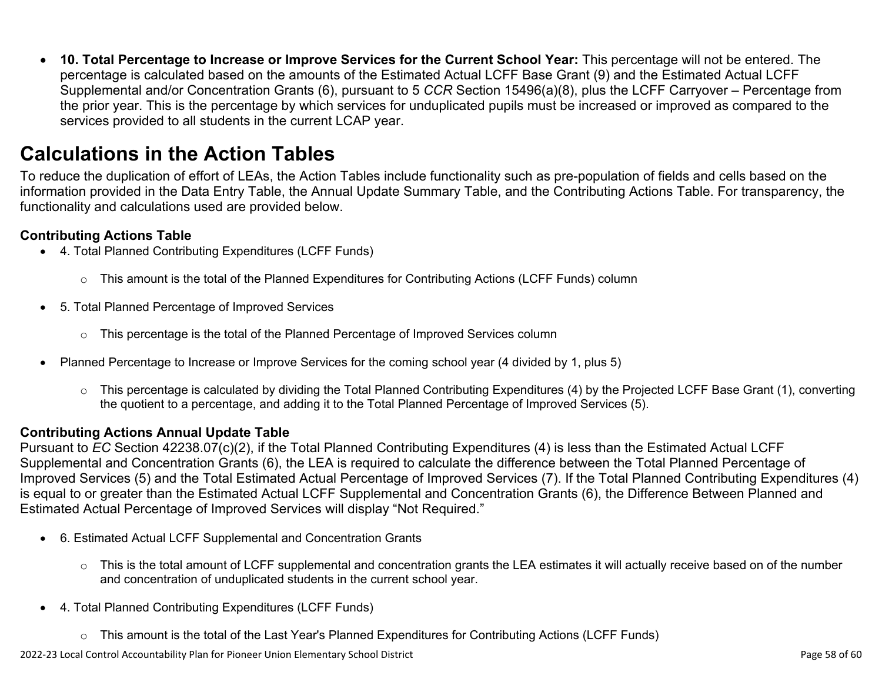• **10. Total Percentage to Increase or Improve Services for the Current School Year:** This percentage will not be entered. The percentage is calculated based on the amounts of the Estimated Actual LCFF Base Grant (9) and the Estimated Actual LCFF Supplemental and/or Concentration Grants (6), pursuant to 5 *CCR* Section 15496(a)(8), plus the LCFF Carryover – Percentage from the prior year. This is the percentage by which services for unduplicated pupils must be increased or improved as compared to the services provided to all students in the current LCAP year.

## **Calculations in the Action Tables**

To reduce the duplication of effort of LEAs, the Action Tables include functionality such as pre-population of fields and cells based on the information provided in the Data Entry Table, the Annual Update Summary Table, and the Contributing Actions Table. For transparency, the functionality and calculations used are provided below.

#### **Contributing Actions Table**

- 4. Total Planned Contributing Expenditures (LCFF Funds)
	- $\circ$  This amount is the total of the Planned Expenditures for Contributing Actions (LCFF Funds) column
- 5. Total Planned Percentage of Improved Services
	- $\circ$  This percentage is the total of the Planned Percentage of Improved Services column
- Planned Percentage to Increase or Improve Services for the coming school year (4 divided by 1, plus 5)
	- o This percentage is calculated by dividing the Total Planned Contributing Expenditures (4) by the Projected LCFF Base Grant (1), converting the quotient to a percentage, and adding it to the Total Planned Percentage of Improved Services (5).

#### **Contributing Actions Annual Update Table**

Pursuant to *EC* Section 42238.07(c)(2), if the Total Planned Contributing Expenditures (4) is less than the Estimated Actual LCFF Supplemental and Concentration Grants (6), the LEA is required to calculate the difference between the Total Planned Percentage of Improved Services (5) and the Total Estimated Actual Percentage of Improved Services (7). If the Total Planned Contributing Expenditures (4) is equal to or greater than the Estimated Actual LCFF Supplemental and Concentration Grants (6), the Difference Between Planned and Estimated Actual Percentage of Improved Services will display "Not Required."

- 6. Estimated Actual LCFF Supplemental and Concentration Grants
	- $\circ$  This is the total amount of LCFF supplemental and concentration grants the LEA estimates it will actually receive based on of the number and concentration of unduplicated students in the current school year.
- 4. Total Planned Contributing Expenditures (LCFF Funds)
	- $\circ$  This amount is the total of the Last Year's Planned Expenditures for Contributing Actions (LCFF Funds)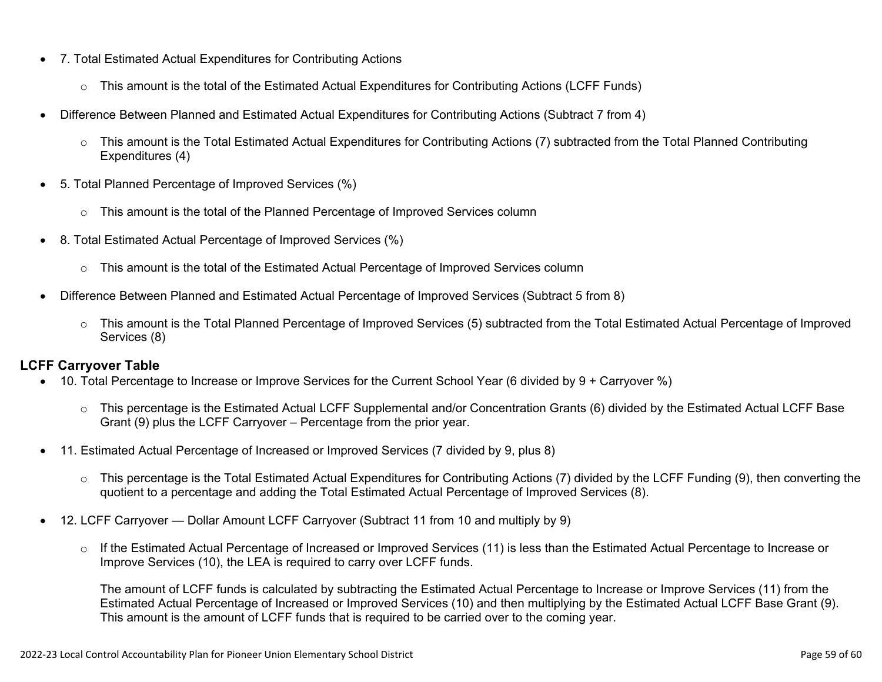- 7. Total Estimated Actual Expenditures for Contributing Actions
	- o This amount is the total of the Estimated Actual Expenditures for Contributing Actions (LCFF Funds)
- Difference Between Planned and Estimated Actual Expenditures for Contributing Actions (Subtract 7 from 4)
	- $\circ$  This amount is the Total Estimated Actual Expenditures for Contributing Actions (7) subtracted from the Total Planned Contributing Expenditures (4)
- 5. Total Planned Percentage of Improved Services (%)
	- $\circ$  This amount is the total of the Planned Percentage of Improved Services column
- 8. Total Estimated Actual Percentage of Improved Services (%)
	- o This amount is the total of the Estimated Actual Percentage of Improved Services column
- Difference Between Planned and Estimated Actual Percentage of Improved Services (Subtract 5 from 8)
	- o This amount is the Total Planned Percentage of Improved Services (5) subtracted from the Total Estimated Actual Percentage of Improved Services (8)

#### **LCFF Carryover Table**

- 10. Total Percentage to Increase or Improve Services for the Current School Year (6 divided by 9 + Carryover %)
	- $\circ$  This percentage is the Estimated Actual LCFF Supplemental and/or Concentration Grants (6) divided by the Estimated Actual LCFF Base Grant (9) plus the LCFF Carryover – Percentage from the prior year.
- 11. Estimated Actual Percentage of Increased or Improved Services (7 divided by 9, plus 8)
	- o This percentage is the Total Estimated Actual Expenditures for Contributing Actions (7) divided by the LCFF Funding (9), then converting the quotient to a percentage and adding the Total Estimated Actual Percentage of Improved Services (8).
- 12. LCFF Carryover Dollar Amount LCFF Carryover (Subtract 11 from 10 and multiply by 9)
	- $\circ$  If the Estimated Actual Percentage of Increased or Improved Services (11) is less than the Estimated Actual Percentage to Increase or Improve Services (10), the LEA is required to carry over LCFF funds.

The amount of LCFF funds is calculated by subtracting the Estimated Actual Percentage to Increase or Improve Services (11) from the Estimated Actual Percentage of Increased or Improved Services (10) and then multiplying by the Estimated Actual LCFF Base Grant (9). This amount is the amount of LCFF funds that is required to be carried over to the coming year.